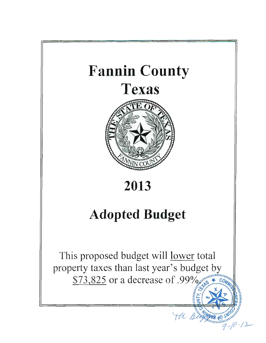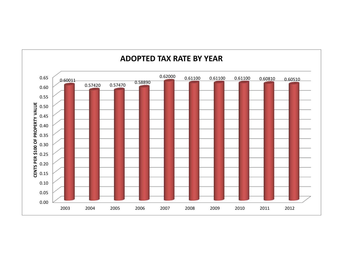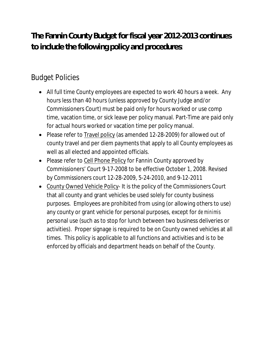# **The Fannin County Budget for fiscal year 2012-2013 continues to include the following policy and procedures**:

# Budget Policies

- All full time County employees are expected to work 40 hours a week. Any hours less than 40 hours (unless approved by County Judge and/or Commissioners Court) must be paid only for hours worked or use comp time, vacation time, or sick leave per policy manual. Part-Time are paid only for actual hours worked or vacation time per policy manual.
- Please refer to Travel policy (as amended 12-28-2009) for allowed out of county travel and per diem payments that apply to all County employees as well as all elected and appointed officials.
- Please refer to Cell Phone Policy for Fannin County approved by Commissioners' Court 9-17-2008 to be effective October 1, 2008. Revised by Commissioners court 12-28-2009, 5-24-2010, and 9-12-2011
- County Owned Vehicle Policy- It is the policy of the Commissioners Court that all county and grant vehicles be used solely for county business purposes. Employees are prohibited from using (or allowing others to use) any county or grant vehicle for personal purposes, except for *de minimis* personal use (such as to stop for lunch between two business deliveries or activities). Proper signage is required to be on County owned vehicles at all times. This policy is applicable to all functions and activities and is to be enforced by officials and department heads on behalf of the County.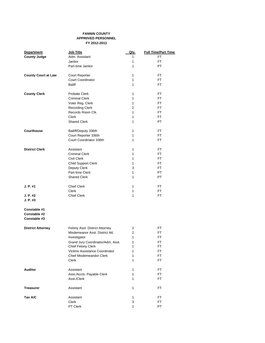### **FANNIN COUNTY APPR0VED PERSONNEL FY 2012-2013**

| <b>Department</b>          | Job Title                         | Qty.           | <b>Full Time/Part Time</b> |
|----------------------------|-----------------------------------|----------------|----------------------------|
| <b>County Judge</b>        | Adm. Assistant                    | 1              | FT                         |
|                            | Janitor                           | 1              | FT                         |
|                            | Part-time Janitor                 | 1              | PT                         |
|                            |                                   |                |                            |
| <b>County Court at Law</b> | Court Reporter                    | 1              | FT.                        |
|                            | <b>Court Coordinator</b>          | 1              | FT                         |
|                            | <b>Baliff</b>                     | 1              | FT.                        |
|                            |                                   |                |                            |
| <b>County Clerk</b>        | <b>Probate Clerk</b>              | 1              | FT.                        |
|                            | <b>Criminal Clerk</b>             | 1              | FT.                        |
|                            | Voter Reg. Clerk                  | 1              | FT.                        |
|                            | <b>Recording Clerk</b>            | $\overline{2}$ | FT.                        |
|                            | Records Room Clk.                 | 1              | FT.                        |
|                            | Clerk                             | 1              | FT.                        |
|                            | <b>Shared Clerk</b>               | 1              | PT                         |
| <b>Courthouse</b>          | Bailiff/Deputy 336th              | 1              | FT                         |
|                            | Court Reporter 336th              | 1              | FT                         |
|                            | Court Coordinator 336th           | 1              | FT                         |
|                            |                                   |                |                            |
| <b>District Clerk</b>      | Assistant                         | 1              | FT.                        |
|                            | <b>Criminal Clerk</b>             | 1              | FT.                        |
|                            | <b>Civil Clerk</b>                | 1              | FT.                        |
|                            | <b>Child Support Clerk</b>        | 1              | FT                         |
|                            | Deputy Clerk                      | 3              | FT                         |
|                            | Part-time Clerk                   | 1              | PT                         |
|                            |                                   |                |                            |
|                            | <b>Shared Clerk</b>               | 1              | PT.                        |
| J. P. #1                   | <b>Chief Clerk</b>                | 1              | FT.                        |
|                            | <b>Clerk</b>                      | 1              | FT                         |
| J. P. #2                   | <b>Chief Clerk</b>                | 1              | FT                         |
| J. P. #3                   |                                   |                |                            |
|                            |                                   |                |                            |
| Constable #1               |                                   |                |                            |
| Constable #2               |                                   |                |                            |
| Constable #3               |                                   |                |                            |
|                            |                                   |                |                            |
| <b>District Attorney</b>   | Felony Asst. District Attorney    | 2              | FT                         |
|                            | Misdemeanor Asst. District Att.   | $\overline{2}$ | FT                         |
|                            | Investigator                      | 1              | FT                         |
|                            | Grand Jury Coordinator/Adm, Asst. | 1              | FT                         |
|                            | Chief Felony Clerk                | 1              | FT                         |
|                            | Victims Assistance Coordinator    | 1              | FT                         |
|                            |                                   |                |                            |
|                            | <b>Chief Misdemeandor Clerk</b>   | 1              | FT                         |
|                            | Clerk                             | 1              | FT                         |
| <b>Auditor</b>             | Assistant                         | 1              | FT                         |
|                            | Asst./Accts. Payable Clerk        | 1              | FT                         |
|                            | Asst./Clerk                       | 1              | FT                         |
|                            |                                   |                |                            |
| <b>Treasurer</b>           | Assistant                         | 1              | FT                         |
| Tax A/C                    | Assistant                         | 1              | FT.                        |
|                            | Clerk                             | 3              | FT                         |
|                            | PT Clerk                          | 1              | PT                         |
|                            |                                   |                |                            |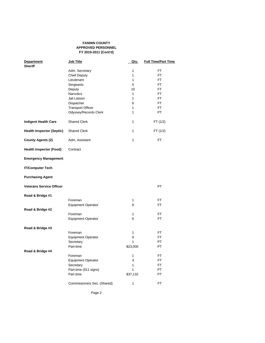### **FANNIN COUNTY APPROVED PERSONNEL FY 2010-2011 (Cont'd)**

| <b>Department</b>                | Job Title                              | <u>Qty.</u>  | <b>Full Time/Part Time</b> |
|----------------------------------|----------------------------------------|--------------|----------------------------|
| <b>Sheriff</b>                   |                                        |              |                            |
|                                  | Adm. Secretary                         | 1            | FT                         |
|                                  | <b>Chief Deputy</b>                    | 1            | FT                         |
|                                  | Lieutenant                             | 1            | FT.                        |
|                                  | Sergeants                              | 5            | FT.                        |
|                                  | Deputy                                 | 10           | FT                         |
|                                  | Narcotics                              | 1            | FT.                        |
|                                  | Jail Liaison                           | 1            | FT.                        |
|                                  | Dispatcher                             | 6            | FT.                        |
|                                  | <b>Transport Officer</b>               | 1            | FT.                        |
|                                  | Odyssey/Records Clerk                  | 1            | PT.                        |
| <b>Indigent Health Care</b>      | <b>Shared Clerk</b>                    | 1            | FT (1/2)                   |
| <b>Health Inspector (Septic)</b> | <b>Shared Clerk</b>                    | 1            | FT (1/2)                   |
| <b>County Agents (2)</b>         | Adm. Assistant                         | 1            | FT                         |
| <b>Health Inspector (Food)</b>   | Contract                               |              |                            |
| <b>Emergency Management</b>      |                                        |              |                            |
| <b>IT/Computer Tech</b>          |                                        |              |                            |
| <b>Purchasing Agent</b>          |                                        |              |                            |
| <b>Veterans Service Officer</b>  |                                        |              | PT.                        |
| Road & Bridge #1                 |                                        |              |                            |
|                                  | Foreman                                | 1            | FT                         |
|                                  | <b>Equipment Operator</b>              | 6            | FT                         |
| Road & Bridge #2                 |                                        |              |                            |
|                                  | Foreman                                | 1            | FT                         |
|                                  | <b>Equipment Operator</b>              | 6            | FT                         |
| Road & Bridge #3                 |                                        |              |                            |
|                                  | Foreman                                | 1            | FT                         |
|                                  | <b>Equipment Operator</b>              | 9            | FT                         |
|                                  | Secretary                              | $\mathbf{1}$ | PT                         |
|                                  | Part-time                              | \$23,000     | PT                         |
| Road & Bridge #4                 |                                        |              |                            |
|                                  | Foreman                                | 1            | FT                         |
|                                  | <b>Equipment Operator</b><br>Secretary | 3<br>1       | FT<br><b>FT</b>            |
|                                  | Part-time (911 signs)                  | 1            | PT                         |
|                                  | Part time                              | \$37,132     | PT                         |
|                                  |                                        |              |                            |
|                                  | Commissioners Sec. (Shared)            | $\mathbf{1}$ | FT                         |

Page 2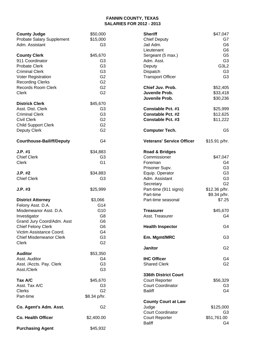# **FANNIN COUNTY, TEXAS SALARIES FOR 2012 - 2013**

| <b>County Judge</b>                                   | \$50,000       | <b>Sheriff</b>                   | \$47,047       |
|-------------------------------------------------------|----------------|----------------------------------|----------------|
| Probate Salary Supplement                             | \$15,000       | <b>Chief Deputy</b>              | G7             |
| Adm. Assistant                                        | G <sub>3</sub> | Jail Adm.                        | G <sub>6</sub> |
|                                                       |                | Lieutenant                       | G <sub>6</sub> |
| <b>County Clerk</b>                                   | \$45,670       | Sergeant (5 max.)                | G <sub>5</sub> |
| 911 Coordinator                                       | G <sub>3</sub> | Adm. Asst.                       | G <sub>3</sub> |
| <b>Probate Clerk</b>                                  | G <sub>3</sub> |                                  | G3L2           |
|                                                       |                | Deputy                           |                |
| <b>Criminal Clerk</b>                                 | G <sub>3</sub> | Dispatch                         | G <sub>3</sub> |
| Voter Registration                                    | G <sub>2</sub> | <b>Transport Officer</b>         | G <sub>3</sub> |
| <b>Recording Clerks</b>                               | G <sub>2</sub> |                                  |                |
| <b>Records Room Clerk</b>                             | G <sub>2</sub> | Chief Juv. Prob.                 | \$52,405       |
| <b>Clerk</b>                                          | G <sub>2</sub> | Juvenile Prob.                   | \$33,418       |
|                                                       |                | Juvenile Prob.                   | \$30,236       |
| <b>Districk Clerk</b>                                 | \$45,670       |                                  |                |
| Asst. Dist. Clerk                                     | G <sub>3</sub> | <b>Constable Pct. #1</b>         | \$25,999       |
| <b>Criminal Clerk</b>                                 | G <sub>3</sub> | <b>Constable Pct. #2</b>         | \$12,625       |
| <b>Civil Clerk</b>                                    | G <sub>2</sub> | <b>Constable Pct. #3</b>         | \$11,222       |
| <b>Child Support Clerk</b>                            | G <sub>2</sub> |                                  |                |
| <b>Deputy Clerk</b>                                   | G <sub>2</sub> |                                  | G <sub>5</sub> |
|                                                       |                | <b>Computer Tech.</b>            |                |
| <b>Courthouse-Bailiff/Deputy</b>                      | G <sub>4</sub> | <b>Veterans' Service Officer</b> | \$15.91 p/hr.  |
| J.P. #1                                               | \$34,883       | <b>Road &amp; Bridges</b>        |                |
| <b>Chief Clerk</b>                                    | G <sub>3</sub> | Commissioner                     | \$47,047       |
|                                                       |                |                                  |                |
| <b>Clerk</b>                                          | G <sub>1</sub> | Foreman                          | G4             |
|                                                       |                | Prisoner Supv.                   | G <sub>3</sub> |
| J.P. #2                                               | \$34,883       | Equip. Operator                  | G <sub>3</sub> |
| <b>Chief Clerk</b>                                    | G <sub>3</sub> | Adm. Assistant                   | G <sub>3</sub> |
|                                                       |                | Secretary                        | G <sub>2</sub> |
| $J.P.$ #3                                             | \$25,999       | Part-time (911 signs)            | $$12.36$ p/hr. |
|                                                       |                | Part-time                        | \$9.34 p/hr.   |
| <b>District Attorney</b>                              | \$3,066        | Part-time seasonal               | \$7.25         |
| Felony Asst. D.A.                                     | G14            |                                  |                |
| Misdemeanor Asst. D.A.                                | G10            | <b>Treasurer</b>                 | \$45,670       |
| Investigator                                          | G <sub>8</sub> | Asst. Treasurer                  | G4             |
| Grand Jury Coord/Adm. Asst                            | G <sub>6</sub> |                                  |                |
|                                                       | G <sub>6</sub> | <b>Health Inspector</b>          | G4             |
| <b>Chief Felony Clerk</b><br>Victim Assistance Coord. | G <sub>4</sub> |                                  |                |
|                                                       |                |                                  |                |
| <b>Chief Misdemeanor Clerk</b>                        | G <sub>3</sub> | Em. Mgmt/MRC                     | G <sub>3</sub> |
| Clerk                                                 | G <sub>2</sub> |                                  |                |
|                                                       |                | <b>Janitor</b>                   | G <sub>2</sub> |
| <b>Auditor</b>                                        | \$53,350       |                                  |                |
| Asst. Auditor                                         | G4             | <b>IHC Officer</b>               | G4             |
| Asst. /Accts. Pay. Clerk                              | G <sub>3</sub> | <b>Shared Clerk</b>              | G <sub>2</sub> |
| Asst./Clerk                                           | G <sub>3</sub> |                                  |                |
|                                                       |                | 336th District Court             |                |
| Tax A/C                                               | \$45,670       | <b>Court Reporter</b>            | \$56,329       |
| Asst. Tax A/C                                         | G <sub>3</sub> | <b>Court Coordinator</b>         | G <sub>3</sub> |
| <b>Clerks</b>                                         | G <sub>2</sub> | <b>Bailiff</b>                   | G4             |
| Part-time                                             | \$8.34 p/hr.   |                                  |                |
|                                                       |                | <b>County Court at Law</b>       |                |
| Co. Agent's Adm. Asst.                                | G <sub>2</sub> | Judge                            | \$125,000      |
|                                                       |                | <b>Court Coordinator</b>         | G3             |
| <b>Co. Health Officer</b>                             | \$2,400.00     | <b>Court Reporter</b>            | \$51,761.00    |
|                                                       |                | <b>Baliff</b>                    | G4             |
| <b>Purchasing Agent</b>                               | \$45,932       |                                  |                |
|                                                       |                |                                  |                |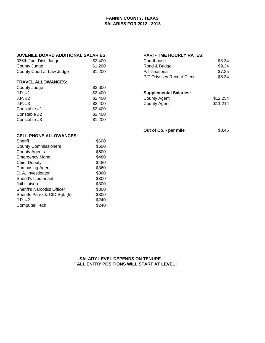# **FANNIN COUNTY, TEXAS SALARIES FOR 2012 - 2013**

# **JUVENILE BOARD ADDITIONAL SALARIES PART-TIME HOURLY RATES:**

| 336th Jud. Dist. Judge    | \$2. |
|---------------------------|------|
| County Judge              | \$1, |
| County Court at Law Judge | \$1. |

### **TRAVEL ALLOWANCES:**

| County Judge | \$3,600 |                               |          |
|--------------|---------|-------------------------------|----------|
| J.P. #1      | \$2,400 | <b>Supplemental Salaries:</b> |          |
| J.P. #2      | \$2,400 | County Agent                  | \$12,254 |
| J.P. #3      | \$2,400 | County Agent                  | \$11,214 |
| Constable #1 | \$2,400 |                               |          |
| Constable #2 | \$2,400 |                               |          |
| Constable #3 | \$1,200 |                               |          |

| 336th Jud. Dist. Judge    | \$2,400 | Courthouse               | \$8.34 |
|---------------------------|---------|--------------------------|--------|
| County Judge              | \$1.200 | Road & Bridge            | \$9.34 |
| County Court at Law Judge | \$1,200 | P/T seasonal             | \$7.25 |
|                           |         | P/T Odyssey Record Clerk | \$8.34 |

# **Supplemental Salaries:**

| County Agent | \$12,254 |
|--------------|----------|
| County Agent | \$11,214 |

**Out of Co. - per mile** \$0.45

| \$600 |
|-------|
| \$600 |
| \$600 |
| \$480 |
| \$480 |
| \$360 |
| \$360 |
| \$300 |
| \$300 |
| \$300 |
| \$300 |
| \$240 |
| \$240 |
|       |

 **SALARY LEVEL DEPENDS ON TENURE ALL ENTRY POSITIONS WILL START AT LEVEL I**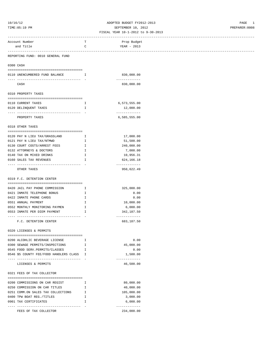# 10/16/12 ADOPTED BUDGET FY2012-2013 PAGE 1 TIME:05:19 PM SEPTEMBER 10, 2012 PREPARER:0008

### FISCAL YEAR 10-1-2012 to 9-30-2013 ------------------------------------------------------------------------------------------------------------------------------------

| Account Number                                                      | Т                                              | Prop Budget                 |  |
|---------------------------------------------------------------------|------------------------------------------------|-----------------------------|--|
| and Title                                                           | C                                              | YEAR - 2013                 |  |
| ------------------------<br>REPORTING FUND: 0010 GENERAL FUND       |                                                |                             |  |
| 0300 CASH                                                           |                                                |                             |  |
|                                                                     |                                                |                             |  |
| 0110 UNENCUMBERED FUND BALANCE                                      | $\mathbf{I}$ and $\mathbf{I}$ and $\mathbf{I}$ | 830,000.00<br>------------- |  |
| CASH                                                                |                                                | 830,000.00                  |  |
| 0310 PROPERTY TAXES                                                 |                                                |                             |  |
| 0110 CURRENT TAXES                                                  | Ι.                                             | 6,573,555.00                |  |
| 0120 DELINQUENT TAXES                                               | Ι.                                             | 12,000.00                   |  |
| ----------------------------------                                  |                                                | -------------               |  |
| PROPERTY TAXES                                                      |                                                | 6,585,555.00                |  |
| 0318 OTHER TAXES                                                    |                                                |                             |  |
|                                                                     |                                                |                             |  |
| 0120 PAY N LIEU TAX/GRASSLAND                                       | <b>I</b>                                       | 17,000.00                   |  |
| 0121 PAY N LIEU TAX/NTMWD                                           | Ι.                                             | 51,500.00                   |  |
| 0130 COURT COSTS/ARREST FEES                                        | I.                                             | 240,000.00                  |  |
| 0132 ATTORNEYS & DOCTORS                                            | $\mathbbm{I}$                                  | 7,000.00                    |  |
| 0140 TAX ON MIXED DRINKS                                            | I                                              | 10,956.31                   |  |
| 0160 SALES TAX REVENUES<br>-----------------------------------      | Ι.                                             | 624,166.18<br>------------- |  |
| OTHER TAXES                                                         |                                                | 950,622.49                  |  |
| 0319 F.C. DETENTION CENTER                                          |                                                |                             |  |
|                                                                     |                                                |                             |  |
| 0420 JAIL PAY PHONE COMMISSION                                      | $\mathbf{I}$ $\mathbf{I}$                      | 325,000.00                  |  |
| 0421 INMATE TELEPHONE BONUS                                         | I.                                             | 0.00                        |  |
| 0422 INMATE PHONE CARDS                                             | Ι.<br>$\mathbbm{I}$                            | 0.00                        |  |
| 0551 ANNUAL PAYMENT<br>0552 MONTHLY MONITORING PAYMEN               |                                                | 10,000.00                   |  |
|                                                                     | $\mathbbm{I}$<br>Ι.                            | 6,000.00                    |  |
| 0553 INMATE PER DIEM PAYMENT<br>----------------------------------- |                                                | 342,187.50<br>------------- |  |
| F.C. DETENTION CENTER                                               |                                                | 683,187.50                  |  |
| 0320 LICENSES & PERMITS                                             |                                                |                             |  |
| 0200 ALCOHLIC BEVERAGE LICENSE                                      | I.                                             | 0.00                        |  |
| 0300 SEWAGE PERMITS/INSPECTIONS                                     | Ι.                                             | 45,000.00                   |  |
| 0545 FOOD SERV.PERMITS/CLASSES                                      | $\mathbf{I}$ and $\mathbf{I}$                  | 0.00                        |  |
| 0546 \$5 COUNTY FEE/FOOD HANDLERS CLASS I                           |                                                | 1,500.00                    |  |
|                                                                     |                                                | -------------               |  |
| LICENSES & PERMITS                                                  |                                                | 46,500.00                   |  |
| 0321 FEES OF TAX COLLECTOR                                          |                                                |                             |  |
| 0200 COMMISSIONS ON CAR REGIST                                      | I.                                             | 80,000.00                   |  |
| 0250 COMMISSION ON CAR TITLES                                       | Ι.                                             | 40,000.00                   |  |
| 0251 COMM.ON SALES TAX COLLECTIONS                                  | $\mathbb{I}$                                   | 105,000.00                  |  |
| 0400 TPW BOAT REG./TITLES                                           | I                                              | 3,000.00                    |  |
| 0901 TAX CERTIFICATES                                               | Ι.                                             | 6,000.00                    |  |
| --------------------------------------<br>FEES OF TAX COLLECTOR     |                                                | -------------<br>234,000.00 |  |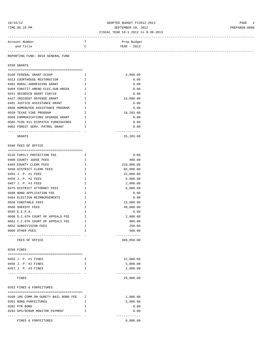# 10/16/12 ADOPTED BUDGET FY2012-2013 PAGE 2 TIME:05:19 PM PREPARER:0008

### FISCAL YEAR 10-1-2012 to 9-30-2013

| Account Number | Prop Budget   |  |
|----------------|---------------|--|
| and Title      | $YEAR - 2013$ |  |
|                |               |  |

REPORTING FUND: 0010 GENERAL FUND

0330 GRANTS

| 0100 FEDERAL GRANT-SCAAP                            | T            | 2,000.00    |
|-----------------------------------------------------|--------------|-------------|
| 0313 COURTHOUSE RESTORATION                         | $\mathbf{T}$ | 0.00        |
| 0401 RURAL ADDRESSING GRANT                         | $\mathbf{T}$ | 0.00        |
| 0404 CONSTIT.AMEND.ELEC.SUB.HB556                   | $\mathsf{T}$ | 0.00        |
| 0431 SECOEECB GRANT CS0710                          | $\mathbf{T}$ | 0.00        |
| 0437 INDIGENT DEFENSE GRANT                         | T            | 15,000.00   |
| 0491 JUSTICE ASSISTANCE GRANT                       | $\mathsf{T}$ | 0.00        |
| $\mathbf{T}$<br>0500 HOMEBUYER ASSISTANCE PROGRAM   |              | 0.00        |
| 0559 TEXAS VINE PROGRAM                             | $\mathbb{T}$ | 18,283.00   |
| $\blacksquare$<br>0560 COMMUNICATIONS UPGRADE GRANT |              | 0.00        |
| 0565 TCOG 911 DISPATCH FURNISHINGS                  | $\mathbf{T}$ | 0.00        |
| 0902 FOREST SERV. PATROL GRANT                      | $\mathbb{T}$ | 0.00        |
|                                                     |              |             |
| GRANTS                                              |              | 35, 283, 00 |

| 0340 FEES OF OFFICE               |              |            |
|-----------------------------------|--------------|------------|
|                                   |              |            |
| 0135 FAMILY PROTECTION FEE        | $\mathsf{T}$ | 0.00       |
| 0400 COUNTY JUDGE FEES            | T            | 400.00     |
| 0403 COUNTY CLERK FEES            | T            | 210,000.00 |
| 0450 DISTRICT CLERK FEES          | T.           | 85,000.00  |
| 0455 J. P. #1 FEES                | $\mathbb{T}$ | 22,000.00  |
| 0456 J. P. #2 FEES                | T.           | 5,000.00   |
| 0457 J. P. #3 FEES                | T.           | 2,000.00   |
| 0475 DISTRICT ATTORNEY FEES       | $\mathbb{T}$ | 6,000.00   |
| 0480 BOND APPLICATION FEE         | T.           | 0.00       |
| 0484 ELECTION REIMBURSEMENTS      | $\mathbb{T}$ | 0.00       |
| 0550 CONSTABLE FEES               | T            | 15,000.00  |
| 0560 SHERIFF FEES                 | $\mathsf{T}$ | 40,000.00  |
| 0595 E.E.P.A.                     | T            | 0.00       |
| 0600 D.C.6TH COURT OF APPEALS FEE | $\mathbb{T}$ | 2,000.00   |
| 0601 C.C.6TH COURT OF APPEALS FEE | $\mathbb{T}$ | 900.00     |
| 0652 SUBDIVISION FEES             | $\mathsf{T}$ | 250.00     |
| 0900 OTHER FEES                   | T            | 500.00     |
|                                   |              |            |
| FEES OF OFFICE                    |              | 389,050.00 |

0350 FINES

| 0455 J. P. #1 FINES | 22,000.00 |
|---------------------|-----------|
| 0456 J. P. #2 FINES | 5,000.00  |
| 0457 J. P. #3 FINES | 2,000.00  |
|                     |           |
| FINES               | 29,000.00 |

0352 FINES & FORFEITURES

| 0100 10% COMM.ON SURETY BAIL BOND FEE | 1,000.00 |
|---------------------------------------|----------|
| 0201 BOND FORFEITURES                 | 5,000.00 |
| 0202 PTR BOND                         | 0.00     |
| 0203 GPS/SCRAM MONITOR PAYMENT        | 0.00     |
|                                       |          |
| FINES & FORFEITURES                   | 6.000.00 |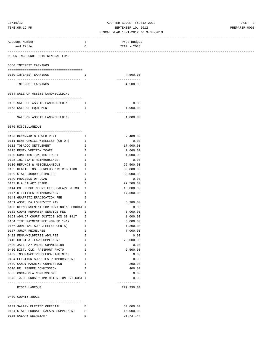# 10/16/12 ADOPTED BUDGET FY2012-2013 PAGE 3 TIME:05:19 PM SEPTEMBER 10, 2012 PREPARER:0008

| Account Number                                                                                | T             | Prop Budget                         |  |
|-----------------------------------------------------------------------------------------------|---------------|-------------------------------------|--|
| and Title                                                                                     | $\mathbf C$   | YEAR - 2013                         |  |
|                                                                                               |               |                                     |  |
| REPORTING FUND: 0010 GENERAL FUND                                                             |               |                                     |  |
| 0360 INTEREST EARNINGS                                                                        |               |                                     |  |
| 0100 INTEREST EARNINGS                                                                        | I             | 4,500.00                            |  |
| INTEREST EARNINGS                                                                             |               | -------------<br>4,500.00           |  |
| 0364 SALE OF ASSETS LAND/BUILDING                                                             |               |                                     |  |
|                                                                                               |               |                                     |  |
| 0162 SALE OF ASSETS LAND/BUILDING I                                                           |               | 0.00                                |  |
| 0163 SALE OF EQUIPMENT<br>$\mathbb{Z}^n$ . The $\mathbb{Z}^n$                                 |               | 1,000.00                            |  |
|                                                                                               |               | -------------                       |  |
| SALE OF ASSETS LAND/BUILDING                                                                  |               | 1,000.00                            |  |
| 0370 MISCELLANEOUS                                                                            |               |                                     |  |
| 0100 KFYN-RADIO TOWER RENT                                                                    | $\mathbb{I}$  | 2,400.00                            |  |
| 0111 RENT-CHOICE WIRELESS (CO-OP)                                                             | Ι.            | 0.00                                |  |
| 0112 TOBACCO SETTLEMENT                                                                       | Ι.            | 17,900.00                           |  |
| 0115 RENT- VERIZON TOWER                                                                      | Ι.            | 9,660.00                            |  |
| 0120 CONTRIBUTION IHC TRUST                                                                   | I.            | 4,000.00                            |  |
| 0125 IHC STATE REIMBURSEMENT                                                                  | Ι.            | 0.00                                |  |
| 0130 REFUNDS & MISCELLANEOUS                                                                  | $\mathbb{I}$  | 25,500.00                           |  |
| 0135 HEALTH INS. SURPLUS DISTRIBUTION I                                                       |               | 30,000.00                           |  |
| 0139 STATE JUROR REIMB.FEE                                                                    | $\mathbb{I}$  | 30,000.00                           |  |
| 0140 PROCEEDS OF LOAN                                                                         | I.            | 0.00                                |  |
| 0143 D.A.SALARY REIMB.                                                                        | I.            | 27,500.00                           |  |
| 0144 CO. JUDGE COURT FEES SALARY REIMB. I                                                     |               | 15,000.00                           |  |
| 0147 UTILITIES REIMBURSEMENT                                                                  | Ι.            | 17,500.00                           |  |
| 0148 GRAFFITI ERADICATION FEE                                                                 | $\mathbf{I}$  |                                     |  |
| 0151 ASST. DA LONGEVITY PAY                                                                   | I             | 3,280.00                            |  |
| 0160 REIMBURSEMENT FOR CONTINUING EDUCAT I                                                    |               | 0.00                                |  |
| 0162 COURT REPORTER SERVICE FEE                                                               | I.            | 6,000.00                            |  |
| 0163 ADM.OF COURT JUSTICE 10% SB 1417                                                         | I.            | 1,000.00                            |  |
| 0164 TIME PAYMENT FEE 40% SB 1417                                                             | Ι.            | 3,000.00                            |  |
| 0166 JUDICIAL SUPP.FEE(60 CENTS)                                                              | I             | 1,300.00                            |  |
| 0167 JUROR REIMB.FEE                                                                          | I             | 7,000.00                            |  |
| 0402 FEMA-WILDFIRES ADM.FEE                                                                   | I             | 0.00                                |  |
| 0410 CO CT AT LAW SUPPLEMENT                                                                  | I             | 75,000.00                           |  |
| 0420 JAIL PAY PHONE COMMISSION                                                                | I             | 0.00                                |  |
| 0450 DIST. CLK. PASSPORT PHOTO                                                                | I             | 2,500.00                            |  |
| 0482 INSURANCE PROCEEDS-LIGHTNING                                                             | I             | 0.00                                |  |
| 0484 ELECTION SUPPLIES REIMBURSEMENT                                                          | Ι.            | 0.00                                |  |
| 0509 CANDY MACHINE COMMISSION                                                                 | I             | 290.00                              |  |
| 0510 DR. PEPPER COMMISSION                                                                    | $\mathbbm{I}$ | 400.00                              |  |
| 0565 COCA-COLA COMMISSIONS                                                                    | I             | 0.00                                |  |
| 0575 TJJD FUNDS REIMB.DETENTION CNT.COST I<br>----------------------------------              |               | 0.00<br>-------------               |  |
| MISCELLANEOUS                                                                                 |               | 279,230.00                          |  |
| 0400 COUNTY JUDGE                                                                             |               |                                     |  |
|                                                                                               | Ε             |                                     |  |
|                                                                                               |               |                                     |  |
|                                                                                               |               |                                     |  |
| 0101 SALARY ELECTED OFFICIAL<br>0104 STATE PROBATE SALARY SUPPLEMENT<br>0105 SALARY SECRETARY | Е<br>Ε        | 50,000.00<br>15,000.00<br>26,737.44 |  |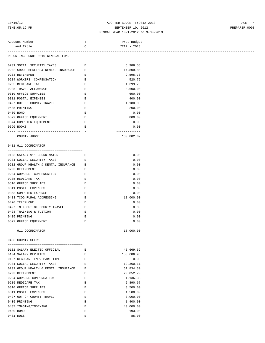# 10/16/12 ADOPTED BUDGET FY2012-2013 PAGE 4 TIME:05:19 PM SEPTEMBER 10, 2012 PREPARER:0008

### FISCAL YEAR 10-1-2012 to 9-30-2013

| Account Number                    |    | Prop Budget |
|-----------------------------------|----|-------------|
| and Title                         | ,, | YEAR - 2013 |
| REPORTING FUND: 0010 GENERAL FUND |    |             |

| 0201 SOCIAL SECURITY TAXES             | E. | 5,988.58   |
|----------------------------------------|----|------------|
| 0202 GROUP HEALTH & DENTAL INSURANCE E |    | 14,809.80  |
| 0203 RETIREMENT                        | F. | 9,595.73   |
| 0204 WORKERS' COMPENSATION             | F. | 520.75     |
| 0205 MEDICARE TAX                      | E. | 1,399.79   |
| 0225 TRAVEL ALLOWANCE                  | F. | 3,600.00   |
| 0310 OFFICE SUPPLIES                   | E. | 650.00     |
| 0311 POSTAL EXPENSES                   | F. | 400.00     |
| 0427 OUT OF COUNTY TRAVEL              | F. | 1,180.00   |
| 0435 PRINTING                          | E. | 200.00     |
| 0480 BOND                              | F. | 0.00       |
| 0572 OFFICE EQUIPMENT                  | F. | 800.00     |
| 0574 COMPUTER EQUIPMENT                | E. | 0.00       |
| 0590 BOOKS                             | F. | 0.00       |
|                                        |    |            |
| COUNTY JUDGE                           |    | 130,882.09 |

# 0401 911 COORDINATOR

| 0103 SALARY 911 COORDINATOR            | E.           | 0.00      |
|----------------------------------------|--------------|-----------|
| 0201 SOCIAL SECURITY TAXES             | $\mathbf{F}$ | 0.00      |
| 0202 GROUP HEALTH & DENTAL INSURANCE E |              | 0.00      |
| 0203 RETIREMENT                        | E.           | 0.00      |
| 0204 WORKERS' COMPENSATION             | F.           | 0.00      |
| 0205 MEDICARE TAX                      | F.           | 0.00      |
| 0310 OFFICE SUPPLIES                   | F.           | 0.00      |
| 0311 POSTAL EXPENSES                   | F.           | 0.00      |
| 0353 COMPUTER EXPENSE                  | $\mathbf{F}$ | 0.00      |
| 0403 TCOG RURAL ADDRESSING             | F.           | 18,000.00 |
| 0420 TELEPHONE                         | F.           | 0.00      |
| 0427 IN & OUT OF COUNTY TRAVEL         | F.           | 0.00      |
| 0428 TRAINING & TUITION                | E            | 0.00      |
| 0435 PRINTING                          | E.           | 0.00      |
| 0572 OFFICE EOUIPMENT                  | E.           | 0.00      |
|                                        |              |           |
| 911 COORDINATOR                        |              | 18,000.00 |

0403 COUNTY CLERK

|           | 0101 SALARY ELECTED OFFICIAL         | E  | 45,669.62  |
|-----------|--------------------------------------|----|------------|
|           | 0104 SALARY DEPUTIES                 | E  | 153,686.96 |
|           | 0107 REGULAR-TEMP. PART-TIME         | E, | 0.00       |
|           | 0201 SOCIAL SECURITY TAXES           | E, | 12,360.11  |
|           | 0202 GROUP HEALTH & DENTAL INSURANCE | E, | 51,834.30  |
|           | 0203 RETIREMENT                      | E. | 20,852.70  |
|           | 0204 WORKERS COMPENSATION            | E, | 1,136.33   |
|           | 0205 MEDICARE TAX                    | E. | 2,890.67   |
|           | 0310 OFFICE SUPPLIES                 | E. | 3,500.00   |
|           | 0311 POSTAL EXPENSES                 | E  | 1,500.00   |
|           | 0427 OUT OF COUNTY TRAVEL            | E. | 3,000.00   |
|           | 0435 PRINTING                        | E. | 1,400.00   |
|           | 0437 IMAGING/INDEXING                | E  | 40,000.00  |
|           | 0480 BOND                            | F. | 193.00     |
| 0481 DUES |                                      | F. | 85.00      |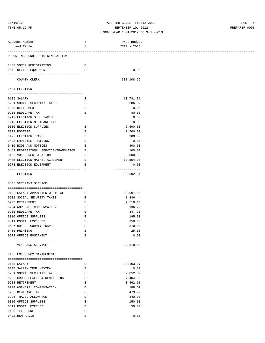### 10/16/12 ADOPTED BUDGET FY2012-2013 PAGE 5 TIME:05:19 PM SEPTEMBER 10, 2012 PREPARER:0008

### FISCAL YEAR 10-1-2012 to 9-30-2013 ------------------------------------------------------------------------------------------------------------------------------------

| Account Number                       | т           | Prop Budget           |  |
|--------------------------------------|-------------|-----------------------|--|
| and Title                            | C           | YEAR - 2013           |  |
|                                      |             |                       |  |
| REPORTING FUND: 0010 GENERAL FUND    |             |                       |  |
|                                      |             |                       |  |
| 0483 VOTER REGISTRATION              | Е           |                       |  |
| 0572 OFFICE EQUIPMENT                | Е           | 0.00                  |  |
|                                      |             | -------------         |  |
| COUNTY CLERK                         |             | 338,108.69            |  |
|                                      |             |                       |  |
| 0404 ELECTION                        |             |                       |  |
|                                      |             |                       |  |
| 0109 SALARY                          | Е           | 10,781.31             |  |
| 0201 SOCIAL SECURITY TAXES           | Е           | 386.92                |  |
| 0203 RETIREMENT                      | $\mathbf E$ | 0.00                  |  |
| 0205 MEDICARE TAX                    | E           | 80.58                 |  |
| 0212 ELECTION S.S. TAXES             |             | 0.00                  |  |
| 0213 ELECTION MEDICARE TAX           |             | 0.00<br>2,500.00      |  |
| 0310 ELECTION SUPPLIES               | Е<br>Е      | 2,500.00              |  |
| 0311 POSTAGE<br>0427 ELECTION TRAVEL | E           | 300.00                |  |
| 0428 EMPLOYEE TRAINING               | Е           | 0.00                  |  |
| 0430 BIDS AND NOTICES                | Е           | 400.00                |  |
| 0442 PROFESSIONAL SERVICE/TRANSLATOR | Е           | 100.00                |  |
| 0483 VOTER REGISTRATION              | Е           |                       |  |
| 0485 ELECTION MAINT. AGREEMENT       | E           | 2,000.00<br>13,554.00 |  |
| 0573 ELECTION EQUIPMENT              | Е           | 0.00                  |  |
|                                      |             | -------------         |  |
| ELECTION                             |             | 32,602.81             |  |
|                                      |             |                       |  |
| 0405 VETERANS'SERVICE                |             |                       |  |
|                                      |             |                       |  |
| 0102 SALARY APPOINTED OFFICIAL       | E           | 23,997.55             |  |
| 0201 SOCIAL SECURITY TAXES           | Е           | 1,486.44              |  |
| 0203 RETIREMENT                      | Е           | 2,510.14              |  |
| 0204 WORKERS' COMPENSATION           | E           | 136.79                |  |
| 0205 MEDICARE TAX                    | $\mathbf E$ | 347.96                |  |
| 0310 OFFICE SUPPLIES                 | Е           | 195.00                |  |
| 0311 POSTAL EXPENSES                 | Е           | 250.00                |  |
| 0427 OUT OF COUNTY TRAVEL            | Ε           | 370.00                |  |
| 0435 PRINTING                        | E           | 25.00                 |  |
| 0572 OFFICE EQUIPMENT                |             | 0.00                  |  |
|                                      |             | -------------         |  |
| VETERANS ' SERVICE                   |             | 29, 318.88            |  |
|                                      |             |                       |  |
| 0406 EMERGENCY MANAGEMENT            |             |                       |  |
|                                      |             |                       |  |
| 0103 SALARY                          | E           | 33,103.07             |  |
| 0107 SALARY TEMP./EXTRA              | E           | 0.00                  |  |
| 0201 SOCIAL SECURITY TAXES           | E           | 2,052.39              |  |
| 0202 GROUP HEALTH & DENTAL INS E     |             | 7,404.90              |  |
| 0203 RETIREMENT                      | E           | 3,462.58              |  |
| 0204 WORKERS' COMPENSATION           | E           | 188.69                |  |
| 0205 MEDICARE TAX                    | E           | 479.99                |  |
| 0225 TRAVEL ALLOWANCE                | Е           | 840.00                |  |
| 0310 OFFICE SUPPLIES                 | Е           | 150.00                |  |
| 0311 POSTAL EXPENSE                  | Е           | 50.00                 |  |
| 0420 TELEPHONE                       | Ε           |                       |  |
| 0422 R&M RADIO                       | Ε           | 0.00                  |  |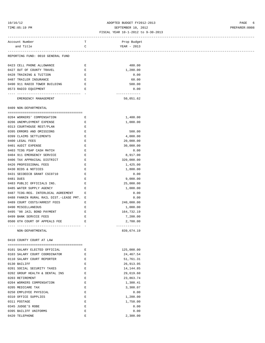# 10/16/12 ADOPTED BUDGET FY2012-2013 PAGE 6 TIME:05:19 PM SEPTEMBER 10, 2012 PREPARER:0008

### FISCAL YEAR 10-1-2012 to 9-30-2013 ------------------------------------------------------------------------------------------------------------------------------------

| Account Number                                                                      | Т                                                                                              | Prop Budget                |
|-------------------------------------------------------------------------------------|------------------------------------------------------------------------------------------------|----------------------------|
| and Title                                                                           | C                                                                                              | YEAR - 2013                |
|                                                                                     |                                                                                                |                            |
| REPORTING FUND: 0010 GENERAL FUND                                                   |                                                                                                |                            |
|                                                                                     |                                                                                                |                            |
| 0423 CELL PHONE ALLOWANCE                                                           | Е                                                                                              | 480.00                     |
| 0427 OUT OF COUNTY TRAVEL                                                           | $\mathbf{E}$                                                                                   | 1,280.00                   |
| 0428 TRAINING & TUITION                                                             | E                                                                                              | 0.00                       |
| 0487 TRAILER INSURANCE                                                              | E                                                                                              | 60.00                      |
| 0490 911 RADIO TOWER BUILDING<br>$\mathbb{E}$ .<br><br>: $\mathbb{E}$               |                                                                                                | 500.00                     |
| 0573 RADIO EQUIPMENT                                                                | E                                                                                              | 0.00                       |
| EMERGENCY MANAGEMENT                                                                |                                                                                                | -------------<br>50,051.62 |
| 0409 NON-DEPARTMENTAL                                                               |                                                                                                |                            |
|                                                                                     |                                                                                                |                            |
| 0204 WORKERS' COMPENSATION                                                          | Е                                                                                              | 1,400.00                   |
| 0206 UNEMPLOYMENT EXPENSE                                                           | Е                                                                                              | 1,000.00                   |
| 0313 COURTHOUSE REST/PLAN                                                           | E                                                                                              |                            |
| 0395 ERRORS AND OMISSIONS                                                           | E                                                                                              | 500.00                     |
| 0399 CLAIMS SETTLEMENTS                                                             | E                                                                                              | 4,000.00                   |
| 0400 LEGAL FEES                                                                     | E                                                                                              | 20,000.00                  |
| 0401 AUDIT EXPENSE                                                                  | Е                                                                                              | 30,000.00                  |
| 0403 TCOG PSAP CASH MATCH                                                           | Е                                                                                              | 0.00                       |
| 0404 911 EMERGENCY SERVICE                                                          | $\mathbf{E}% _{t}\left  \mathbf{1}\right\rangle =\mathbf{1}_{t}\left  \mathbf{1}\right\rangle$ |                            |
|                                                                                     |                                                                                                | 8,917.00                   |
| 0406 TAX APPRAISAL DISTRICT                                                         | E                                                                                              | 320,000.00                 |
| 0426 PROFESSIONAL FEES                                                              | E                                                                                              | 1,425.00                   |
| 0430 BIDS & NOTICES                                                                 | Е                                                                                              | 1,800.00                   |
| 0431 SECOEECB GRANT CSC0710                                                         | Е                                                                                              | 0.00                       |
| 0481 DUES                                                                           | Е                                                                                              | 9,000.00                   |
| 0483 PUBLIC OFFICIALS INS.                                                          | E                                                                                              | 25,000.00                  |
| 0485 WATER SUPPLY AGENCY                                                            | Е                                                                                              | 1,000.00                   |
| 0487 TCOG-REG. INTERLOCAL AGREEMENT                                                 | Е                                                                                              | 0.00                       |
| 0488 FANNIN RURAL RAIL DIST.-LEASE PMT. E                                           |                                                                                                | 0.00                       |
| 0489 COURT COSTS/ARREST FEES                                                        | E                                                                                              | 240,000.00                 |
| 0490 MISCELLANEOUS                                                                  | E                                                                                              | 1,000.00                   |
| 0495 '98 JAIL BOND PAYMENT                                                          | $\mathbf{E}$                                                                                   | 164,732.19                 |
| 0499 BANK SERVICE FEES                                                              | E                                                                                              | 7,200.00                   |
| 0500 6TH COURT OF APPEALS FEE<br><b>Experience of Excellent Excellent Excellent</b> |                                                                                                | 2,700.00                   |
|                                                                                     |                                                                                                | -------------              |
| NON-DEPARTMENTAL                                                                    |                                                                                                | 839,674.19                 |
| 0410 COUNTY COURT AT LAW                                                            |                                                                                                |                            |
|                                                                                     |                                                                                                |                            |
| 0101 SALARY ELECTED OFFICIAL                                                        | Е                                                                                              | 125,000.00                 |
| 0103 SALARY COURT COORDINATOR                                                       | Ε                                                                                              | 24,467.54                  |
| 0110 SALARY COURT REPORTER                                                          | Ε                                                                                              | 51,761.31                  |
| 0130 BAILIFF                                                                        | Ε                                                                                              | 26,913.95                  |
| 0201 SOCIAL SECURITY TAXES                                                          | Ε                                                                                              | 14, 144.85                 |
| 0202 GROUP HEALTH & DENTAL INS                                                      | Ε                                                                                              | 29,619.60                  |
| 0203 RETIREMENT                                                                     | Ε                                                                                              | 23,863.74                  |
| 0204 WORKERS COMPENSATION                                                           | Ε                                                                                              | 1,300.41                   |
| 0205 MEDICARE TAX                                                                   | E                                                                                              | 3,308.07                   |
| 0250 EMPLOYEE PHYSICAL                                                              | Ε                                                                                              | 0.00                       |
| 0310 OFFICE SUPPLIES                                                                | E                                                                                              | 1,200.00                   |
| 0311 POSTAGE                                                                        | Ε                                                                                              | 1,750.00                   |
| 0345 JUDGE'S ROBE                                                                   | E                                                                                              | 0.00                       |
|                                                                                     |                                                                                                |                            |
| 0395 BAILIFF UNIFORMS                                                               | E                                                                                              | 0.00                       |
| 0420 TELEPHONE                                                                      | E                                                                                              | 2,300.00                   |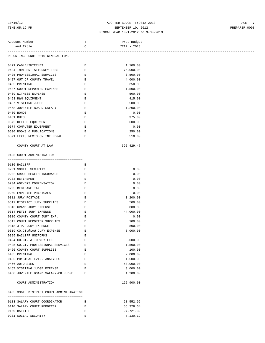# 10/16/12 ADOPTED BUDGET FY2012-2013 PAGE 7 TIME:05:19 PM SEPTEMBER 10, 2012 PREPARER:0008

### FISCAL YEAR 10-1-2012 to 9-30-2013 ------------------------------------------------------------------------------------------------------------------------------------

| Account Number                                           | т                                                                                              | Prop Budget                 |  |
|----------------------------------------------------------|------------------------------------------------------------------------------------------------|-----------------------------|--|
| and Title                                                | C                                                                                              | YEAR - 2013                 |  |
|                                                          |                                                                                                |                             |  |
| REPORTING FUND: 0010 GENERAL FUND                        |                                                                                                |                             |  |
|                                                          |                                                                                                |                             |  |
| 0421 CABLE/INTERNET                                      | Е                                                                                              | 1,100.00                    |  |
| 0424 INDIGENT ATTORNEY FEES                              | E                                                                                              | 75,000.00                   |  |
| 0425 PROFESSIONAL SERVICES                               | E                                                                                              | 3,500.00                    |  |
| 0427 OUT OF COUNTY TRAVEL                                | E                                                                                              | 4,000.00                    |  |
| 0435 PRINTING                                            | $\mathbf{E}% _{t}\left  \mathbf{1}\right\rangle =\mathbf{1}_{t}\left  \mathbf{1}\right\rangle$ | 350.00                      |  |
| 0437 COURT REPORTER EXPENSE                              | E                                                                                              | 1,500.00                    |  |
| 0439 WITNESS EXPENSE                                     | Е                                                                                              | 500.00                      |  |
| 0453 R&M EQUIPMENT                                       | $\mathbf{E}% _{t}\left  \mathbf{1}\right\rangle =\mathbf{1}_{t}\left  \mathbf{1}\right\rangle$ | 415.00                      |  |
| 0467 VISITING JUDGE                                      | $\mathbf{E}% _{0}$                                                                             | 500.00                      |  |
| 0468 JUVENILE BOARD SALARY                               | Е                                                                                              | 1,200.00                    |  |
| 0480 BONDS                                               | Е                                                                                              | 0.00                        |  |
| 0481 DUES                                                | Е                                                                                              | 375.00                      |  |
| 0572 OFFICE EQUIPMENT                                    | Е                                                                                              | 600.00                      |  |
| 0574 COMPUTER EQUIPMENT                                  | Е                                                                                              | 0.00                        |  |
| 0590 BOOKS & PUBLICATIONS                                | E                                                                                              | 250.00                      |  |
| 0591 LEXIS NEXIS ONLINE LEGAL                            | Е                                                                                              | 510.00                      |  |
|                                                          |                                                                                                | -------------               |  |
|                                                          |                                                                                                | 395, 429.47                 |  |
| COUNTY COURT AT LAW                                      |                                                                                                |                             |  |
|                                                          |                                                                                                |                             |  |
| 0425 COURT ADMINISTRATION                                |                                                                                                |                             |  |
|                                                          |                                                                                                |                             |  |
| 0130 BAILIFF                                             | Е                                                                                              |                             |  |
| 0201 SOCIAL SECURITY                                     | Е                                                                                              | 0.00                        |  |
| 0202 GROUP HEALTH INSURANCE                              | Е                                                                                              | 0.00                        |  |
| 0203 RETIREMENT                                          | $\mathbf{E}% _{0}$                                                                             | 0.00                        |  |
| 0204 WORKERS COMPENSATION                                | $\mathbf{E}% _{0}$                                                                             | 0.00                        |  |
| 0205 MEDICARE TAX                                        | Е                                                                                              | 0.00                        |  |
| 0250 EMPLOYEE PHYSICALS                                  | $\mathbf{E}% _{0}$                                                                             | 0.00                        |  |
| 0311 JURY POSTAGE                                        | Е                                                                                              | 3,200.00                    |  |
| 0312 DISTRICT JURY SUPPLIES                              | Е                                                                                              | 500.00                      |  |
| 0313 GRAND JURY EXPENSE                                  | Е                                                                                              | 5,000.00                    |  |
| 0314 PETIT JURY EXPENSE                                  | Е                                                                                              | 44,000.00                   |  |
| 0316 COUNTY COURT JURY EXP.                              | Е                                                                                              | 0.00                        |  |
| 0317 COURT REPORTER SUPPLIES                             | Е                                                                                              | 100.00                      |  |
| 0318 J.P. JURY EXPENSE                                   | Е                                                                                              | 800.00                      |  |
| 0319 CO.CT.@LAW JURY EXPENSE                             | Ε                                                                                              | 8,000.00                    |  |
| 0395 BAILIFF UNIFORMS                                    | Ε                                                                                              |                             |  |
| 0424 CO.CT. ATTORNEY FEES                                | Ε                                                                                              | 5,000.00                    |  |
|                                                          |                                                                                                |                             |  |
| 0425 CO.CT. PROFESSIONAL SERVICES                        | Е                                                                                              | 1,500.00                    |  |
| 0426 COUNTY COURT SUPPLIES                               | Е                                                                                              | 100.00                      |  |
| 0435 PRINTING                                            | Е                                                                                              | 2,000.00                    |  |
| 0465 PHYSICAL EVID. ANALYSES                             | Е                                                                                              | 1,500.00                    |  |
| 0466 AUTOPSIES                                           | Ε                                                                                              | 50,000.00                   |  |
| 0467 VISITING JUDGE EXPENSE                              | E                                                                                              | 3,000.00                    |  |
| 0468 JUVENILE BOARD SALARY-CO.JUDGE                      | Ε                                                                                              | 1,200.00                    |  |
| --------------------------------<br>COURT ADMINISTRATION |                                                                                                | -------------<br>125,900.00 |  |
|                                                          |                                                                                                |                             |  |
| 0435 336TH DISTRICT COURT ADMINISTRATION                 |                                                                                                |                             |  |
|                                                          |                                                                                                |                             |  |
| 0103 SALARY COURT COORDINATOR                            | Е                                                                                              | 28,552.96                   |  |
| 0110 SALARY COURT REPORTER                               | Е                                                                                              | 56,328.64                   |  |
| 0130 BAILIFF                                             | Ε                                                                                              | 27,721.32                   |  |

0201 SOCIAL SECURITY **E E** 7,130.19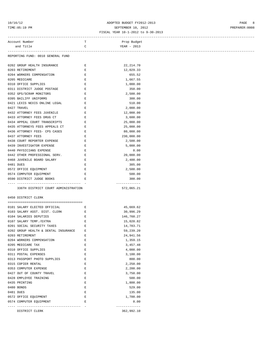# 10/16/12 ADOPTED BUDGET FY2012-2013 PAGE 8 TIME:05:19 PM SEPTEMBER 10, 2012 PREPARER:0008

| FISCAL YEAR 10-1-2012 to 9-30-2013 |
|------------------------------------|
|------------------------------------|

| Account Number                                                                                                                                                                                                                                                                                                                                                                                                                          | T.                    | Prop Budget             |
|-----------------------------------------------------------------------------------------------------------------------------------------------------------------------------------------------------------------------------------------------------------------------------------------------------------------------------------------------------------------------------------------------------------------------------------------|-----------------------|-------------------------|
| and Title                                                                                                                                                                                                                                                                                                                                                                                                                               | $\mathbf C$           | YEAR - 2013             |
|                                                                                                                                                                                                                                                                                                                                                                                                                                         |                       |                         |
| REPORTING FUND: 0010 GENERAL FUND                                                                                                                                                                                                                                                                                                                                                                                                       |                       |                         |
|                                                                                                                                                                                                                                                                                                                                                                                                                                         |                       |                         |
| 0202 GROUP HEALTH INSURANCE<br><b>Experience of the Experience E</b>                                                                                                                                                                                                                                                                                                                                                                    |                       | 22, 214.70              |
| 0203 RETIREMENT                                                                                                                                                                                                                                                                                                                                                                                                                         | E                     | 12,029.33               |
| 0204 WORKERS COMPENSATION                                                                                                                                                                                                                                                                                                                                                                                                               | $\mathbf{E}$          | 655.52                  |
| 0205 MEDICARE                                                                                                                                                                                                                                                                                                                                                                                                                           | E                     | 1,667.55                |
| 0310 OFFICE SUPPLIES                                                                                                                                                                                                                                                                                                                                                                                                                    | E                     | 1,000.00                |
| 0311 DISTRICT JUDGE POSTAGE BOOT E                                                                                                                                                                                                                                                                                                                                                                                                      |                       | 350.00                  |
| 0352 GPS/SCRAM MONITORS<br>$\mathbb{E}^{\mathbb{E}^{\mathbb{E}}_{\mathbb{E}^{\mathbb{E}}_{\mathbb{E}^{\mathbb{E}}_{\mathbb{E}^{\mathbb{E}}_{\mathbb{E}^{\mathbb{E}}_{\mathbb{E}^{\mathbb{E}}_{\mathbb{E}^{\mathbb{E}}_{\mathbb{E}^{\mathbb{E}}_{\mathbb{E}^{\mathbb{E}}_{\mathbb{E}^{\mathbb{E}}_{\mathbb{E}^{\mathbb{E}}_{\mathbb{E}^{\mathbb{E}}_{\mathbb{E}^{\mathbb{E}}_{\mathbb{E}^{\mathbb{E}}_{\mathbb{E}^{\mathbb{E}}_{\mathbb$ |                       | 2,500.00                |
| 0395 BAILIFF UNIFORMS                                                                                                                                                                                                                                                                                                                                                                                                                   | $\mathbf{E}$          | 300.00                  |
| 0421 LEXIS NEXIS ONLINE LEGAL                                                                                                                                                                                                                                                                                                                                                                                                           | $\hfill \blacksquare$ | 510.00                  |
| 0427 TRAVEL                                                                                                                                                                                                                                                                                                                                                                                                                             | Е                     | 2,000.00                |
| $\mathbf{E}$ and $\mathbf{E}$<br>0432 ATTORNEY FEES JUVENILE                                                                                                                                                                                                                                                                                                                                                                            |                       | 12,000.00               |
| 0433 ATTORNEY FEES DRUG CT E                                                                                                                                                                                                                                                                                                                                                                                                            |                       | 3,600.00                |
| 0434 APPEAL COURT TRANSCRIPTS E                                                                                                                                                                                                                                                                                                                                                                                                         |                       | 25,000.00               |
| 0435 ATTORNEYS FEES APPEALS CT                                                                                                                                                                                                                                                                                                                                                                                                          | E                     | 25,000.00               |
| 0436 ATTORNEY FEES- CPS CASES                                                                                                                                                                                                                                                                                                                                                                                                           | $\mathbf{E}$          | 80,000.00               |
| 0437 ATTORNEY FEES                                                                                                                                                                                                                                                                                                                                                                                                                      | $\mathbf{E}$          | 230,000.00              |
| 0438 COURT REPORTER EXPENSE E                                                                                                                                                                                                                                                                                                                                                                                                           |                       | 2,500.00                |
| 0439 INVESTIGATOR EXPENSE<br><b>Experience of the Experience E</b>                                                                                                                                                                                                                                                                                                                                                                      |                       | 5,000.00                |
| 0440 PHYSICIANS EXPENSE                                                                                                                                                                                                                                                                                                                                                                                                                 | $\mathbf{E}$          | 0.00                    |
| 0442 OTHER PROFESSIONAL SERV.                                                                                                                                                                                                                                                                                                                                                                                                           | $\mathbf{E}$          | 20,000.00               |
| 0468 JUVENILE BOARD SALARY                                                                                                                                                                                                                                                                                                                                                                                                              | $\mathbb E$           | 2,400.00                |
|                                                                                                                                                                                                                                                                                                                                                                                                                                         |                       | 305.00                  |
| 0481 DUES                                                                                                                                                                                                                                                                                                                                                                                                                               | $\mathbf{E}$          |                         |
| 0572 OFFICE EQUIPMENT<br><b>Experience of the Experience</b>                                                                                                                                                                                                                                                                                                                                                                            |                       | 2,500.00                |
| $\mathbf{E} = \mathbf{E} \times \mathbf{E}$<br>0574 COMPUTER EQUIPMENT                                                                                                                                                                                                                                                                                                                                                                  |                       | 500.00                  |
| 0590 DISTRICT JUDGE BOOKS                                                                                                                                                                                                                                                                                                                                                                                                               | $\mathbf{E}$          | 300.00<br>------------- |
| 336TH DISTRICT COURT ADMINISTRATION                                                                                                                                                                                                                                                                                                                                                                                                     |                       | 572,065.21              |
| 0450 DISTRICT CLERK                                                                                                                                                                                                                                                                                                                                                                                                                     |                       |                         |
|                                                                                                                                                                                                                                                                                                                                                                                                                                         |                       |                         |
| 0101 SALARY ELECTED OFFICIAL E                                                                                                                                                                                                                                                                                                                                                                                                          |                       | 45,669.62               |
| 0103 SALARY ASST. DIST. CLERK                                                                                                                                                                                                                                                                                                                                                                                                           | $\mathbf{E}$          | 30,996.29               |
| 0104 SALARIES DEPUTIES                                                                                                                                                                                                                                                                                                                                                                                                                  | E                     | 146,760.27              |
| 0107 SALARY TEMP./EXTRA<br><b>Example 20</b> Service 20 Service 20 Service                                                                                                                                                                                                                                                                                                                                                              |                       | 15,020.82               |
| 0201 SOCIAL SECURITY TAXES                                                                                                                                                                                                                                                                                                                                                                                                              | Е                     | 14,783.71               |
| 0202 GROUP HEALTH & DENTAL INSURANCE                                                                                                                                                                                                                                                                                                                                                                                                    |                       | 59,239.20               |
| 0203 RETIREMENT                                                                                                                                                                                                                                                                                                                                                                                                                         | Ε                     | 24,941.56               |
| 0204 WORKERS COMPENSATION                                                                                                                                                                                                                                                                                                                                                                                                               | Е                     | 1,359.15                |
| 0205 MEDICARE TAX                                                                                                                                                                                                                                                                                                                                                                                                                       | Е                     | 3,457.48                |
| 0310 OFFICE SUPPLIES                                                                                                                                                                                                                                                                                                                                                                                                                    | Е                     | 4,000.00                |
| 0311 POSTAL EXPENSES                                                                                                                                                                                                                                                                                                                                                                                                                    | E                     | 3,100.00                |
| 0313 PASSPORT PHOTO SUPPLIES                                                                                                                                                                                                                                                                                                                                                                                                            | $\mathbf E$           | 800.00                  |
|                                                                                                                                                                                                                                                                                                                                                                                                                                         |                       |                         |
| 0315 COPIER RENTAL                                                                                                                                                                                                                                                                                                                                                                                                                      | Е                     | 2,250.00                |
| 0353 COMPUTER EXPENSE                                                                                                                                                                                                                                                                                                                                                                                                                   | Е                     | 2,200.00                |
| 0427 OUT OF COUNTY TRAVEL                                                                                                                                                                                                                                                                                                                                                                                                               | Е                     | 3,750.00                |
| 0428 EMPLOYEE TRAINING                                                                                                                                                                                                                                                                                                                                                                                                                  | Е                     | 500.00                  |
| 0435 PRINTING                                                                                                                                                                                                                                                                                                                                                                                                                           | Е                     | 1,800.00                |
| 0480 BONDS                                                                                                                                                                                                                                                                                                                                                                                                                              | Е                     | 529.00                  |
| 0481 DUES                                                                                                                                                                                                                                                                                                                                                                                                                               | Е                     | 135.00                  |
| 0572 OFFICE EQUIPMENT                                                                                                                                                                                                                                                                                                                                                                                                                   | Е                     | 1,700.00                |
| 0574 COMPUTER EQUIPMENT                                                                                                                                                                                                                                                                                                                                                                                                                 | Е                     | 0.00                    |
|                                                                                                                                                                                                                                                                                                                                                                                                                                         |                       | -------------           |
| DISTRICT CLERK                                                                                                                                                                                                                                                                                                                                                                                                                          |                       | 362,992.10              |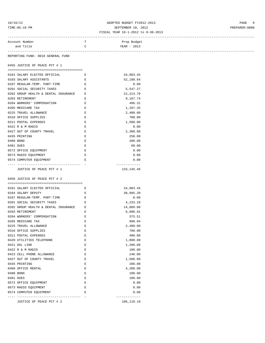# 10/16/12 ADOPTED BUDGET FY2012-2013 PAGE 9 TIME:05:19 PM SEPTEMBER 10, 2012 PREPARER:0008

### FISCAL YEAR 10-1-2012 to 9-30-2013

| Account Number                                                                                                                                                                                                                                                     | т                  | Prop Budget   |
|--------------------------------------------------------------------------------------------------------------------------------------------------------------------------------------------------------------------------------------------------------------------|--------------------|---------------|
| and Title                                                                                                                                                                                                                                                          | $\mathbf C$        | YEAR - 2013   |
| REPORTING FUND: 0010 GENERAL FUND                                                                                                                                                                                                                                  |                    |               |
| 0455 JUSTICE OF PEACE PCT # 1                                                                                                                                                                                                                                      |                    |               |
|                                                                                                                                                                                                                                                                    |                    |               |
| 0101 SALARY ELECTED OFFICIAL                                                                                                                                                                                                                                       | $\mathbf{E}$       | 34,883.45     |
| 0103 SALARY ASSISTANTS                                                                                                                                                                                                                                             | Е                  | 52,188.64     |
| 0107 REGULAR-TEMP. PART-TIME                                                                                                                                                                                                                                       | $\mathbb{E}$       | 0.00          |
| 0201 SOCIAL SECURITY TAXES<br><b>Experimental Experimental Experimental Experimental Experimental Experimental Experimental Experimental Experimental Experimental Experimental Experimental Experimental Experimental Experimental Experimental Experimental </b> |                    | 5,547.27      |
| 0202 GROUP HEALTH & DENTAL INSURANCE E                                                                                                                                                                                                                             |                    | 22, 214.70    |
| 0203 RETIREMENT                                                                                                                                                                                                                                                    | Е                  | 9,107.74      |
| 0204 WORKERS' COMPENSATION                                                                                                                                                                                                                                         | $\mathbf{E}$       | 496.31        |
| 0205 MEDICARE TAX                                                                                                                                                                                                                                                  | $\mathbf{E}$       | 1,297.35      |
| 0225 TRAVEL ALLOWANCE                                                                                                                                                                                                                                              | Е                  | 2,400.00      |
| 0310 OFFICE SUPPLIES                                                                                                                                                                                                                                               | E                  | 700.00        |
| 0311 POSTAL EXPENSES                                                                                                                                                                                                                                               | E                  | 1,500.00      |
| 0422 R & M RADIO                                                                                                                                                                                                                                                   | $\mathbf{E}% _{0}$ | 0.00          |
| 0427 OUT OF COUNTY TRAVEL                                                                                                                                                                                                                                          | $\mathbf E$        | 2,300.00      |
| 0435 PRINTING                                                                                                                                                                                                                                                      | E                  | 250.00        |
| 0480 BOND                                                                                                                                                                                                                                                          | Е                  | 200.00        |
| 0481 DUES                                                                                                                                                                                                                                                          | $\mathbf E$        | 60.00         |
| 0572 OFFICE EQUIPMENT                                                                                                                                                                                                                                              | $\mathbf{E}% _{0}$ | 0.00          |
| 0573 RADIO EQUIPMENT                                                                                                                                                                                                                                               | E                  | 0.00          |
| 0574 COMPUTER EQUIPMENT                                                                                                                                                                                                                                            | E                  | 0.00          |
|                                                                                                                                                                                                                                                                    |                    | ------------- |
|                                                                                                                                                                                                                                                                    |                    |               |
| JUSTICE OF PEACE PCT # 1                                                                                                                                                                                                                                           |                    | 133,145.46    |
|                                                                                                                                                                                                                                                                    |                    |               |
| 0456 JUSTICE OF PEACE PCT # 2                                                                                                                                                                                                                                      |                    |               |
|                                                                                                                                                                                                                                                                    |                    |               |
| 0101 SALARY ELECTED OFFICIAL                                                                                                                                                                                                                                       | E                  | 34,883.45     |
| 0104 SALARY DEPUTY                                                                                                                                                                                                                                                 | E                  | 30,995.20     |
| 0107 REGULAR-TEMP. PART-TIME                                                                                                                                                                                                                                       | $\mathbf{E}$       | 0.00          |
| 0201 SOCIAL SECURITY TAXES                                                                                                                                                                                                                                         | Е                  | 4,233.28      |
| 0202 GROUP HEALTH & DENTAL INSURANCE                                                                                                                                                                                                                               | E                  | 14,809.80     |
| 0203 RETIREMENT                                                                                                                                                                                                                                                    | E                  | 6,890.91      |
| 0204 WORKERS' COMPENSATION                                                                                                                                                                                                                                         | E                  | 375.51        |
| 0205 MEDICARE TAX                                                                                                                                                                                                                                                  | Е                  | 990.04        |
| 0225 TRAVEL ALLOWANCE                                                                                                                                                                                                                                              | E                  | 2,400.00      |
|                                                                                                                                                                                                                                                                    | E                  | 700.00        |
| 0310 OFFICE SUPPLIES<br>0311 POSTAL EXPENSES                                                                                                                                                                                                                       | $\mathbf E$        |               |
| 0420 UTILITIES TELEPHONE                                                                                                                                                                                                                                           | $\mathbf E$        | 400.00        |
|                                                                                                                                                                                                                                                                    |                    | 1,800.00      |
| 0421 DSL LINE                                                                                                                                                                                                                                                      | E                  | 1,200.00      |
| 0422 R & M RADIO                                                                                                                                                                                                                                                   | E                  | 100.00        |
| 0423 CELL PHONE ALLOWANCE                                                                                                                                                                                                                                          | $\mathbf E$        | 240.00        |
| 0427 OUT OF COUNTY TRAVEL                                                                                                                                                                                                                                          | E                  | 1,500.00      |
| 0435 PRINTING                                                                                                                                                                                                                                                      | E                  | 200.00        |
| 0460 OFFICE RENTAL                                                                                                                                                                                                                                                 | E                  | 4,200.00      |
| 0480 BOND                                                                                                                                                                                                                                                          | E                  | 100.00        |
| 0481 DUES                                                                                                                                                                                                                                                          | E                  | 100.00        |
| 0572 OFFICE EQUIPMENT                                                                                                                                                                                                                                              | $\mathbf E$        | 0.00          |
| 0573 RADIO EQUIPMENT<br>0574 COMPUTER EQUIPMENT                                                                                                                                                                                                                    | $\mathbf E$<br>Ε   | 0.00<br>0.00  |

JUSTICE OF PEACE PCT # 2 106,118.19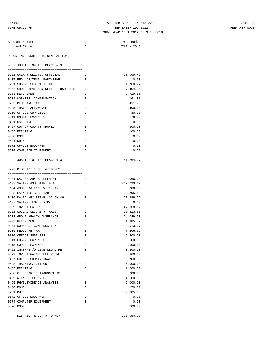# 10/16/12 ADOPTED BUDGET FY2012-2013 PAGE 10 TIME:05:19 PM SEPTEMBER 10, 2012 PREPARER:0008

### FISCAL YEAR 10-1-2012 to 9-30-2013

| Account Number<br>and Title       | T<br>C | Prop Budget<br>YEAR - 2013 |
|-----------------------------------|--------|----------------------------|
| REPORTING FUND: 0010 GENERAL FUND |        |                            |
| 0457 JUSTICE OF THE PEACE # 3     |        |                            |

| 0101 SALARY ELECTED OFFICIAL         | $\mathbb{R}^n$ | 25,999.48 |
|--------------------------------------|----------------|-----------|
| 0107 REGULAR/TEMP. PART/TIME         | $\mathbb{R}$   | 0.00      |
| 0201 SOCIAL SECURITY TAXES           | E.             | 1,760.77  |
| 0202 GROUP HEALTH & DENTAL INSURANCE | F.             | 7,404.90  |
| 0203 RETIREMENT                      | E.             | 2,719.55  |
| 0204 WORKERS' COMPENSATION           | E.             | 161.88    |
| 0205 MEDICARE TAX                    | E.             | 411.79    |
| 0225 TRAVEL ALLOWANCE                | E.             | 2,400.00  |
| 0310 OFFICE SUPPLIES                 | E.             | 30.00     |
| 0311 POSTAL EXPENSES                 | E.             | 176.00    |
| 0421 DSL LINE                        | E.             | 0.00      |
| 0427 OUT OF COUNTY TRAVEL            | E.             | 600.00    |
| 0435 PRINTING                        | E.             | 100.00    |
| 0480 BOND                            | E.             | 0.00      |
| 0481 DUES                            | E.             | 0.00      |
| 0572 OFFICE EQUIPMENT                | E.             | 0.00      |
| 0574 COMPUTER EQUIPMENT              | E.             | 0.00      |
|                                      |                |           |
| JUSTICE OF THE PEACE # 3             |                | 41,764.37 |

0475 DISTRICT & CO. ATTORNEY

| 0101 DA. SALARY SUPPLEMENT     | E. | 3,066.00      |
|--------------------------------|----|---------------|
| 0103 SALARY ASSISTANT D.A.     | E. | 262,093.22    |
| 0104 ASST. DA LONGEVITY PAY    | Е  | 3,280.00      |
| 0105 SALARIES SECRETARIES      | E. | 153,795.49    |
| 0106 DA SALARY REIMB. GC CH 46 | E. | 27,389.72     |
| 0107 SALARY TEMP./EXTRA        | Ε  | 0.00          |
| 0109 INVESTIGATOR              | F. | 47,368.12     |
| 0201 SOCIAL SECURITY TAXES     | E. | 30,813.55     |
| 0202 GROUP HEALTH INSURANCE    | E. | 74,049.00     |
| 0203 RETIREMENT                | E. | 51,985.42     |
| 0204 WORKERS' COMPENSATION     | E. | 3,913.07      |
| 0205 MEDICARE TAX              | Ε  | 7,206.39      |
| 0310 OFFICE SUPPLIES           | F. | 5,500.00      |
| 0311 POSTAL EXPENSES           | F. | 3,000.00      |
| 0315 COPIER EXPENSE            | E. | 2,000.00      |
| 0421 INTERNET/ONLINE LEGAL RE  | E. | 3,300.00      |
| 0422 INVESTIGATOR CELL PHONE   | E. | 360.00        |
| 0427 OUT OF COUNTY TRAVEL      | E. | 6,700.00      |
| 0428 TRAINING/TUITION          | F. | 5,000.00      |
| 0435 PRINTING                  | F. | 1,000.00      |
| 0438 CT.REPORTER-TRANSCRIPTS   | E  | 5,000.00      |
| 0439 WITNESS EXPENSE           | E. | 4,000.00      |
| 0465 PHYS. EVIDENCE ANALYSIS   | E. | 6,000.00      |
| 0480 BOND                      | E. | 150.00        |
| 0481 DUES                      | E  | 2,385.00      |
| 0572 OFFICE EQUIPMENT          | Ε  | 0.00          |
| 0574 COMPUTER EQUIPMENT        | F. | 0.00          |
| 0590 BOOKS                     | E. | 700.00        |
|                                |    | ------------- |
| DISTRICT & CO. ATTORNEY        |    | 710,054.98    |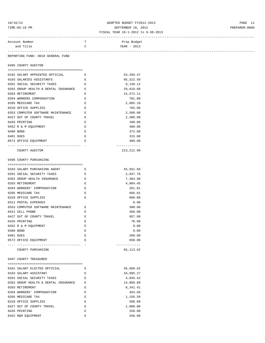# 10/16/12 ADOPTED BUDGET FY2012-2013 PAGE 11 TIME:05:19 PM SEPTEMBER 10, 2012 PREPARER:0008

### FISCAL YEAR 10-1-2012 to 9-30-2013

| Account Number | Prop Budget   |  |
|----------------|---------------|--|
| and $Tif1e$    | $YEAR - 2013$ |  |
|                |               |  |

REPORTING FUND: 0010 GENERAL FUND

0495 COUNTY AUDITOR

|           | 0102 SALARY APPOINTED OFFICIAL E       |         | 53,350.47   |
|-----------|----------------------------------------|---------|-------------|
|           | 0103 SALARIES ASSISTANTS               | E       | 95,522.50   |
|           | 0201 SOCIAL SECURITY TAXES             | $F_{i}$ | 9,130.12    |
|           | 0202 GROUP HEALTH & DENTAL INSURANCE E |         | 29,619.60   |
|           | 0203 RETIREMENT                        | E.      | 15,572.11   |
|           | 0204 WORKERS COMPENSATION              | E.      | 781.00      |
|           | 0205 MEDICARE TAX                      | E.      | 2,085.10    |
|           | 0310 OFFICE SUPPLIES                   | $F_{i}$ | 765.00      |
|           | 0353 COMPUTER SOFTWARE MAINTENANCE E   |         | 2,500.00    |
|           | 0427 OUT OF COUNTY TRAVEL              | E       | 2,300.00    |
|           | 0435 PRINTING                          | E.      | 100.00      |
|           | 0452 R & M EOUIPMENT                   | F.      | 400.00      |
| 0480 BOND |                                        | E.      | 372.00      |
| 0481 DUES |                                        | F.      | 315.00      |
|           | 0572 OFFICE EQUIPMENT                  | F.      | 400.00      |
|           |                                        |         |             |
|           | COUNTY AUDITOR                         |         | 213, 212.90 |

### 0496 COUNTY PURCHASING

| 0103 SALARY PURCHASING AGENT         | E. | 45,931.69  |
|--------------------------------------|----|------------|
| 0201 SOCIAL SECURITY TAXES           | E  | 2,847.76   |
| 0202 GROUP HEALTH INSURANCE          | F. | 7,404.90   |
| 0203 RETIREMENT                      | F. | 4,804.45   |
| 0204 WORKERS' COMPENSATION           | F. | 261.81     |
| 0205 MEDICARE TAX                    | F. | 666.01     |
| 0310 OFFICE SUPPLIES                 | F. | 600.00     |
| 0311 POSTAL EXPENSES                 |    | 0.00       |
| 0353 COMPUTER SOFTWARE MAINTENANCE E |    | 300.00     |
| 0421 CELL PHONE                      | E, | 360.00     |
| 0427 OUT OF COUNTY TRAVEL            | F. | 957.00     |
| 0435 PRINTING                        | F. | 70.00      |
| 0452 R & M EQUIPMENT                 | F. | 0.00       |
| 0480 BOND                            | E. | 0.00       |
| 0481 DUES                            | F. | 260.00     |
| 0572 OFFICE EOUIPMENT                | E, | 650.00     |
|                                      |    |            |
| COUNTY PURCHASING                    |    | 65, 113.62 |

0497 COUNTY TREASURER

| 0101 SALARY ELECTED OFFICIAL         | E. | 45,669.62 |
|--------------------------------------|----|-----------|
| 0103 SALARY ASSISTANT                | E. | 34,095.27 |
| 0201 SOCIAL SECURITY TAXES           | E. | 4,945.42  |
| 0202 GROUP HEALTH & DENTAL INSURANCE | E. | 14,809.80 |
| 0203 RETIREMENT                      | F. | 8,341.41  |
| 0204 WORKERS' COMPENSATION           | E. | 454.66    |
| 0205 MEDICARE TAX                    | E. | 1,156.59  |
| 0310 OFFICE SUPPLIES                 | E. | 500.00    |
| 0427 OUT OF COUNTY TRAVEL            | E. | 1,000.00  |
| 0435 PRINTING                        | F. | 250.00    |
| 0452 R&M EOUIPMENT                   | F. | 250.00    |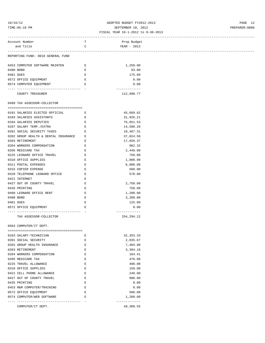### 10/16/12 ADOPTED BUDGET FY2012-2013 PAGE 12 TIME:05:19 PM SEPTEMBER 10, 2012 PREPARER:0008

| Account Number                         | T                                 | Prop Budget                |
|----------------------------------------|-----------------------------------|----------------------------|
| and Title                              | $\mathbf C$                       | YEAR - 2013                |
|                                        |                                   |                            |
| REPORTING FUND: 0010 GENERAL FUND      |                                   |                            |
|                                        |                                   |                            |
| 0453 COMPUTER SOFTWARE MAINTEN         | E                                 | 1,250.00                   |
| 0480 BOND                              | Е                                 | 93.00                      |
| 0481 DUES                              | Е                                 | 175.00                     |
| 0572 OFFICE EQUIPMENT                  | E                                 | 0.00                       |
| 0574 COMPUTER EQUIPMENT                | E                                 | 0.00                       |
| ------------------- -                  |                                   | -------------              |
| COUNTY TREASURER                       |                                   | 112,990.77                 |
|                                        |                                   |                            |
| 0499 TAX ASSESSOR-COLLECTOR            |                                   |                            |
|                                        |                                   |                            |
| 0101 SALARIES ELECTED OFFICIAL         | E                                 | 45,669.62                  |
| 0103 SALARIES ASSISTANTS               | Е                                 | 31,926.21                  |
| 0104 SALARIES DEPUTIES                 | E                                 | 76,651.53                  |
| 0107 SALARY TEMP./EXTRA                | E                                 | 14,580.26                  |
| 0201 SOCIAL SECURITY TAXES             | E                                 | 10,467.31                  |
| 0202 GROUP HEALTH & DENTAL INSURANCE E |                                   | 37,024.50                  |
| 0203 RETIREMENT                        | Е                                 | 17,659.37                  |
| 0204 WORKERS COMPENSATION              | Е                                 | 962.32                     |
| 0205 MEDICARE TAX                      | E                                 | 2,448.00                   |
| 0225 LEONARD OFFICE TRAVEL             | E                                 | 750.00                     |
| 0310 OFFICE SUPPLIES                   | E                                 | 1,000.00                   |
| 0311 POSTAL EXPENSES                   | $\mathbf E$                       | 6,000.00                   |
| 0315 COPIER EXPENSE                    | $\mathbf E$                       | 560.00                     |
| 0420 TELEPHONE LEONARD OFFICE          | E                                 | 570.00                     |
| 0421 INTERNET                          | Ε                                 |                            |
| 0427 OUT OF COUNTY TRAVEL              | Е                                 | 2,750.00                   |
| 0435 PRINTING                          | Ε                                 | 750.00                     |
| 0460 LEONARD OFFICE RENT               | $\mathbf E$                       | 1,200.00                   |
| 0480 BOND                              | $\mathbf E$                       | 3,200.00                   |
|                                        |                                   |                            |
| 0481 DUES                              | E                                 | 125.00                     |
| 0572 OFFICE EQUIPMENT                  | E                                 | 0.00<br>-------------      |
| TAX ASSESSOR-COLLECTOR                 |                                   | 254, 294.12                |
|                                        |                                   |                            |
| 0503 COMPUTER/IT DEPT.                 |                                   |                            |
|                                        |                                   |                            |
| 0103 SALARY-TECHNICIAN                 | Е                                 | 32, 353. 33                |
| 0201 SOCIAL SECURITY                   | Е                                 | 2,035.67                   |
| 0202 GROUP HEALTH INSURANCE            | $\mathbf{E}% _{t}=\mathbf{E}_{t}$ | 7,404.90                   |
| 0203 RETIREMENT                        | Е                                 | 3,384.16                   |
| 0204 WORKERS COMPENSATION              | E                                 | 184.41                     |
| 0205 MEDICARE TAX                      | E                                 | 476.08                     |
| 0225 TRAVEL ALLOWANCE                  | Е                                 | 480.00                     |
| 0310 OFFICE SUPPLIES                   | $\mathbf E$                       | 150.00                     |
|                                        | $\mathbf E$                       |                            |
| 0421 CELL PHONE ALLOWANCE              |                                   | 240.00                     |
| 0427 OUT OF COUNTY TRAVEL              | E                                 | 900.00                     |
| 0435 PRINTING                          | Е                                 | 0.00                       |
| 0453 R&M COMPUTER/TRAINING             | E                                 | 0.00                       |
| 0572 OFFICE EQUIPMENT                  | E                                 | 500.00                     |
| 0574 COMPUTER/WEB SOFTWARE             | E                                 | 1,200.00                   |
| COMPUTER/IT DEPT.                      |                                   | -------------<br>49,308.55 |
|                                        |                                   |                            |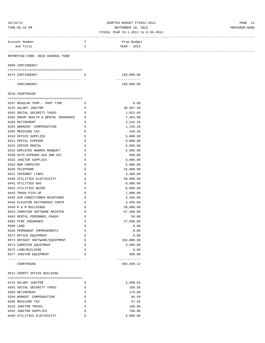# 10/16/12 ADOPTED BUDGET FY2012-2013 PAGE 13 TIME:05:19 PM SEPTEMBER 10, 2012 PREPARER:0008

### FISCAL YEAR 10-1-2012 to 9-30-2013 ------------------------------------------------------------------------------------------------------------------------------------

| Account Number                       | Т | Prop Budget             |  |
|--------------------------------------|---|-------------------------|--|
| and Title                            | C | YEAR - 2013             |  |
|                                      |   |                         |  |
| REPORTING FUND: 0010 GENERAL FUND    |   |                         |  |
| 0509 CONTINGENCY                     |   |                         |  |
|                                      |   |                         |  |
| 0475 CONTINGENCY                     | Е | 150,000.00              |  |
|                                      |   | -------------           |  |
| CONTINGENCY                          |   | 150,000.00              |  |
| 0510 COURTHOUSE                      |   |                         |  |
|                                      |   |                         |  |
| 0107 REGULAR TEMP. - PART TIME       | Е | 0.00                    |  |
| 0115 SALARY JANITOR                  | Ε | 30,997.39               |  |
| 0201 SOCIAL SECURITY TAXES           | Е | 1,921.84                |  |
| 0202 GROUP HEALTH & DENTAL INSURANCE | Ε | 7,404.90                |  |
| 0203 RETIREMENT                      | Ε | 3,242.33                |  |
| 0204 WORKERS' COMPENSATION           | Ε | 1,156.20                |  |
| 0205 MEDICARE TAX                    | Е | 449.46                  |  |
| 0310 OFFICE SUPPLIES                 | E | 5,000.00                |  |
| 0311 POSTAL EXPENSE                  | E | 8,000.00                |  |
| 0315 COPIER RENTAL                   | Ε | 5,500.00                |  |
| 0316 EMPLOYEE AWARDS BANQUET         | Е | 2,000.00                |  |
| 0330 AUTO EXPENSE-GAS AND OIL        | Е | 600.00                  |  |
| 0332 JANITOR SUPPLIES                | Ε | 4,000.00                |  |
| 0353 R&M COMPUTER                    | E | 5,000.00                |  |
| 0420 TELEPHONE                       | E | 24,000.00               |  |
| 0421 INTERNET LINES                  | Е | 3,300.00                |  |
| 0440 UTILITIES ELECTRICITY           | Ε | 40,000.00               |  |
| 0441 UTILITIES GAS                   | Е | 6,000.00                |  |
| 0442 UTILITIES WATER                 | E | 6,000.00                |  |
| 0443 TRASH PICK-UP                   | E | 1,000.00                |  |
| 0445 AIR CONDITIONER MAINTENEN       | Ε | 4,496.00                |  |
| 0446 ELEVATOR MAITENENCE CONTR       | Е | 3,950.00                |  |
| 0450 R & M BUILDINGS                 | Ε | 30,000.00               |  |
| 0453 COMPUTER SOFTWARE MAINTEN       | Е | 67,400.00               |  |
| 0463 RENTAL PERSONNEL PAGER          | Ε | 50.00                   |  |
| 0482 FIRE INSURANCE                  | Ε | 17,000.00               |  |
| 0500 LAND                            | Ε | 0.00                    |  |
| 0530 PERMANENT IMPROVEMENTS          | E | 0.00                    |  |
| 0572 OFFICE EQUIPMENT                | Ε | 0.00                    |  |
| 0573 ODYSSEY SOFTWARE/EQUIPMENT      | Ε | 103,000.00              |  |
| 0574 COMPUTER EQUIPMENT              | E | 2,500.00                |  |
| 0575 LAND/BUILDING                   | Е | 0.00                    |  |
| 0577 JANITOR EQUIPMENT               | Е | 500.00<br>------------- |  |
| COURTHOUSE                           |   | 384, 468.12             |  |
| 0511 COUNTY OFFICE BUILDING          |   |                         |  |
| 0115 SALARY JANITOR                  | Е | 2,589.63                |  |
| 0201 SOCIAL SECURITY TAXES           | Е | 160.56                  |  |
| 0203 RETIREMENT                      | Е | 270.88                  |  |
| 0204 WORKER' COMPENSATION            | E | 96.59                   |  |
| 0205 MEDICARE TAX                    | Ε | 37.55                   |  |
| 0225 JANITOR TRAVEL                  | Ε | 100.00                  |  |
| 0332 JANITOR SUPPLIES                | Ε | 700.00                  |  |
| 0440 UTILITIES ELECTRICITY           | Е | 6,000.00                |  |
|                                      |   |                         |  |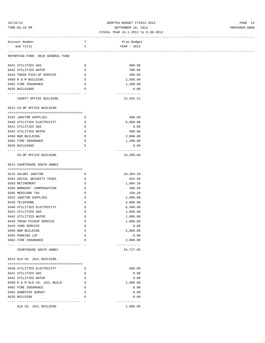# 10/16/12 ADOPTED BUDGET FY2012-2013 PAGE 14 TIME:05:19 PM SEPTEMBER 10, 2012 PREPARER:0008

### FISCAL YEAR 10-1-2012 to 9-30-2013 ------------------------------------------------------------------------------------------------------------------------------------

| Account Number                                                  | т           | Prop Budget                |
|-----------------------------------------------------------------|-------------|----------------------------|
| and Title                                                       | C           | YEAR - 2013                |
|                                                                 |             |                            |
| REPORTING FUND: 0010 GENERAL FUND                               |             |                            |
|                                                                 |             |                            |
| 0441 UTILITIES GAS                                              | Е           | 800.00                     |
| 0442 UTILITIES WATER                                            | Е           | 700.00                     |
| 0443 TRASH PICK-UP SERVICE                                      | Е           | 480.00                     |
| 0450 R & M BUILDING                                             | Е           | 2,500.00                   |
| 0482 FIRE INSURANCE                                             | $\mathbf E$ | 1,200.00                   |
| 0535 BUILDINGS                                                  | $\mathbf E$ | 0.00                       |
| -------------------------------------<br>COUNTY OFFICE BUILDING |             | -------------<br>15,635.21 |
| 0512 CO-OP OFFICE BUILDING                                      |             |                            |
|                                                                 |             |                            |
| 0332 JANITOR SUPPLIES                                           | E           | 500.00                     |
| 0440 UTILITIES ELECTRICITY                                      | Е           | 6,000.00                   |
| 0441 UTILITIES GAS                                              | Е           | 0.00                       |
| 0442 UTILITIES WATER                                            | E           | 500.00                     |
| 0450 R&M BUILDING                                               | $\mathbf E$ | 2,000.00                   |
| 0482 FIRE INSURANCE                                             | $\mathbf E$ | 1,200.00                   |
| 0535 BUILDINGS                                                  | Е           | 0.00                       |
|                                                                 |             | -------------              |
| CO-OP OFFICE BUILDING                                           |             | 10,200.00                  |
|                                                                 |             |                            |
| 0513 COURTHOUSE SOUTH ANNEX                                     |             |                            |
|                                                                 |             |                            |
| 0115 SALARY JANITOR                                             | Е           | 10,364.29                  |
| 0201 SOCIAL SECURITY TAXES                                      | Е           | 642.59                     |
| 0203 RETIREMENT                                                 | Е           | 1,084.10                   |
| 0204 WORKERS' COMPENSATION                                      | $\mathbf E$ | 386.59                     |
| 0205 MEDICARE TAX                                               | $\mathbf E$ | 150.28                     |
| 0332 JANITOR SUPPLIES                                           | Е           | 1,000.00                   |
| 0420 TELEPHONE                                                  | Е           | 4,000.00                   |
|                                                                 |             |                            |
| 0440 UTILITIES ELECTRICITY                                      | Е           | 6,500.00                   |
| 0441 UTILITIES GAS                                              | Е           | 1,000.00                   |
| 0442 UTILITIES WATER                                            | $\mathbf E$ | 1,000.00                   |
| 0443 TRASH PICKUP SERVICE                                       | Ε           | 1,000.00                   |
| 0444 YARD SERVICE                                               | Ε           | 0.00                       |
| 0450 R&M BUILDING                                               | E           | 5,000.00                   |
| 0455 PARKING LOT                                                | Е           | 0.00                       |
| 0482 FIRE INSURANCE                                             | Ε           | 2,600.00                   |
| COURTHOUSE SOUTH ANNEX                                          |             | -------------<br>34,727.85 |
| 0514 OLD CO. JAIL BUILDING                                      |             |                            |
|                                                                 |             |                            |
| 0440 UTILITIES ELECTRICITY                                      | Е           | 800.00                     |
| 0441 UTILITIES GAS                                              | Е           | 0.00                       |
| 0442 UTILITIES WATER                                            |             |                            |
|                                                                 | Е           | 0.00                       |
| 0450 R & M OLD CO. JAIL BUILD                                   | Е           | 1,000.00                   |
| 0482 FIRE INSURANCE                                             | Е           | 0.00                       |
|                                                                 |             | 0.00                       |
| 0483 ASBESTOS SURVEY                                            | $\mathbf E$ |                            |
| 0535 BUILDING                                                   | Е           | 0.00                       |
| OLD CO. JAIL BUILDING                                           |             | -------------<br>1,800.00  |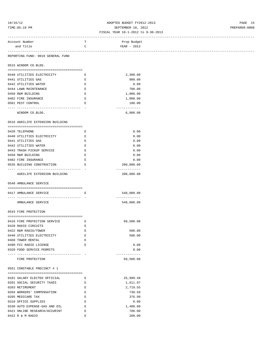# 10/16/12 ADOPTED BUDGET FY2012-2013 PAGE 15 TIME:05:19 PM SEPTEMBER 10, 2012 PREPARER:0008

| Account Number                         | Т                             | Prop Budget   |
|----------------------------------------|-------------------------------|---------------|
| and Title                              | $\mathsf{C}$                  | YEAR - 2013   |
| -------------------------              |                               |               |
| REPORTING FUND: 0010 GENERAL FUND      |                               |               |
| 0515 WINDOM CO.BLDG.                   |                               |               |
|                                        |                               |               |
| 0440 UTILITIES ELECTRICITY             | Е                             | 2,300.00      |
| 0441 UTILITIES GAS                     | $\mathbf{E}% _{0}$            | 900.00        |
| 0442 UTILITIES WATER                   | E                             | 0.00          |
| 0444 LAWN MAINTENANCE                  | E                             | 700.00        |
| 0450 R&M BUILDING                      | E                             | 1,000.00      |
| 0482 FIRE INSURANCE                    | $\mathbf E$                   | 1,000.00      |
| 0501 PEST CONTROL                      | $\mathbf E$                   | 100.00        |
|                                        |                               | ------------- |
| WINDOM CO.BLDG.                        |                               | 6,000.00      |
|                                        |                               |               |
| 0516 AGRILIFE EXTENSION BUILDING       |                               |               |
|                                        |                               |               |
| 0420 TELEPHONE                         | Е                             | 0.00          |
| 0440 UTILITIES ELECTRICITY             | E                             | 0.00          |
| 0441 UTILITIES GAS                     | Е                             | 0.00          |
| 0442 UTILITIES WATER                   | Е                             | 0.00          |
| 0443 TRASH PICKUP SERVICE              | Е                             | 0.00          |
|                                        |                               |               |
| 0450 R&M BUILDING                      | $\mathbf E$                   | 0.00          |
| 0482 FIRE INSURANCE                    | E                             | 0.00          |
| 0535 BUILDING CONSTRUCTION             | $\mathbf{E}$ and $\mathbf{E}$ | 200,000.00    |
|                                        |                               | ------------- |
| AGRILIFE EXTENSION BUILDING            |                               | 200,000.00    |
|                                        |                               |               |
| 0540 AMBULANCE SERVICE                 |                               |               |
| 0417 AMBULANCE SERVICE                 | E                             | 540,000.00    |
| ______________________________________ |                               | ------------- |
| AMBULANCE SERVICE                      |                               | 540,000.00    |
|                                        |                               |               |
| 0543 FIRE PROTECTION                   |                               |               |
|                                        |                               |               |
| 0416 FIRE PROTECTION SERVICE           | Е                             | 68,500.00     |
| 0420 RADIO CIRCUITS                    | Ε                             |               |
| 0422 R&M RADIO/TOWER                   |                               |               |
|                                        | Ε                             | 500.00        |
| 0440 UTILITIES ELECTRICITY             | E                             | 500.00        |
| 0460 TOWER RENTAL                      | Ε                             |               |
| 0490 FCC RADIO LICENSE                 | Е                             | 0.00          |
| 0320 FOOD SERVICE PERMITS              |                               | 0.00          |
|                                        |                               | ------------- |
| FIRE PROTECTION                        |                               | 69,500.00     |
|                                        |                               |               |
| 0551 CONSTABLE PRECINCT # 1            |                               |               |
|                                        |                               |               |
| 0101 SALARY ELECTED OFFICIAL           | E                             | 25,999.48     |
| 0201 SOCIAL SECURITY TAXES             | $\mathbf E$                   | 1,611.97      |
| 0203 RETIREMENT                        | $\mathbf E$                   | 2,719.55      |
| 0204 WORKERS' COMPENSATION             | E                             | 730.59        |
| 0205 MEDICARE TAX                      | $\mathbf{E}% _{0}$            | 376.99        |
| 0310 OFFICE SUPPLIES                   | Е                             | 0.00          |
| 0330 AUTO EXPENSE-GAS AND OIL          | $\mathbf E$                   | 1,400.00      |
| 0421 ONLINE RESEARCH/ACCURINT          | Е                             | 700.00        |
| 0422 R & M RADIO                       | Е                             | 200.00        |
|                                        |                               |               |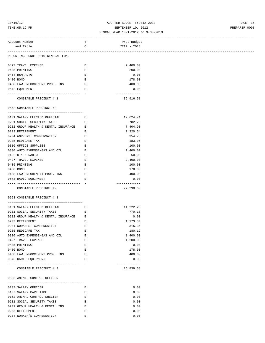# 10/16/12 ADOPTED BUDGET FY2012-2013 PAGE 16 TIME:05:19 PM SEPTEMBER 10, 2012 PREPARER:0008

### FISCAL YEAR 10-1-2012 to 9-30-2013 ------------------------------------------------------------------------------------------------------------------------------------

| Account Number                                                | T                  | Prop Budget   |                                   |
|---------------------------------------------------------------|--------------------|---------------|-----------------------------------|
| and Title                                                     | C                  | YEAR - 2013   |                                   |
|                                                               |                    |               | --------------------------------- |
| REPORTING FUND: 0010 GENERAL FUND                             |                    |               |                                   |
|                                                               |                    |               |                                   |
| 0427 TRAVEL EXPENSE                                           | Е                  | 2,400.00      |                                   |
| 0435 PRINTING                                                 | Ε                  | 200.00        |                                   |
| 0454 R&M AUTO                                                 | Ε                  | 0.00          |                                   |
| 0480 BOND                                                     | E                  | 178.00        |                                   |
| 0488 LAW ENFORCEMENT PROF. INS                                | Е                  | 400.00        |                                   |
| 0572 EOUIPMENT                                                | E                  | 0.00          |                                   |
| --------------------------- -                                 |                    | ------------- |                                   |
| CONSTABLE PRECINCT # 1                                        |                    | 36,916.58     |                                   |
|                                                               |                    |               |                                   |
| 0552 CONSTABLE PRECINCT #2                                    |                    |               |                                   |
|                                                               |                    |               |                                   |
| 0101 SALARY ELECTED OFFICIAL<br>$\mathbf{E}$ and $\mathbf{E}$ |                    | 12,624.71     |                                   |
| 0201 SOCIAL SECURITY TAXES                                    | Е                  | 782.73        |                                   |
| 0202 GROUP HEALTH & DENTAL INSURANCE E                        |                    | 7,404.90      |                                   |
| 0203 RETIREMENT                                               | Е                  | 1,320.54      |                                   |
| 0204 WORKERS' COMPENSATION                                    | Е                  | 354.75        |                                   |
| 0205 MEDICARE TAX                                             | $\mathbf{E}% _{0}$ | 183.06        |                                   |
| 0310 OFFICE SUPPLIES                                          | Ε                  | 100.00        |                                   |
| 0330 AUTO EXPENSE-GAS AND OIL                                 | Е                  | 1,400.00      |                                   |
| 0422 R & M RADIO                                              | Е                  | 50.00         |                                   |
| 0427 TRAVEL EXPENSE                                           | Ε                  | 2,400.00      |                                   |
| 0435 PRINTING                                                 | Е                  | 100.00        |                                   |
| 0480 BOND                                                     | Е                  | 178.00        |                                   |
| 0488 LAW ENFOREMENT PROF. INS.                                | E                  | 400.00        |                                   |
| 0573 RADIO EQUIPMENT                                          | Е                  | 0.00          |                                   |
|                                                               |                    | ------------- |                                   |
| CONSTABLE PRECINCT #2                                         |                    | 27,298.69     |                                   |
|                                                               |                    |               |                                   |
| 0553 CONSTABLE PRECINCT # 3                                   |                    |               |                                   |
|                                                               |                    |               |                                   |
| 0101 SALARY ELECTED OFFICIAL                                  | E                  | 11,222.20     |                                   |
| 0201 SOCIAL SECURITY TAXES                                    | Е                  | 770.18        |                                   |
| 0202 GROUP HEALTH & DENTAL INSURANCE                          | E                  | 0.00          |                                   |
| 0203 RETIREMENT                                               | Е                  | 1,173.84      |                                   |
| 0204 WORKERS' COMPENSATION                                    | Ε                  | 315.34        |                                   |
| 0205 MEDICARE TAX                                             | Ε                  | 180.12        |                                   |
| 0330 AUTO EXPENSE-GAS AND OIL                                 | Е                  | 1,400.00      |                                   |
| 0427 TRAVEL EXPENSE                                           | Ε                  | 1,200.00      |                                   |
| 0435 PRINTING                                                 | Ε                  | 0.00          |                                   |
| 0480 BOND                                                     | Ε                  | 178.00        |                                   |
| 0488 LAW ENFORCEMENT PROF. INS                                | E                  | 400.00        |                                   |
| 0573 RADIO EQUIPMENT                                          | $\mathbf E$        | 0.00          |                                   |
|                                                               |                    | ------------- |                                   |
| CONSTABLE PRECINCT # 3                                        |                    |               |                                   |
|                                                               |                    | 16,839.68     |                                   |
|                                                               |                    |               |                                   |
| 0555 ANIMAL CONTROL OFFICER                                   |                    |               |                                   |
|                                                               |                    |               |                                   |
| 0103 SALARY OFFICER                                           | E                  | 0.00          |                                   |
| 0107 SALARY PART TIME                                         | Е                  | 0.00          |                                   |
| 0162 ANIMAL CONTROL SHELTER                                   | $\mathbf E$        | 0.00          |                                   |
| 0201 SOCIAL SECURITY TAXES                                    | $\mathbf E$        | 0.00          |                                   |
| 0202 GROUP HEALTH & DENTAL INS                                | Е                  | 0.00          |                                   |
| 0203 RETIREMENT                                               | Е                  | 0.00          |                                   |
| 0204 WORKER'S COMPENSATION                                    | Ε                  | 0.00          |                                   |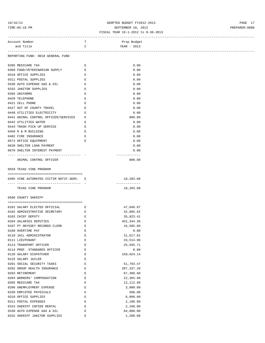# 10/16/12 PAGE 17<br>
10/16/12 PM<br>
TIME:05:19 PM<br>
PREPARER:0008<br>
FISCAL YEAR 10-1-2012 to 9-30-2013 TIME:05:19 PM SEPTEMBER 10, 2012 PREPARER:0008

### FISCAL YEAR 10-1-2012 to 9-30-2013

| Account Number     |                                                                                | T                                    | Prop Budget             |
|--------------------|--------------------------------------------------------------------------------|--------------------------------------|-------------------------|
| and Title          |                                                                                | $\mathbf C$                          | YEAR - 2013             |
|                    |                                                                                |                                      |                         |
|                    | REPORTING FUND: 0010 GENERAL FUND                                              |                                      |                         |
|                    |                                                                                |                                      |                         |
| 0205 MEDICARE TAX  |                                                                                | E                                    | 0.00                    |
|                    | 0309 FOOD/VETERINARIAN SUPPLY                                                  | E                                    | 0.00                    |
|                    | 0310 OFFICE SUPPLIES                                                           | E                                    | 0.00                    |
|                    | 0311 POSTAL SUPPLIES                                                           | E                                    | 0.00                    |
|                    | 0330 AUTO EXPENSE GAS & OIL                                                    | $\mathbb{E}$ .<br><br>: $\mathbb{E}$ | 0.00                    |
|                    | 0332 JANITOR SUPPLIES                                                          | E                                    | 0.00                    |
| 0395 UNIFORMS      |                                                                                | E                                    | 0.00                    |
| 0420 TELEPHONE     |                                                                                | $\mathbf E$                          | 0.00                    |
| 0421 CELL PHONE    |                                                                                | E                                    | 0.00                    |
|                    | 0427 OUT OF COUNTY TRAVEL                                                      | E                                    | 0.00                    |
|                    | 0440 UTILITIES ELECTRICITY                                                     | E                                    | 0.00                    |
|                    | 0441 ANIMAL CONTROL OFFICER/SERVICES E                                         |                                      | 800.00                  |
|                    | 0442 UTILITIES WATER                                                           | E                                    | 0.00                    |
|                    | 0443 TRASH PICK UP SERVICE                                                     | E                                    | 0.00                    |
|                    |                                                                                |                                      |                         |
|                    | 0450 R & M BUILDING                                                            | E                                    | 0.00                    |
|                    | 0482 FIRE INSURANCE                                                            | $\mathbf{E}$                         | 0.00                    |
|                    | 0572 OFFICE EQUIPMENT                                                          | E                                    | 0.00                    |
|                    | 0630 SHELTER LOAN PAYMENT                                                      |                                      | 0.00                    |
|                    | 0670 SHELTER INTEREST PAYMENT                                                  |                                      | 0.00                    |
|                    | -----------------------------------                                            |                                      | -------------<br>800.00 |
|                    | ANIMAL CONTROL OFFICER                                                         |                                      |                         |
|                    | 0559 TEXAS VINE PROGRAM                                                        |                                      |                         |
|                    |                                                                                |                                      |                         |
|                    | 0495 VINE AUTOMATED VICTIM NOTIF.SERV. E                                       |                                      | 18,283.00               |
|                    |                                                                                |                                      | -------------           |
|                    | TEXAS VINE PROGRAM                                                             |                                      | 18,283.00               |
|                    |                                                                                |                                      |                         |
|                    | 0560 COUNTY SHERIFF                                                            |                                      |                         |
|                    |                                                                                |                                      |                         |
|                    | 0101 SALARY ELECTED OFFICIAL<br>$\mathbf{E}$ and $\mathbf{E}$ and $\mathbf{E}$ |                                      | 47,046.67               |
|                    | 0102 ADMINISTRATIVE SECRETARY                                                  | E                                    | 32,885.62               |
| 0103 CHIEF DEPUTY  |                                                                                | E                                    | 35,823.41               |
|                    | 0104 SALARIES DEPUTIES                                                         | E                                    | 452,344.36              |
|                    | 0107 PT ODYSSEY RECORDS CLERK                                                  | E                                    | 16,585.89               |
| 0108 OVERTIME PAY  |                                                                                | E                                    | 0.00                    |
|                    | 0110 JAIL ADMINISTRATOR                                                        | E                                    | 31,617.81               |
| 0111 LIEUTENANT    |                                                                                | Ε                                    | 33,514.98               |
|                    | 0113 TRANSPORT OFFICER                                                         | Е                                    | 25,935.71               |
|                    | 0114 PROF. STANDARDS OFFICER                                                   | Е                                    | 0.00                    |
|                    |                                                                                |                                      |                         |
|                    | 0120 SALARY DISPATCHER                                                         | Е                                    | 159,624.14              |
| 0125 SALARY JAILER |                                                                                | Ε                                    |                         |
|                    | 0201 SOCIAL SECURITY TAXES                                                     | E                                    | 51,793.47               |
|                    | 0202 GROUP HEALTH INSURANCE                                                    | Е                                    | 207, 337.20             |
| 0203 RETIREMENT    |                                                                                | Е                                    | 87,380.60               |
|                    | 0204 WORKERS' COMPENSATION                                                     | Е                                    | 22,365.98               |
| 0205 MEDICARE TAX  |                                                                                | Е                                    | 12,112.99               |
|                    | 0206 UNEMPLOYMENT EXPENSE                                                      | Ε                                    | 3,000.00                |
|                    | 0250 EMPLOYEE PHYSICALS                                                        | E                                    | 500.00                  |
|                    | 0310 OFFICE SUPPLIES                                                           | Ε                                    | 6,000.00                |
|                    | 0311 POSTAL EXPENSES                                                           | Ε                                    | 2,100.00                |
|                    |                                                                                |                                      |                         |
|                    | 0315 SHERIFF COPIER RENTAL                                                     | Ε                                    | 2,100.00                |
|                    | 0330 AUTO EXPENSE GAS & OIL                                                    | E                                    | 84,000.00               |

0332 SHERIFF JANITOR SUPPLIES BOOK E 200.00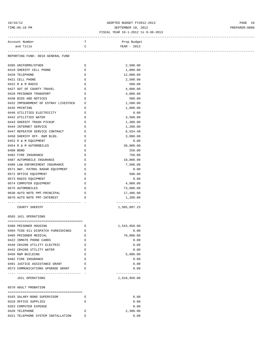# 10/16/12 ADOPTED BUDGET FY2012-2013 PAGE 18 TIME:05:19 PM SEPTEMBER 10, 2012 PREPARER:0008

|                                      |              | --------------------------------- |
|--------------------------------------|--------------|-----------------------------------|
| Account Number                       | T            | Prop Budget                       |
| and Title                            | $\mathbf C$  | YEAR - 2013                       |
|                                      |              |                                   |
| REPORTING FUND: 0010 GENERAL FUND    |              |                                   |
|                                      |              |                                   |
| 0395 UNIFORMS/OTHER                  | E            | 2,500.00                          |
| 0419 SHERIFF CELL PHONE              | E            | 1,080.00                          |
| 0420 TELEPHONE                       | E            | 12,000.00                         |
| 0421 CELL PHONE                      | $\mathbf E$  | 2,500.00                          |
| 0422 R & M RADIO                     | E            | 500.00                            |
| 0427 OUT OF COUNTY TRAVEL            | E            | 4,000.00                          |
| 0428 PRISONER TRANSPORT              | Е            | 4,000.00                          |
| 0430 BIDS AND NOTICES                | Е            | 500.00                            |
| 0432 IMPOUNDMENT OF ESTRAY LIVESTOCK | Е            | 1,500.00                          |
| 0435 PRINTING                        | Е            | 1,000.00                          |
| 0440 UTILITIES ELECTRICITY           | E            | 0.00                              |
| 0442 UTILITIES WATER                 | E            | 3,500.00                          |
| 0443 SHERIFF TRASH PICKUP            | E            | 1,300.00                          |
| 0444 INTERNET SERVICE                | E            | 1,200.00                          |
| 0447 REPEATER SERVICE CONTRACT       | E            | 6,554.40                          |
| 0450 SHERIFF OFF. R&M BLDG.          | Е            | 3,000.00                          |
| 0452 R & M EQUIPMENT                 | E            | 0.00                              |
| 0454 R & M AUTOMOBILES               | E            | 30,000.00                         |
| 0480 BOND                            | E            | 258.00                            |
| 0482 FIRE INSURANCE                  | E            | 750.00                            |
| 0487 AUTOMOBILE INSURANCE            | E            | 10,000.00                         |
| 0488 LAW ENFORCEMENT INSURANCE       | E            | 7,500.00                          |
| 0571 HWY. PATROL RADAR EQUIPMENT     | E            | 0.00                              |
| 0572 OFFICE EQUIPMENT                | E            | 500.00                            |
| 0573 RADIO EQUIPMENT                 | E            | 0.00                              |
| 0574 COMPUTER EQUIPMENT              | E            | 4,000.00                          |
| 0575 AUTOMOBILES                     | E            | 73,000.00                         |
| 0630 AUTO NOTE PMT-PRINCIPAL         | E            | 17,486.00                         |
| 0670 AUTO NOTE PMT-INTEREST          | $\mathbf{E}$ | 1,200.00                          |
|                                      |              | -------------                     |
| COUNTY SHERIFF                       |              | 1,505,097.23                      |
| 0565 JAIL OPERATIONS                 |              |                                   |
|                                      |              |                                   |
| 0380 PRISONER HOUSING                | Е            | 1,543,950.00                      |
| 0404 TCOG 911 DISPATCH FURNISHINGS   | Ε            | 0.00                              |
| 0405 PRISONER MEDICAL                | Е            | 70,000.00                         |
| 0422 INMATE PHONE CARDS              | Ε            | 0.00                              |
| 0440 CR4200 UTILITY ELECTRIC         | Е            | 0.00                              |
| 0442 CR4200 UTILITY WATER            | Е            | 0.00                              |
| 0450 R&M BUILDING                    | Е            | 5,000.00                          |
| 0482 FIRE INSURANCE                  | Е            | 0.00                              |
| 0491 JUSTICE ASSISTANCE GRANT        | Е            | 0.00                              |
| 0573 COMMUNICATIONS UPGRADE GRANT    | Е            | 0.00                              |
| ----------------------               |              | -------------                     |
| <b>JAIL OPERATIONS</b>               |              | 1,618,950.00                      |
| 0570 ADULT PROBATION                 |              |                                   |
|                                      |              | 0.00                              |
| 0103 SALARY-BOND SUPERVISOR          | Е            |                                   |
| 0310 OFFICE SUPPLIES                 | E            | 0.00                              |
| 0353 COMPUTER EXPENSE                |              | 0.00                              |
| 0420 TELEPHONE                       | Ε            | 2,300.00                          |
| 0421 TELEPHONE SYSTEM INSTALLATION   | Е            | 0.00                              |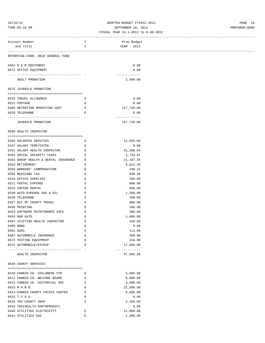### 10/16/12 ADOPTED BUDGET FY2012-2013 PAGE 19 TIME:05:19 PM PREPARER:0008

### FISCAL YEAR 10-1-2012 to 9-30-2013

| Account Number                                        | T            | Prop Budget                |  |
|-------------------------------------------------------|--------------|----------------------------|--|
| and Title                                             | $\mathbb{C}$ | YEAR - 2013                |  |
|                                                       |              |                            |  |
| REPORTING FUND: 0010 GENERAL FUND                     |              |                            |  |
|                                                       |              |                            |  |
| 0452 R & M EQUIPMENT                                  |              | 0.00                       |  |
| 0572 OFFICE EQUIPMENT                                 |              | 0.00                       |  |
|                                                       |              | -------------              |  |
| ADULT PROBATION                                       |              | 2,300.00                   |  |
|                                                       |              |                            |  |
| 0575 JUVENILE PROBATION                               |              |                            |  |
| 0225 TRAVEL ALLOWANCE                                 | $\mathbf{E}$ | 0.00                       |  |
| 0311 POSTAGE                                          | Е            | 0.00                       |  |
| 0408 DETENTION OPERATING COST E                       |              | 127,720.00                 |  |
| 0420 TELEPHONE                                        | E            | 0.00                       |  |
|                                                       |              | -------------              |  |
| JUVENILE PROBATION                                    |              | 127,720.00                 |  |
|                                                       |              |                            |  |
| 0590 HEALTH INSPECTOR                                 |              |                            |  |
|                                                       |              |                            |  |
| 0104 SALARIES DEPUTIES                                | E            | 12,893.09                  |  |
| 0107 SALARY TEMP/EXTRA                                | E            | 0.00                       |  |
| 0151 SALARY HEALTH INSPECTOR E                        |              | 31,200.64                  |  |
| 0201 SOCIAL SECURITY TAXES                            | $\mathbf{E}$ | 2,733.81                   |  |
| 0202 GROUP HEALTH & DENTAL INSURANCE E                |              | 11,107.35                  |  |
| 0203 RETIREMENT                                       | E            | 4,612.20                   |  |
| 0204 WORKERS' COMPENSATION                            | E            | 248.21                     |  |
| 0205 MEDICARE TAX                                     | E            | 639.36                     |  |
| 0310 OFFICE SUPPLIES                                  | Е            | 700.00                     |  |
| 0311 POSTAL EXPENSE                                   | Е            | 900.00                     |  |
| 0315 COPIER RENTAL                                    | E            | 450.00                     |  |
| 0330 AUTO EXPENSE GAS & OIL                           | E            | 1,200.00                   |  |
| 0420 TELEPHONE                                        | E            | 700.00                     |  |
| 0427 OUT OF COUNTY TRAVEL                             | Е            | 900.00                     |  |
| 0435 PRINTING                                         | Е            | 100.00                     |  |
| 0453 SOFTWARE MAINTENANCE SAFE<br><b>Experience E</b> |              | 300.00                     |  |
| 0454 R&M AUTO                                         | E            | 1,000.00                   |  |
| 0467 VISITING HEALTH INSPECTOR                        | E            | 150.00                     |  |
| 0480 BOND                                             | Е            | 0.00                       |  |
| 0481 DUES                                             | Е            | 111.00                     |  |
| 0487 AUTOMOBILE INSURANCE                             | Ε            | 400.00                     |  |
| 0572 TESTING EQUIPMENT                                | Е            | 150.00                     |  |
| 0575 AUTOMOBILE/PICKUP                                | Ε            | 17,500.00<br>------------- |  |
| HEALTH INSPECTOR                                      |              | 87,995.66                  |  |
|                                                       |              |                            |  |
| 0640 COUNTY SERVICES                                  |              |                            |  |
|                                                       |              |                            |  |
| 0410 FANNIN CO. CHILDRENS CTR                         | Е            | 5,000.00                   |  |
| 0411 FANNIN CO. WELFARE BOARD                         | Е            | 6,000.00                   |  |
| 0412 FANNIN CO. HISTORICAL SOC                        | Е            | 3,500.00                   |  |
| 0413 M.H.M.R.                                         | Е            | 22,500.00                  |  |
| 0414 FANNIN COUNTY CRISIS CENTER                      | Е            | 5,000.00                   |  |
| 0415 T.C.O.G.                                         | Е            | 0.00                       |  |
| 0416 TRI-COUNTY SNAP                                  | Е            | 2,103.00                   |  |
| 0419 TDH(HEALTH PARTNERSHIP)                          |              | 0.00                       |  |

0440 UTILITIES ELECTRICITY BOOK E 12,000.00 0441 UTILITIES GAS BOOK E 2,300.00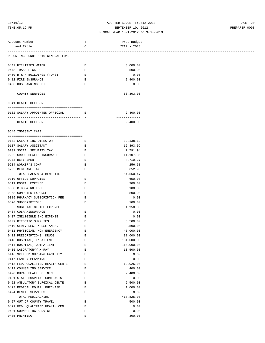# 10/16/12 ADOPTED BUDGET FY2012-2013 PAGE 20 TIME:05:19 PM SEPTEMBER 10, 2012 PREPARER:0008

|                                   |                              | FISCAL YEAR 10-1-2012 to 9-30-2013 |  |
|-----------------------------------|------------------------------|------------------------------------|--|
| Account Number                    | т                            | Prop Budget                        |  |
| and Title                         | C                            | YEAR - 2013                        |  |
| REPORTING FUND: 0010 GENERAL FUND |                              |                                    |  |
| 0442 UTILITIES WATER              | Е                            | 3,000.00                           |  |
| 0443 TRASH PICK-UP                | E                            | 500.00                             |  |
| 0450 R & M BUILDINGS (TDHS)       | $\mathbf E$                  | 0.00                               |  |
| 0482 FIRE INSURANCE               | Е                            | 2,400.00                           |  |
| 0493 DHS PARKING LOT              | Е                            | 0.00                               |  |
| COUNTY SERVICES                   |                              | -------------<br>63,303.00         |  |
| 0641 HEALTH OFFICER               |                              |                                    |  |
| 0102 SALARY APPOINTED OFFICIAL    | <b>Experience Experience</b> | 2,400.00                           |  |
| HEALTH OFFICER                    |                              | -------------<br>2,400.00          |  |
| 0645 INDIGENT CARE                |                              |                                    |  |
| 0102 SALARY IHC DIRECTOR          | Е                            | 32, 138. 19                        |  |
| 0107 SALARY ASSISTANT             | Е                            | 12,893.09                          |  |
| 0201 SOCIAL SECURITY TAX          | E                            | 2,791.94                           |  |
| 0202 GROUP HEALTH INSURANCE       | Е                            | 11,107.35                          |  |
| 0203 RETIREMENT                   | Е                            | 4,710.27                           |  |
| 0204 WORKER'S COMP                | Е                            | 256.68                             |  |
| 0205 MEDICARE TAX                 | E                            | 652.95                             |  |
| TOTAL SALARY & BENEFITS           |                              | 64,550.47                          |  |
| 0310 OFFICE SUPPLIES              | Е                            | 650.00                             |  |
| 0311 POSTAL EXPENSE               | Е                            | 300.00                             |  |
| 0330 BIDS & NOTICES               | Е                            | 100.00                             |  |
| 0353 COMPUTER EXPENSE             | Е                            | 800.00                             |  |
| 0385 PHARMACY SUBSCRIPTION FEE    | Е                            | 0.00                               |  |
| 0390 SUBSCRIPTIONS                | E                            | 100.00                             |  |
| SUBTOTAL OFFICE EXPENSE           |                              | 1,950.00                           |  |
| 0404 COBRA/INSURANCE              | Е                            | 0.00                               |  |
| 0407 INELIGIBLE IHC EXPENSE       | Ε                            | 0.00                               |  |
| 0409 DIEBETIC SUPPLIES            | E                            | 8,500.00                           |  |
| 0410 CERT. REG. NURSE ANES.       | Е                            | 2,500.00                           |  |
| 0411 PHYSICIAN, NON-EMERGENCY     | Ε                            | 45,000.00                          |  |
| 0412 PRESCRIPTIONS, DRUGS         | Ε                            | 81,000.00                          |  |
| 0413 HOSPITAL, INPATIENT          | Е                            | 131,000.00                         |  |
| 0414 HOSPITAL, OUTPATIENT         | Ε                            | 114,000.00                         |  |
| 0415 LABORATORY/ X-RAY            | E                            | 13,500.00                          |  |
| 0416 SKILLED NURSING FACILITY     | Ε                            | 0.00                               |  |
| 0417 FAMILY PLANNING              | Ε                            | 0.00                               |  |
| 0418 FED. QUALIFIED HEALTH CENTER | Ε                            | 12,025.00                          |  |
| 0419 COUNSELING SERVICE           | Ε                            | 400.00                             |  |
| 0420 RURAL HEALTH CLINIC          | Ε                            | 2,400.00                           |  |
| 0421 STATE HOSPITAL CONTRACTS     | Ε                            | 0.00                               |  |
| 0422 AMBULATORY SURGICAL CENTE    | E                            | 6,500.00                           |  |
| 0423 MEDICAL EQUIP. PURCHASE      | Ε                            | 1,000.00                           |  |
| 0424 DENTAL SERVICES              | Ε                            | 0.00                               |  |
| TOTAL MEDICAL/IHC                 |                              | 417,825.00                         |  |
| 0427 OUT OF COUNTY TRAVEL         | E                            | 500.00                             |  |
| 0429 FED. QUALIFIED HEALTH CEN    | Ε                            | 0.00                               |  |
| 0431 COUNSELING SERVICE           | E                            | 0.00                               |  |
|                                   |                              |                                    |  |

0435 PRINTING 300.00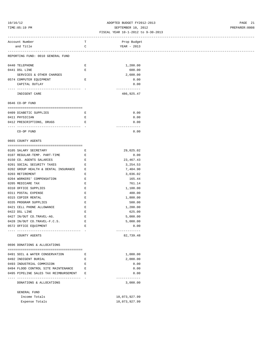### 10/16/12 ADOPTED BUDGET FY2012-2013 PAGE 21 TIME:05:19 PM SEPTEMBER 10, 2012 PREPARER:0008

| Account Number                         | T           | Prop Budget   |
|----------------------------------------|-------------|---------------|
| and Title                              | $\mathbf C$ | YEAR - 2013   |
|                                        |             |               |
| REPORTING FUND: 0010 GENERAL FUND      |             |               |
|                                        |             |               |
| 0440 TELEPHONE                         | Е           | 1,200.00      |
| 0441 DSL LINE                          | Е           | 600.00        |
| SERVICES & OTHER CHARGES               |             | 2,600.00      |
| 0574 COMPUTER EQUIPMENT                | Е           | 0.00          |
| CAPITAL OUTLAY                         |             | 0.00          |
|                                        |             | ------------- |
| INDIGENT CARE                          |             | 486,925.47    |
| 0646 CO-OP FUND                        |             |               |
|                                        |             |               |
| 0409 DIABETIC SUPPLIES                 | E           | 0.00          |
| 0411 PHYSICIAN                         | Е           | 0.00          |
| 0412 PRESCRIPTIONS, DRUGS              | E           | 0.00          |
|                                        |             | ------------- |
| CO-OP FUND                             |             | 0.00          |
|                                        |             |               |
| 0665 COUNTY AGENTS                     |             |               |
|                                        |             |               |
| 0105 SALARY SECRETARY                  | Е           | 29,025.02     |
| 0107 REGULAR-TEMP. PART-TIME           | E           | 0.00          |
| 0150 CO. AGENTS SALARIES               | Е           | 23, 467. 43   |
| 0201 SOCIAL SECURITY TAXES             | E           | 3,254.53      |
| 0202 GROUP HEALTH & DENTAL INSURANCE E |             | 7,404.90      |
| 0203 RETIREMENT                        | E           | 3,036.02      |
| 0204 WORKERS' COMPENSATION             | E           | 165.44        |
| 0205 MEDICARE TAX                      | $\mathbf E$ | 761.14        |
| 0310 OFFICE SUPPLIES                   | Е           | 1,100.00      |
| 0311 POSTAL EXPENSE                    | $\mathbf E$ | 400.00        |
| 0315 COPIER RENTAL                     | $\mathbf E$ | 1,800.00      |
| 0335 PROGRAM SUPPLIES                  | E           | 500.00        |
| 0421 CELL PHONE ALLOWANCE              | E           | 1,200.00      |
| 0422 DSL LINE                          | E           | 625.00        |
| 0427 IN/OUT CO.TRAVEL-AG.              | E           | 5,000.00      |
| 0428 IN/OUT CO.TRAVEL-F.C.S.           | $\mathbf E$ | 5,000.00      |
| 0572 OFFICE EQUIPMENT                  | $\mathbf E$ | 0.00          |
|                                        |             | ------------- |
| COUNTY AGENTS                          |             | 82,739.48     |
|                                        |             |               |
| 0696 DONATIONS & ALLOCATIONS           |             |               |
|                                        |             |               |
| 0491 SOIL & WATER CONSERVATION         | Ε           | 1,000.00      |
| 0492 INDIGENT BURIAL                   | Ε           | 2,000.00      |
| 0493 INDUSTRIAL COMMISION              | Ε           | 0.00          |
| 0494 FLOOD CONTROL SITE MAINTENANCE    | Ε           | 0.00          |
| 0495 PIPELINE SALES TAX REIMBURSEMENT  | Ε           | 0.00          |
|                                        |             | -----------   |
| DONATIONS & ALLOCATIONS                |             | 3,000.00      |
|                                        |             |               |
| GENERAL FUND                           |             |               |
| Income Totals                          |             | 10,073,927.99 |
| Expense Totals                         |             | 10,073,927.99 |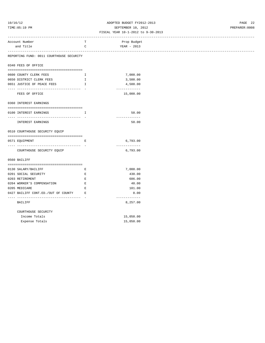# 10/16/12 ADOPTED BUDGET FY2012-2013 PAGE 22 TIME:05:19 PM SEPTEMBER 10, 2012 PREPARER:0008

| -----------------------                                                                                                                                                                                                                                                                                                                                                                                                  |              | ------------------------- |  |
|--------------------------------------------------------------------------------------------------------------------------------------------------------------------------------------------------------------------------------------------------------------------------------------------------------------------------------------------------------------------------------------------------------------------------|--------------|---------------------------|--|
| Account Number                                                                                                                                                                                                                                                                                                                                                                                                           | Т            | Prop Budget               |  |
| and Title                                                                                                                                                                                                                                                                                                                                                                                                                | $\mathsf C$  | YEAR - 2013               |  |
|                                                                                                                                                                                                                                                                                                                                                                                                                          |              |                           |  |
| REPORTING FUND: 0011 COURTHOUSE SECURITY                                                                                                                                                                                                                                                                                                                                                                                 |              |                           |  |
| 0340 FEES OF OFFICE                                                                                                                                                                                                                                                                                                                                                                                                      |              |                           |  |
|                                                                                                                                                                                                                                                                                                                                                                                                                          |              |                           |  |
| 0600 COUNTY CLERK FEES                                                                                                                                                                                                                                                                                                                                                                                                   | $\mathbf{I}$ | 7,000.00                  |  |
| 0650 DISTRICT CLERK FEES                                                                                                                                                                                                                                                                                                                                                                                                 | Ι.           | 3,500.00                  |  |
| 0651 JUSTICE OF PEACE FEES                                                                                                                                                                                                                                                                                                                                                                                               | I.           | 4,500.00                  |  |
|                                                                                                                                                                                                                                                                                                                                                                                                                          |              | -------------             |  |
| FEES OF OFFICE                                                                                                                                                                                                                                                                                                                                                                                                           |              | 15,000.00                 |  |
| 0360 INTEREST EARNINGS                                                                                                                                                                                                                                                                                                                                                                                                   |              |                           |  |
|                                                                                                                                                                                                                                                                                                                                                                                                                          |              |                           |  |
| 0100 INTEREST EARNINGS                                                                                                                                                                                                                                                                                                                                                                                                   | $\mathbf{I}$ | 50.00                     |  |
| -----------------------------------                                                                                                                                                                                                                                                                                                                                                                                      |              | -----------               |  |
| INTEREST EARNINGS                                                                                                                                                                                                                                                                                                                                                                                                        |              | 50.00                     |  |
|                                                                                                                                                                                                                                                                                                                                                                                                                          |              |                           |  |
| 0510 COURTHOUSE SECURITY EQUIP                                                                                                                                                                                                                                                                                                                                                                                           |              |                           |  |
| $\hskip-10.08cm \begin{array}{ l l }\hskip-0.08cm & \multicolumn{1}{ l }{} \hskip-0.08cm & \multicolumn{1}{ l }{} \hskip-0.08cm & \multicolumn{1}{ l }{} \hskip-0.08cm & \multicolumn{1}{ l }{} \hskip-0.08cm & \multicolumn{1}{ l }{} \hskip-0.08cm & \multicolumn{1}{ l }{} \hskip-0.08cm & \multicolumn{1}{ l }{} \hskip-0.08cm & \multicolumn{1}{ l }{} \hskip-0.08cm & \multicolumn{1}{ l }{} \h$<br>0571 EQUIPMENT | E            | 6,793.00                  |  |
| ------------------------------------                                                                                                                                                                                                                                                                                                                                                                                     |              | -------------             |  |
| COURTHOUSE SECURITY EQUIP                                                                                                                                                                                                                                                                                                                                                                                                |              | 6,793.00                  |  |
|                                                                                                                                                                                                                                                                                                                                                                                                                          |              |                           |  |
| 0560 BAILIFF                                                                                                                                                                                                                                                                                                                                                                                                             |              |                           |  |
|                                                                                                                                                                                                                                                                                                                                                                                                                          |              |                           |  |
| 0130 SALARY/BAILIFF                                                                                                                                                                                                                                                                                                                                                                                                      | Е            | 7,000.00                  |  |
| 0201 SOCIAL SECURITY                                                                                                                                                                                                                                                                                                                                                                                                     | Е            | 430.00                    |  |
| 0203 RETIREMENT                                                                                                                                                                                                                                                                                                                                                                                                          | $\mathbf E$  | 686.00                    |  |
| 0204 WORKER'S COMPENSATION                                                                                                                                                                                                                                                                                                                                                                                               | $\mathbf E$  | 40.00                     |  |
| 0205 MEDICARE                                                                                                                                                                                                                                                                                                                                                                                                            | $\mathbf E$  | 101.00                    |  |
| 0427 BAILIFF CONT.ED./OUT OF COUNTY                                                                                                                                                                                                                                                                                                                                                                                      | E            | 0.00                      |  |
| ----------------------------------<br><b>BAILIFF</b>                                                                                                                                                                                                                                                                                                                                                                     |              | -------------<br>8,257.00 |  |
| COURTHOUSE SECURITY                                                                                                                                                                                                                                                                                                                                                                                                      |              |                           |  |
| Income Totals                                                                                                                                                                                                                                                                                                                                                                                                            |              | 15,050.00                 |  |
| Expense Totals                                                                                                                                                                                                                                                                                                                                                                                                           |              | 15,050.00                 |  |
|                                                                                                                                                                                                                                                                                                                                                                                                                          |              |                           |  |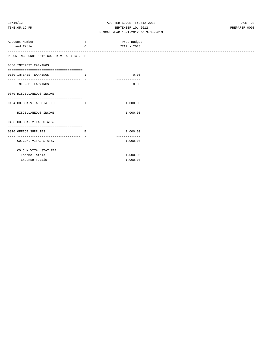# 10/16/12 ADOPTED BUDGET FY2012-2013 PAGE 23 TIME:05:19 PM SEPTEMBER 10, 2012 PREPARER:0008

| Account Number                                                     | т                                                               | Prop Budget               |
|--------------------------------------------------------------------|-----------------------------------------------------------------|---------------------------|
| and Title                                                          | C                                                               | YEAR - 2013               |
| .<br>REPORTING FUND: 0012 CO.CLK.VITAL STAT.FEE                    |                                                                 |                           |
|                                                                    |                                                                 |                           |
| 0360 INTEREST EARNINGS                                             |                                                                 |                           |
| 0100 INTEREST EARNINGS                                             | $\mathbf{I}$                                                    | 0.00                      |
| --------------------------------- -                                |                                                                 | -------------             |
| INTEREST EARNINGS                                                  |                                                                 | 0.00                      |
| 0370 MISCELLANEOUS INCOME                                          |                                                                 |                           |
|                                                                    |                                                                 |                           |
| 0134 CO.CLK.VITAL STAT.FEE<br>____________________________________ | $\mathbf{I}$ and $\mathbf{I}$ and $\mathbf{I}$ and $\mathbf{I}$ | 1,000.00                  |
| MISCELLANEOUS INCOME                                               |                                                                 | -------------<br>1,000.00 |
| 0403 CO.CLK. VITAL STATS.                                          |                                                                 |                           |
| -------------------------------------                              |                                                                 |                           |
| 0310 OFFICE SUPPLIES                                               | E                                                               | 1,000.00                  |
| CO.CLK. VITAL STATS.                                               |                                                                 | -------------<br>1,000.00 |
| CO.CLK.VITAL STAT.FEE                                              |                                                                 |                           |
| Income Totals                                                      |                                                                 | 1,000.00                  |
| Expense Totals                                                     |                                                                 | 1,000.00                  |
|                                                                    |                                                                 |                           |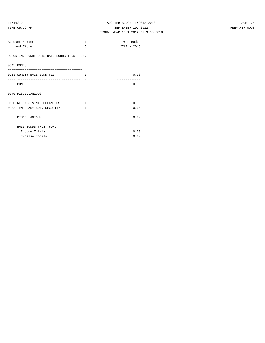# 10/16/12 ADOPTED BUDGET FY2012-2013 PAGE 24 TIME:05:19 PM SEPTEMBER 10, 2012 PREPARER:0008

| Account Number                                                  | т            | Prop Budget           |
|-----------------------------------------------------------------|--------------|-----------------------|
| and Title                                                       | $\mathsf{C}$ | YEAR - 2013           |
|                                                                 |              |                       |
| REPORTING FUND: 0013 BAIL BONDS TRUST FUND                      |              |                       |
|                                                                 |              |                       |
| 0345 BONDS                                                      |              |                       |
|                                                                 |              |                       |
| 0113 SURETY BAIL BOND FEE                                       | $\top$       | 0.00                  |
| --------------------------------------                          |              | -------------         |
| <b>BONDS</b>                                                    |              | 0.00                  |
|                                                                 |              |                       |
| 0370 MISCELLANEOUS                                              |              |                       |
|                                                                 |              |                       |
| 0130 REFUNDS & MISCELLANEOUS                                    | $\mathbf{T}$ | 0.00                  |
| 0132 TEMPORARY BOND SECURITY<br>------------------------------- | $\mathbb{T}$ | 0.00                  |
| MISCELLANEOUS                                                   |              | -------------<br>0.00 |
|                                                                 |              |                       |
| BAIL BONDS TRUST FUND                                           |              |                       |
| Income Totals                                                   |              | 0.00                  |
| Expense Totals                                                  |              | 0.00                  |
|                                                                 |              |                       |
|                                                                 |              |                       |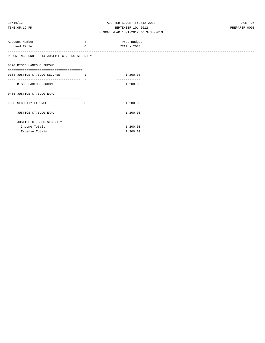# 10/16/12 ADOPTED BUDGET FY2012-2013 PAGE 25 TIME:05:19 PM SEPTEMBER 10, 2012 PREPARER:0008

| Account Number                                  | т                             | Prop Budget   |
|-------------------------------------------------|-------------------------------|---------------|
| and Title                                       | C                             | YEAR - 2013   |
|                                                 |                               |               |
| REPORTING FUND: 0014 JUSTICE CT. BLDG. SECURITY |                               |               |
|                                                 |                               |               |
| 0370 MISCELLANEOUS INCOME                       |                               |               |
|                                                 |                               |               |
| 0168 JUSTICE CT. BLDG. SEC. FEE                 | . The contract of $\mathbf I$ | 1,200.00      |
| -------------------------------                 |                               |               |
| MISCELLANEOUS INCOME                            |                               | 1,200.00      |
|                                                 |                               |               |
| 0435 JUSTICE CT. BLDG. EXP.                     |                               |               |
| --------------------------------------          |                               |               |
| 0320 SECURITY EXPENSE                           | E.                            | 1,200.00      |
| ------------------------------------            |                               | ------------- |
| JUSTICE CT. BLDG. EXP.                          |                               | 1,200.00      |
|                                                 |                               |               |
| JUSTICE CT. BLDG. SECURITY                      |                               |               |
| Income Totals                                   |                               | 1,200.00      |
| Expense Totals                                  |                               | 1,200.00      |
|                                                 |                               |               |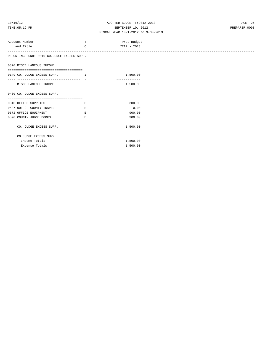# 10/16/12 ADOPTED BUDGET FY2012-2013 PAGE 26 TIME:05:19 PM SEPTEMBER 10, 2012 PREPARER:0008

| Account Number                             | T             | Prop Budget   |
|--------------------------------------------|---------------|---------------|
| and Title                                  | $\mathcal{C}$ | YEAR - 2013   |
|                                            |               |               |
| REPORTING FUND: 0016 CO.JUDGE EXCESS SUPP. |               |               |
| 0370 MISCELLANEOUS INCOME                  |               |               |
| -------------------------------------      |               |               |
| 0149 CO. JUDGE EXCESS SUPP. I              |               | 1,500.00      |
|                                            |               | ------------- |
| MISCELLANEOUS INCOME                       |               | 1,500.00      |
|                                            |               |               |
| 0400 CO. JUDGE EXCESS SUPP.                |               |               |
|                                            |               |               |
| 0310 OFFICE SUPPLIES                       | Е             | 300.00        |
| 0427 OUT OF COUNTY TRAVEL                  | Ε             | 0.00          |
| 0572 OFFICE EQUIPMENT                      | Е             | 900.00        |
| 0590 COUNTY JUDGE BOOKS                    | Ε             | 300.00        |
| CO. JUDGE EXCESS SUPP.                     |               | 1,500.00      |
| CO.JUDGE EXCESS SUPP.                      |               |               |
| Income Totals                              |               | 1,500.00      |
| Expense Totals                             |               | 1,500.00      |
|                                            |               |               |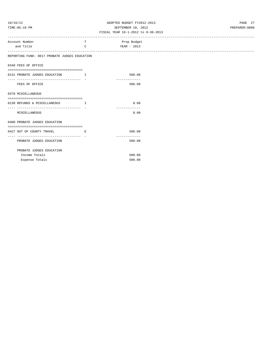# 10/16/12 ADOPTED BUDGET FY2012-2013 PAGE 27 TIME:05:19 PM SEPTEMBER 10, 2012 PREPARER:0008

| Account Number                                | T                                     | Prop Budget   |
|-----------------------------------------------|---------------------------------------|---------------|
| and Title                                     | C                                     | YEAR - 2013   |
|                                               |                                       |               |
| REPORTING FUND: 0017 PROBATE JUDGES EDUCATION |                                       |               |
|                                               |                                       |               |
| 0340 FEES OF OFFICE                           |                                       |               |
|                                               |                                       |               |
| 0131 PROBATE JUDGES EDUCATION I               |                                       | 500.00        |
| ____________________________                  |                                       | ------------- |
| FEES OF OFFICE                                |                                       | 500.00        |
|                                               |                                       |               |
| 0370 MISCELLANEOUS                            |                                       |               |
|                                               |                                       |               |
| 0130 REFUNDS & MISCELLANEOUS I                |                                       | 0.00          |
|                                               |                                       | ------------- |
| MISCELLANEOUS                                 |                                       | 0.00          |
|                                               |                                       |               |
| 0400 PROBATE JUDGES EDUCATION                 |                                       |               |
|                                               |                                       |               |
| 0427 OUT OF COUNTY TRAVEL                     | and the state of the state of the Bar | 500.00        |
|                                               |                                       | ------------- |
| PROBATE JUDGES EDUCATION                      |                                       | 500.00        |
|                                               |                                       |               |
| PROBATE JUDGES EDUCATION                      |                                       |               |
| Income Totals                                 |                                       | 500.00        |
| Expense Totals                                |                                       | 500.00        |
|                                               |                                       |               |
|                                               |                                       |               |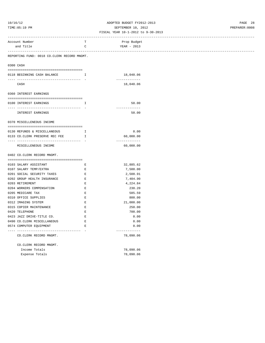# 10/16/12 ADOPTED BUDGET FY2012-2013 PAGE 28 TIME:05:19 PM SEPTEMBER 10, 2012 PREPARER:0008

| -----------------------                                                            |                               |                            |
|------------------------------------------------------------------------------------|-------------------------------|----------------------------|
| Account Number                                                                     | т                             | Prop Budget                |
| and Title                                                                          | C                             | YEAR - 2013                |
| -----------------------------------<br>REPORTING FUND: 0018 CO.CLERK RECORD MNGMT. |                               |                            |
|                                                                                    |                               |                            |
| 0300 CASH                                                                          |                               |                            |
| 0118 BEGINNING CASH BALANCE                                                        | $\mathbf{I}$ and $\mathbf{I}$ | 18,040.06                  |
|                                                                                    |                               | -------------              |
| CASH                                                                               |                               | 18,040.06                  |
| 0360 INTEREST EARNINGS                                                             |                               |                            |
|                                                                                    |                               |                            |
| 0100 INTEREST EARNINGS                                                             | $\mathbb{I}$                  | 50.00                      |
|                                                                                    |                               | -------------              |
| INTEREST EARNINGS                                                                  |                               | 50.00                      |
|                                                                                    |                               |                            |
| 0370 MISCELLENEOUS INCOME                                                          |                               |                            |
| 0130 REFUNDS & MISCELLANEOUS                                                       | I                             | 0.00                       |
| 0133 CO.CLERK PRESERVE REC FEE                                                     | $\mathbf{I}$                  | 60,000.00                  |
|                                                                                    |                               | -------------              |
| MISCELLENEOUS INCOME                                                               |                               | 60,000.00                  |
|                                                                                    |                               |                            |
| 0402 CO. CLERK RECORD MNGMT.                                                       |                               |                            |
|                                                                                    |                               |                            |
| 0103 SALARY ASSISTANT<br>0107 SALARY TEMP/EXTRA                                    | Е<br>E                        | 32,885.62<br>7,500.00      |
| 0201 SOCIAL SECURITY TAXES                                                         | $\mathbf E$                   | 2,508.91                   |
| 0202 GROUP HEALTH INSURANCE                                                        | $\mathbf{E}% _{0}$            | 7,404.90                   |
| 0203 RETIREMENT                                                                    | Е                             | 4,224.84                   |
| 0204 WORKERS COMPENSATION                                                          | $\mathbf E$                   | 230.20                     |
| 0205 MEDICARE TAX                                                                  | Е                             | 585.59                     |
| 0310 OFFICE SUPPLIES                                                               | $\mathbf E$                   | 800.00                     |
| 0312 IMAGING SYSTEM                                                                | E                             | 21,000.00                  |
| 0315 COPIER MAINTENANCE                                                            | $\mathbf E$                   | 250.00                     |
| 0420 TELEPHONE                                                                     | $\mathbf E$                   | 700.00                     |
| 0423 JAZZ DRIVE-TITLE CO.                                                          | Е                             | 0.00                       |
| 0490 CO. CLERK MISCELLANEOUS                                                       | $\mathbf E$                   | 0.00                       |
| 0574 COMPUTER EQUIPMENT                                                            | Е                             | 0.00                       |
| ----------------------------------<br>CO. CLERK RECORD MNGMT.                      |                               | -------------<br>78,090.06 |
| CO.CLERK RECORD MNGMT.                                                             |                               |                            |
| Income Totals                                                                      |                               | 78,090.06                  |
| Expense Totals                                                                     |                               | 78,090.06                  |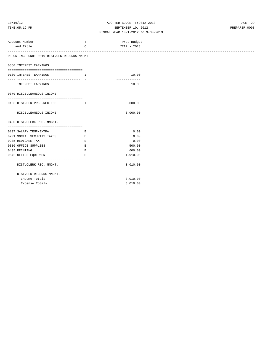# 10/16/12 ADOPTED BUDGET FY2012-2013 PAGE 29 TIME:05:19 PM SEPTEMBER 10, 2012 PREPARER:0008

| Account Number                               | T                                              | Prop Budget   |
|----------------------------------------------|------------------------------------------------|---------------|
| and Title                                    | $\mathcal{C}$                                  | YEAR - 2013   |
|                                              |                                                |               |
| REPORTING FUND: 0019 DIST.CLK.RECORDS MNGMT. |                                                |               |
| 0360 INTEREST EARNINGS                       |                                                |               |
|                                              |                                                |               |
| 0100 INTEREST EARNINGS                       | T.                                             | 10.00         |
|                                              |                                                | ------------- |
| INTEREST EARNINGS                            |                                                | 10.00         |
|                                              |                                                |               |
| 0370 MISCELLEANEOUS INCOME                   |                                                |               |
|                                              |                                                |               |
| 0136 DIST.CLK.PRES.REC.FEE                   | $\mathbf{I}$ and $\mathbf{I}$ and $\mathbf{I}$ | 3,000.00      |
|                                              |                                                | ------------- |
| MISCELLEANEOUS INCOME                        |                                                | 3,000.00      |
| 0450 DIST. CLERK REC. MNGMT.                 |                                                |               |
|                                              |                                                |               |
| 0107 SALARY TEMP/EXTRA                       | Е                                              | 0.00          |
| 0201 SOCIAL SECURITY TAXES                   | E                                              | 0.00          |
| 0205 MEDICARE TAX                            | E                                              | 0.00          |
| 0310 OFFICE SUPPLIES                         | E.                                             | 500.00        |
| 0435 PRINTING                                | Е                                              | 600.00        |
| 0572 OFFICE EQUIPMENT                        | E.                                             | 1,910.00      |
| -----------------------------------          |                                                | ------------- |
| DIST. CLERK REC. MNGMT.                      |                                                | 3,010.00      |
| DIST.CLK.RECORDS MNGMT.                      |                                                |               |
| Income Totals                                |                                                | 3,010.00      |
| Expense Totals                               |                                                | 3,010.00      |
|                                              |                                                |               |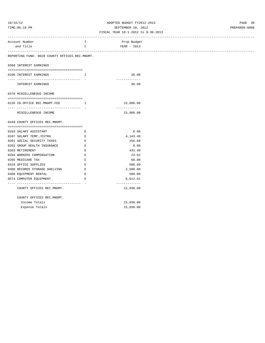# 10/16/12 ADOPTED BUDGET FY2012-2013 PAGE 30 TIME:05:19 PM SEPTEMBER 10, 2012 PREPARER:0008

| Account Number                                 | т                                      | Prop Budget   |
|------------------------------------------------|----------------------------------------|---------------|
| and Title                                      | $\mathtt{C}$                           | YEAR - 2013   |
|                                                |                                        |               |
| REPORTING FUND: 0020 COUNTY OFFICES REC.MNGMT. |                                        |               |
| 0360 INTEREST EARNINGS                         |                                        |               |
|                                                |                                        |               |
| 0100 INTEREST EARNINGS                         | $\mathbf{I}$ and $\mathbf{I}$ .        | 30.00         |
| ---------------- -                             |                                        | ------------  |
| INTEREST EARNINGS                              |                                        | 30.00         |
| 0370 MISCELLENEOUS INCOME                      |                                        |               |
|                                                |                                        |               |
| 0135 CO.OFFICE REC.MNGMT.FEE                   | $\mathbf{I}$ . The set of $\mathbf{I}$ | 15,000.00     |
| ----------------------------- -                |                                        | ------------- |
| MISCELLENEOUS INCOME                           |                                        | 15,000.00     |
|                                                |                                        |               |
| 0449 COUNTY OFFICES REC.MNGMT.                 |                                        |               |
|                                                |                                        |               |
| 0103 SALARY ASSISTANT                          | Е                                      | 0.00          |
| 0107 SALARY TEMP./EXTRA                        | E                                      | 4,143.40      |
| 0201 SOCIAL SECURITY TAXES                     | E                                      | 256.89        |
| 0202 GROUP HEALTH INSURANCE                    | E                                      | 0.00          |
| 0203 RETIREMENT                                | $\mathbf E$                            | 433.40        |
| 0204 WORKERS COMPENSATION                      | E                                      | 23.62         |
| 0205 MEDICARE TAX                              | Е                                      | 60.08         |
| 0310 OFFICE SUPPLIES                           | Е                                      | 500.00        |
| 0400 RECORDS STORAGE SHELVING                  | <b>Expanding Expanding</b>             | 2,500.00      |
| 0460 EQUIPMENT RENTAL                          | E                                      | 500.00        |
| 0574 COMPUTER EQUIPMENT                        | E                                      | 6,612.61      |
| ----------------------------------             |                                        | ------------- |
| COUNTY OFFICES REC.MNGMT.                      |                                        | 15,030.00     |
|                                                |                                        |               |
| COUNTY OFFICES REC.MNGMT.<br>Income Totals     |                                        |               |
|                                                |                                        | 15,030.00     |
| Expense Totals                                 |                                        | 15,030.00     |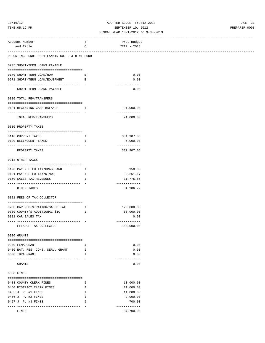## 10/16/12 ADOPTED BUDGET FY2012-2013 PAGE 31 TIME:05:19 PM SEPTEMBER 10, 2012 PREPARER:0008

#### FISCAL YEAR 10-1-2012 to 9-30-2013 ------------------------------------------------------------------------------------------------------------------------------------

| Account Number<br>and Title                                  | T<br>C                        | Prop Budget<br>YEAR - 2013  |
|--------------------------------------------------------------|-------------------------------|-----------------------------|
|                                                              |                               |                             |
| REPORTING FUND: 0021 FANNIN CO. R & B #1 FUND                |                               |                             |
| 0205 SHORT-TERM LOANS PAYABLE                                |                               |                             |
| 0170 SHORT-TERM LOAN/ROW                                     | Е                             | 0.00                        |
| 0571 SHORT-TERM LOAN/EQUIPMENT                               | E                             | 0.00                        |
|                                                              |                               | -------------               |
| SHORT-TERM LOANS PAYABLE                                     |                               | 0.00                        |
| 0300 TOTAL REV/TRANSFERS                                     |                               |                             |
| 0121 BEGINNING CASH BALANCE                                  | $\mathbf{I}$                  | 91,000.00                   |
| TOTAL REV/TRANSFERS                                          |                               | -------------<br>91,000.00  |
|                                                              |                               |                             |
| 0310 PROPERTY TAXES                                          |                               |                             |
| 0110 CURRENT TAXES                                           | Ι.                            | 334,907.05                  |
| 0120 DELINQUENT TAXES                                        | Ι.                            | 5,000.00                    |
|                                                              |                               | -------------               |
| PROPERTY TAXES                                               |                               | 339,907.05                  |
| 0318 OTHER TAXES                                             |                               |                             |
| 0120 PAY N LIEU TAX/GRASSLAND                                | Ι.                            | 950.00                      |
| 0121 PAY N LIEU TAX/NTMWD                                    | $\mathbf{I}$ and $\mathbf{I}$ | 2,261.17                    |
| 0160 SALES TAX REVENUES                                      | I                             | 31,775.55                   |
| OTHER TAXES                                                  |                               | -------------<br>34,986.72  |
|                                                              |                               |                             |
| 0321 FEES OF TAX COLLECTOR                                   |                               |                             |
| 0200 CAR REGISTRATION/SALES TAX                              | $\mathbf{I}$                  | 120,000.00                  |
| 0300 COUNTY'S ADDITIONAL \$10                                | Ι.                            | 60,000.00                   |
| 0301 CAR SALES TAX                                           |                               | 0.00                        |
| -----------------------------------<br>FEES OF TAX COLLECTOR |                               | -------------<br>180,000.00 |
|                                                              |                               |                             |
| 0330 GRANTS                                                  |                               |                             |
| 0200 FEMA GRANT                                              | I.                            | 0.00                        |
| 0400 NAT. RES. CONS. SERV. GRANT                             | Ι.                            | 0.00                        |
| 0600 TDRA GRANT                                              | I                             | 0.00                        |
| GRANTS                                                       |                               | -------------<br>0.00       |
|                                                              |                               |                             |
| 0350 FINES                                                   |                               |                             |
| 0403 COUNTY CLERK FINES                                      | $\mathbf{I}$                  | 13,000.00                   |
| 0450 DISTRICT CLERK FINES                                    | $\mathbb{I}$                  | 11,000.00                   |
| 0455 J. P. #1 FINES                                          | Ι.                            | 11,000.00                   |
| 0456 J. P. #2 FINES                                          | I                             | 2,000.00                    |
| 0457 J. P. #3 FINES                                          | I                             | 700.00                      |
| FINES                                                        |                               | -------------<br>37,700.00  |
|                                                              |                               |                             |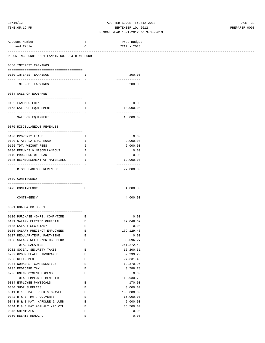# 10/16/12 ADOPTED BUDGET FY2012-2013 PAGE 32 TIME:05:19 PM SEPTEMBER 10, 2012 PREPARER:0008

| -----------------------------------                            |                                      |                            |  |
|----------------------------------------------------------------|--------------------------------------|----------------------------|--|
| Account Number                                                 | т                                    | Prop Budget                |  |
| and Title                                                      | C                                    | YEAR - 2013                |  |
|                                                                |                                      |                            |  |
| REPORTING FUND: 0021 FANNIN CO. R & B #1 FUND                  |                                      |                            |  |
| 0360 INTEREST EARNINGS                                         |                                      |                            |  |
| 0100 INTEREST EARNINGS                                         | Ι.                                   | 200.00                     |  |
| --------------------------------------<br>INTEREST EARNINGS    |                                      | ------------<br>200.00     |  |
| 0364 SALE OF EQUIPMENT                                         |                                      |                            |  |
|                                                                |                                      |                            |  |
| 0162 LAND/BUILDING                                             | Ι.                                   | 0.00                       |  |
| 0163 SALE OF EQUIPEMENT                                        | Ι.                                   | 13,000.00<br>------------- |  |
| SALE OF EQUIPMENT                                              |                                      | 13,000.00                  |  |
| 0370 MISCELLANEOUS REVENUES                                    |                                      |                            |  |
|                                                                |                                      |                            |  |
| 0100 PROPERTY LEASE                                            | Ι.                                   | 0.00                       |  |
| 0120 STATE LATERAL ROAD                                        | I                                    | 9,000.00                   |  |
| 0125 TDT. WEIGHT FEES                                          | I.                                   | 6,000.00                   |  |
| 0130 REFUNDS & MISCELLANEOUS                                   | I.                                   | 0.00                       |  |
| 0140 PROCEEDS OF LOAN                                          | Ι.                                   | 0.00                       |  |
| 0145 REIMBURSEMENT OF MATERIALS                                | $\mathbb{I}$                         | 12,000.00<br>------------- |  |
| MISCELLANEOUS REVENUES                                         |                                      | 27,000.00                  |  |
| 0509 CONTINGENCY                                               |                                      |                            |  |
|                                                                |                                      |                            |  |
| 0475 CONTINGENCY                                               | Ε                                    | 4,000.00<br>-------------  |  |
| CONTINGENCY                                                    |                                      | 4,000.00                   |  |
| 0621 ROAD & BRIDGE 1                                           |                                      |                            |  |
|                                                                |                                      |                            |  |
| 0100 PURCHASE 40HRS. COMP-TIME                                 | Е                                    | 0.00<br>47,046.67          |  |
| 0101 SALARY ELECTED OFFICIAL<br>0105 SALARY SECRETARY          | and the state of the Electronic<br>Е |                            |  |
|                                                                |                                      | 0.00<br>179, 129.48        |  |
| 0106 SALARY PRECINCT EMPLOYEES<br>0107 REGULAR-TEMP. PART-TIME | E                                    |                            |  |
| 0108 SALARY WELDER/BRIDGE BLDR                                 | Ε<br>E                               | 0.00<br>35,096.27          |  |
| TOTAL SALARIES                                                 |                                      | 261, 272.42                |  |
| 0201 SOCIAL SECURITY TAXES                                     | Е                                    | 16,200.31                  |  |
| 0202 GROUP HEALTH INSURANCE                                    | Е                                    | 59,239.20                  |  |
| 0203 RETIREMENT                                                | E                                    |                            |  |
| 0204 WORKERS' COMPENSATION                                     | E                                    | 27,331.49<br>12,370.95     |  |
| 0205 MEDICARE TAX                                              | Ε                                    | 3,788.78                   |  |
| 0206 UNEMPLOYMENT EXPENSE                                      | Ε                                    | 0.00                       |  |
| TOTAL EMPLOYEE BENEFITS                                        |                                      | 118,930.73                 |  |
| 0314 EMPLOYEE PHYSICALS                                        | Ε                                    | 170.00                     |  |
| 0340 SHOP SUPPLIES                                             | Е                                    | 3,000.00                   |  |
|                                                                |                                      |                            |  |
| 0341 R & B MAT. ROCK & GRAVEL                                  | Е<br>Е                               | 105,000.00                 |  |
| 0342 R & B MAT. CULVERTS                                       |                                      | 15,000.00                  |  |
| 0343 R & B MAT. HARDWRE & LUMB                                 | Е                                    | 2,000.00                   |  |
| 0344 R & B MAT ASPHALT /RD OIL                                 | Е                                    | 36,500.00                  |  |
| 0345 CHEMICALS                                                 | Ε                                    | 0.00                       |  |
| 0350 DEBRIS REMOVAL                                            | Ε                                    | 0.00                       |  |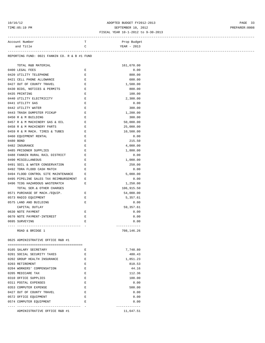# 10/16/12 PAGE 33<br>
TIME:05:19 PM PREPARER:0008 SEPTEMBER 10, 2012<br>
FISCAL YEAR 10-1-2012 to 9-30-2013 TIME:05:19 PM SEPTEMBER 10, 2012 PREPARER:0008

| Account Number                                                                                                                                                                                                                                                                                                                                                                                                                             | T.                 | Prop Budget   |
|--------------------------------------------------------------------------------------------------------------------------------------------------------------------------------------------------------------------------------------------------------------------------------------------------------------------------------------------------------------------------------------------------------------------------------------------|--------------------|---------------|
| and Title                                                                                                                                                                                                                                                                                                                                                                                                                                  | $\mathsf{C}$       | YEAR - 2013   |
|                                                                                                                                                                                                                                                                                                                                                                                                                                            |                    |               |
| REPORTING FUND: 0021 FANNIN CO. R & B #1 FUND                                                                                                                                                                                                                                                                                                                                                                                              |                    |               |
|                                                                                                                                                                                                                                                                                                                                                                                                                                            |                    |               |
| TOTAL R&B MATERIAL                                                                                                                                                                                                                                                                                                                                                                                                                         |                    | 161,670.00    |
| 0400 LEGAL FEES                                                                                                                                                                                                                                                                                                                                                                                                                            | Ε                  | 0.00          |
| 0420 UTILITY TELEPHONE                                                                                                                                                                                                                                                                                                                                                                                                                     | Ε                  | 800.00        |
| 0421 CELL PHONE ALLOWANCE                                                                                                                                                                                                                                                                                                                                                                                                                  | E                  | 600.00        |
| $\mathbb{E}^{\mathbb{E}^{\mathbb{E}}}_{\mathbb{E}^{\mathbb{E}}_{\mathbb{E}^{\mathbb{E}}_{\mathbb{E}^{\mathbb{E}}_{\mathbb{E}^{\mathbb{E}}_{\mathbb{E}^{\mathbb{E}}_{\mathbb{E}^{\mathbb{E}}_{\mathbb{E}^{\mathbb{E}}_{\mathbb{E}^{\mathbb{E}}_{\mathbb{E}^{\mathbb{E}}_{\mathbb{E}^{\mathbb{E}}_{\mathbb{E}^{\mathbb{E}}_{\mathbb{E}^{\mathbb{E}}_{\mathbb{E}^{\mathbb{E}}_{\mathbb{E}^{\mathbb{E}}_{\mathbb$<br>0427 OUT OF COUNTY TRAVEL |                    | 1,500.00      |
| 0430 BIDS, NOTICES & PERMITS E                                                                                                                                                                                                                                                                                                                                                                                                             |                    | 800.00        |
| 0435 PRINTING                                                                                                                                                                                                                                                                                                                                                                                                                              | Е                  | 100.00        |
| 0440 UTILITY ELECTRICITY                                                                                                                                                                                                                                                                                                                                                                                                                   | $\mathbb E$        | 2,300.00      |
| 0441 UTILITY GAS                                                                                                                                                                                                                                                                                                                                                                                                                           | $\mathbf E$        | 0.00          |
| 0442 UTILITY WATER                                                                                                                                                                                                                                                                                                                                                                                                                         | Е                  | 300.00        |
| $\mathbf{E}$ and $\mathbf{E}$<br>0443 TRASH DUMPSTER PICKUP                                                                                                                                                                                                                                                                                                                                                                                |                    | 1,200.00      |
| 0450 R & M BUILDING                                                                                                                                                                                                                                                                                                                                                                                                                        | $\mathbf{E}$       | 300.00        |
| 0457 R & M MACHINERY GAS & OIL E                                                                                                                                                                                                                                                                                                                                                                                                           |                    | 50,000.00     |
| 0458 R & M MACHINERY PARTS                                                                                                                                                                                                                                                                                                                                                                                                                 | E                  | 25,000.00     |
| 0459 R & M MACH. TIRES & TUBES                                                                                                                                                                                                                                                                                                                                                                                                             | $\mathbf{E}$       | 10,500.00     |
| 0460 EQUIPMENT RENTAL                                                                                                                                                                                                                                                                                                                                                                                                                      | E                  | 0.00          |
|                                                                                                                                                                                                                                                                                                                                                                                                                                            |                    |               |
| 0480 BOND                                                                                                                                                                                                                                                                                                                                                                                                                                  | Е                  | 215.50        |
| 0482 INSURANCE                                                                                                                                                                                                                                                                                                                                                                                                                             | $\mathbf{E}$       | 4,000.00      |
| 0485 PRISONER SUPPLIES                                                                                                                                                                                                                                                                                                                                                                                                                     | $\mathbf{E}% _{0}$ | 1,800.00      |
| 0488 FANNIN RURAL RAIL DISTRICT                                                                                                                                                                                                                                                                                                                                                                                                            | $\mathbf{E}$       | 0.00          |
| 0490 MISCELLANEOUS                                                                                                                                                                                                                                                                                                                                                                                                                         | Ε                  | 1,000.00      |
| 0491 SOIL & WATER CONSERVATION E                                                                                                                                                                                                                                                                                                                                                                                                           |                    | 250.00        |
| 0492 TDRA FLOOD CASH MATCH                                                                                                                                                                                                                                                                                                                                                                                                                 | Е                  | 0.00          |
| 0494 FLOOD CONTROL SITE MAINTENANCE                                                                                                                                                                                                                                                                                                                                                                                                        | Е                  | 5,000.00      |
| 0495 PIPELINE SALES TAX REIMBURSEMENT                                                                                                                                                                                                                                                                                                                                                                                                      | Е                  | 0.00          |
| 0496 TCOG HAZARDOUS WASTEMATCH                                                                                                                                                                                                                                                                                                                                                                                                             | Ε                  | 1,250.00      |
| TOTAL SER.& OTHER CHARGES                                                                                                                                                                                                                                                                                                                                                                                                                  |                    | 106,915.50    |
| 0571 PURCHASE OF MACH./EQUIP. E                                                                                                                                                                                                                                                                                                                                                                                                            |                    | 54,000.00     |
| 0573 RADIO EQUIPMENT                                                                                                                                                                                                                                                                                                                                                                                                                       | Е                  | 5,357.61      |
| 0575 LAND AND BUILDING                                                                                                                                                                                                                                                                                                                                                                                                                     | Е                  | 0.00          |
| CAPITAL OUTLAY                                                                                                                                                                                                                                                                                                                                                                                                                             |                    | 59,357.61     |
| 0630 NOTE PAYMENT                                                                                                                                                                                                                                                                                                                                                                                                                          | Е                  | 0.00          |
| 0670 NOTE PAYMENT-INTEREST                                                                                                                                                                                                                                                                                                                                                                                                                 | Е                  | 0.00          |
| 0695 SURVEYING                                                                                                                                                                                                                                                                                                                                                                                                                             | E                  | 0.00          |
|                                                                                                                                                                                                                                                                                                                                                                                                                                            |                    | ------------- |
| ROAD & BRIDGE 1                                                                                                                                                                                                                                                                                                                                                                                                                            |                    | 708,146.26    |
|                                                                                                                                                                                                                                                                                                                                                                                                                                            |                    |               |
| 0625 ADMINISTRATIVE OFFICE R&B #1                                                                                                                                                                                                                                                                                                                                                                                                          |                    |               |
|                                                                                                                                                                                                                                                                                                                                                                                                                                            |                    |               |
| 0105 SALARY SECRETARY                                                                                                                                                                                                                                                                                                                                                                                                                      | Е                  | 7,748.80      |
| 0201 SOCIAL SECURITY TAXES                                                                                                                                                                                                                                                                                                                                                                                                                 | Е                  | 480.43        |
| 0202 GROUP HEALTH INSURANCE                                                                                                                                                                                                                                                                                                                                                                                                                | $\mathbf{E}% _{0}$ | 1,851.23      |
| 0203 RETIREMENT                                                                                                                                                                                                                                                                                                                                                                                                                            | Е                  | 810.53        |
| 0204 WORKERS' COMPENSATION                                                                                                                                                                                                                                                                                                                                                                                                                 | E                  | 44.16         |
| 0205 MEDICARE TAX                                                                                                                                                                                                                                                                                                                                                                                                                          | Е                  | 112.36        |
| 0310 OFFICE SUPPLIES                                                                                                                                                                                                                                                                                                                                                                                                                       | E                  | 100.00        |
| 0311 POSTAL EXPENSES                                                                                                                                                                                                                                                                                                                                                                                                                       | E                  | 0.00          |
| 0353 COMPUTER EXPENSE                                                                                                                                                                                                                                                                                                                                                                                                                      | E                  | 500.00        |
| 0427 OUT OF COUNTY TRAVEL                                                                                                                                                                                                                                                                                                                                                                                                                  | Е                  | 0.00          |
| 0572 OFFICE EQUIPMENT                                                                                                                                                                                                                                                                                                                                                                                                                      | Е                  | 0.00          |
| 0574 COMPUTER EQUIPMENT                                                                                                                                                                                                                                                                                                                                                                                                                    | E                  | 0.00          |
|                                                                                                                                                                                                                                                                                                                                                                                                                                            |                    | ------------- |
| ADMINISTRATIVE OFFICE R&B #1                                                                                                                                                                                                                                                                                                                                                                                                               |                    | 11,647.51     |
|                                                                                                                                                                                                                                                                                                                                                                                                                                            |                    |               |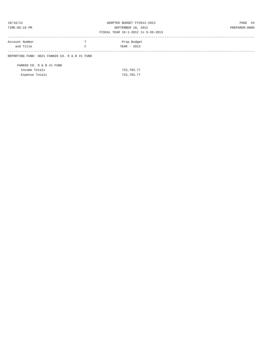| 10/16/12                                 |  |
|------------------------------------------|--|
| $m + \lambda m + \lambda F + 1 \wedge 1$ |  |

# ADOPTED BUDGET FY2012-2013 PAGE 34 TIME:05:19 PM SEPTEMBER 10, 2012 PREPARER:0008

#### FISCAL YEAR 10-1-2012 to 9-30-2013

| Account Number | Prop Budget |  |
|----------------|-------------|--|
| and Title      | YEAR - 2013 |  |
|                |             |  |

REPORTING FUND: 0021 FANNIN CO. R & B #1 FUND

FANNIN CO. R & B #1 FUND Income Totals 723,793.77 Expense Totals 723,793.77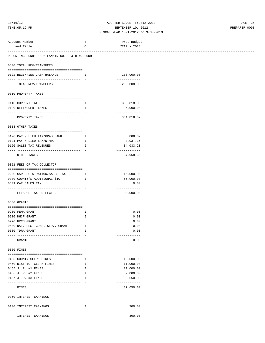# 10/16/12 ADOPTED BUDGET FY2012-2013 PAGE 35 TIME:05:19 PM SEPTEMBER 10, 2012 PREPARER:0008

|                          | ---------------------------------                           |                                                                                                                                                                                                                                                                                                  |                             |  |
|--------------------------|-------------------------------------------------------------|--------------------------------------------------------------------------------------------------------------------------------------------------------------------------------------------------------------------------------------------------------------------------------------------------|-----------------------------|--|
| Account Number           |                                                             | т                                                                                                                                                                                                                                                                                                | Prop Budget                 |  |
| and Title                |                                                             | C                                                                                                                                                                                                                                                                                                | YEAR - 2013                 |  |
|                          | --------------------------------                            |                                                                                                                                                                                                                                                                                                  |                             |  |
|                          | REPORTING FUND: 0022 FANNIN CO. R & B #2 FUND               |                                                                                                                                                                                                                                                                                                  |                             |  |
| 0300 TOTAL REV/TRANSFERS |                                                             |                                                                                                                                                                                                                                                                                                  |                             |  |
|                          | 0122 BEGINNING CASH BALANCE                                 | $\mathbf{I}$ and $\mathbf{I}$ and $\mathbf{I}$ and $\mathbf{I}$ and $\mathbf{I}$ and $\mathbf{I}$ and $\mathbf{I}$ and $\mathbf{I}$ and $\mathbf{I}$ and $\mathbf{I}$ and $\mathbf{I}$ and $\mathbf{I}$ and $\mathbf{I}$ and $\mathbf{I}$ and $\mathbf{I}$ and $\mathbf{I}$ and $\mathbf{I}$ and | 200,000.00                  |  |
|                          | ---------------------------------- -<br>TOTAL REV/TRANSFERS |                                                                                                                                                                                                                                                                                                  | -------------<br>200,000.00 |  |
| 0310 PROPERTY TAXES      |                                                             |                                                                                                                                                                                                                                                                                                  |                             |  |
|                          |                                                             |                                                                                                                                                                                                                                                                                                  |                             |  |
| 0110 CURRENT TAXES       |                                                             | $\mathbf{I}$                                                                                                                                                                                                                                                                                     | 358,818.09                  |  |
| 0120 DELINQUENT TAXES    |                                                             | Ι.                                                                                                                                                                                                                                                                                               | 6,000.00                    |  |
| PROPERTY TAXES           |                                                             |                                                                                                                                                                                                                                                                                                  | -------------<br>364,818.09 |  |
| 0318 OTHER TAXES         |                                                             |                                                                                                                                                                                                                                                                                                  |                             |  |
|                          |                                                             |                                                                                                                                                                                                                                                                                                  |                             |  |
|                          | 0120 PAY N LIEU TAX/GRASSLAND                               | $\mathbf{I}$                                                                                                                                                                                                                                                                                     | 888.09                      |  |
| 0160 SALES TAX REVENUES  | 0121 PAY N LIEU TAX/NTMWD                                   | I.<br>$\mathbf{I}$ and $\mathbf{I}$                                                                                                                                                                                                                                                              | 3,037.36                    |  |
|                          |                                                             |                                                                                                                                                                                                                                                                                                  | 34,033.20<br>-------------  |  |
| OTHER TAXES              |                                                             |                                                                                                                                                                                                                                                                                                  | 37,958.65                   |  |
|                          | 0321 FEES OF TAX COLLECTOR                                  |                                                                                                                                                                                                                                                                                                  |                             |  |
|                          | 0200 CAR REGISTRATION/SALES TAX I                           |                                                                                                                                                                                                                                                                                                  | 115,000.00                  |  |
|                          | 0300 COUNTY'S ADDITIONAL \$10                               | Ι.                                                                                                                                                                                                                                                                                               | 65,000.00                   |  |
| 0301 CAR SALES TAX       |                                                             |                                                                                                                                                                                                                                                                                                  | 0.00                        |  |
|                          |                                                             |                                                                                                                                                                                                                                                                                                  | -------------               |  |
|                          | FEES OF TAX COLLECTOR                                       |                                                                                                                                                                                                                                                                                                  | 180,000.00                  |  |
| 0330 GRANTS              |                                                             |                                                                                                                                                                                                                                                                                                  |                             |  |
|                          |                                                             |                                                                                                                                                                                                                                                                                                  |                             |  |
| 0200 FEMA GRANT          |                                                             | I.                                                                                                                                                                                                                                                                                               | 0.00                        |  |
| 0210 DHCF GRANT          |                                                             | I                                                                                                                                                                                                                                                                                                | 0.00                        |  |
| 0220 NRCS GRANT          |                                                             |                                                                                                                                                                                                                                                                                                  | 0.00                        |  |
|                          | 0400 NAT. RES. CONS. SERV. GRANT                            | Ι.                                                                                                                                                                                                                                                                                               | 0.00                        |  |
| 0600 TDRA GRANT          | --------------------------------------                      |                                                                                                                                                                                                                                                                                                  | 0.00<br>-------------       |  |
| GRANTS                   |                                                             |                                                                                                                                                                                                                                                                                                  | 0.00                        |  |
| 0350 FINES               |                                                             |                                                                                                                                                                                                                                                                                                  |                             |  |
|                          |                                                             |                                                                                                                                                                                                                                                                                                  |                             |  |
| 0403 COUNTY CLERK FINES  |                                                             | I.                                                                                                                                                                                                                                                                                               | 13,000.00                   |  |
|                          | 0450 DISTRICT CLERK FINES                                   | $\mathbf{I}$                                                                                                                                                                                                                                                                                     | 11,000.00                   |  |
| 0455 J. P. #1 FINES      |                                                             | I.                                                                                                                                                                                                                                                                                               | 11,000.00                   |  |
| 0456 J. P. #2 FINES      |                                                             | Ι.                                                                                                                                                                                                                                                                                               | 2,000.00                    |  |
| 0457 J. P. #3 FINES      |                                                             | I                                                                                                                                                                                                                                                                                                | 650.00<br>-------------     |  |
| FINES                    |                                                             |                                                                                                                                                                                                                                                                                                  | 37,650.00                   |  |
| 0360 INTEREST EARNINGS   |                                                             |                                                                                                                                                                                                                                                                                                  |                             |  |
| 0100 INTEREST EARNINGS   |                                                             | Ι.                                                                                                                                                                                                                                                                                               | 300.00                      |  |
|                          | -----------------<br>INTEREST EARNINGS                      |                                                                                                                                                                                                                                                                                                  | -------------<br>300.00     |  |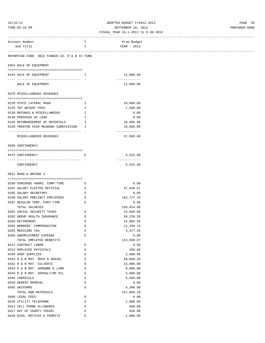# 10/16/12 ADOPTED BUDGET FY2012-2013 PAGE 36 TIME:05:19 PM SEPTEMBER 10, 2012 PREPARER:0008

| -----------------------------------                                        |              |                            |  |
|----------------------------------------------------------------------------|--------------|----------------------------|--|
| Account Number                                                             | т            | Prop Budget                |  |
| and Title                                                                  | C            | YEAR - 2013                |  |
|                                                                            |              |                            |  |
| REPORTING FUND: 0022 FANNIN CO. R & B #2 FUND                              |              |                            |  |
| 0364 SALE OF EQUIPMENT                                                     |              |                            |  |
| 0163 SALE OF EQUIPMENT                                                     | $\mathbf{I}$ | 12,000.00                  |  |
| ------------------ -                                                       |              | -------------              |  |
| SALE OF EQUIPMENT                                                          |              | 12,000.00                  |  |
| 0370 MISCELLANEOUS REVENUES                                                |              |                            |  |
| 0120 STATE LATERAL ROAD                                                    | I.           | 10,000.00                  |  |
| 0125 TDT WEIGHT FEES                                                       |              |                            |  |
|                                                                            | I            | 7,500.00                   |  |
| 0130 REFUNDS & MISCELLANEOUS                                               | I.           | 0.00                       |  |
| 0140 PROCEEDS OF LOAN                                                      | H            | 0.00                       |  |
| 0145 REIMBURSEMENT OF MATERIALS I                                          |              | 10,000.00                  |  |
| 0150 TRENTON HIGH MEADOWS SUBDIVISION<br>------------------------------- - | Ι.           | 10,000.00<br>------------- |  |
| MISCELLANEOUS REVENUES                                                     |              | 37,500.00                  |  |
| 0509 CONTINGENCY                                                           |              |                            |  |
|                                                                            |              |                            |  |
| 0475 CONTINGENCY                                                           | Е            | 5,515.96                   |  |
| CONTINGENCY                                                                |              | -------------<br>5,515.96  |  |
|                                                                            |              |                            |  |
| 0622 ROAD & BRIDGE 2                                                       |              |                            |  |
| 0100 PURCHASE 40HRS. COMP-TIME                                             | Е            | 0.00                       |  |
| 0101 SALARY ELECTED OFFICIAL                                               | Е            | 47,046.67                  |  |
| 0105 SALARY SECRETARY                                                      | Е            | 0.00                       |  |
| 0106 SALARY PRECINCT EMPLOYEES                                             | Е            | 192,777.33                 |  |
| 0107 REGULAR-TEMP. PART-TIME                                               | Ε            | 0.00                       |  |
| TOTAL SALARIES                                                             |              | 239,824.00                 |  |
| 0201 SOCIAL SECURITY TAXES                                                 | Е            | 14,869.09                  |  |
| 0202 GROUP HEALTH INSURANCE                                                | Е            | 59,239.20                  |  |
| 0203 RETIREMENT                                                            | Е            | 25,085.59                  |  |
| 0204 WORKERS' COMPENSATION                                                 | Ε            | 11,258.74                  |  |
| 0205 MEDICARE TAX                                                          | Е            | 3, 477.45                  |  |
| 0206 UNEMPLOYMENT EXPENSE                                                  | Ε            | 0.00                       |  |
| TOTAL EMPLOYEE BENEFITS                                                    |              | 113,930.07                 |  |
| 0312 CONTRACT LABOR                                                        | Е            | 0.00                       |  |
| 0314 EMPLOYEE PHYSICALS                                                    | Е            | 200.00                     |  |
| 0340 SHOP SUPPLIES                                                         | E            | 3,000.00                   |  |
| 0341 R & B MAT. ROCK & GRAVEL                                              | E            | 99,809.20                  |  |
| 0342 R & B MAT. CULVERTS                                                   | Е            | 15,000.00                  |  |
| 0343 R & B MAT. HARDWRE & LUMB                                             | E            | 8,000.00                   |  |
| 0344 R & B MAT. ASPHALT/RD OIL                                             | Е            | 5,000.00                   |  |
| 0345 CHEMICALS                                                             | Ε            | 2,500.00                   |  |
| 0350 DEBRIS REMOVAL                                                        | Е            | 0.00                       |  |
| 0395 UNIFORMS                                                              | E            | 4,300.00                   |  |
| TOTAL R&B MATERIALS                                                        |              | 137,809.20                 |  |
| 0400 LEGAL FEES                                                            | Ε            | 0.00                       |  |
| 0420 UTILITY TELEPHONE                                                     | Ε            | 1,800.00                   |  |
| 0421 CELL PHONE ALLOWANCE                                                  | E            | 600.00                     |  |
| 0427 OUT OF COUNTY TRAVEL                                                  | E            | 650.00                     |  |
| 0430 BIDS, NOTICES & PERMITS                                               | E            | 1,000.00                   |  |
|                                                                            |              |                            |  |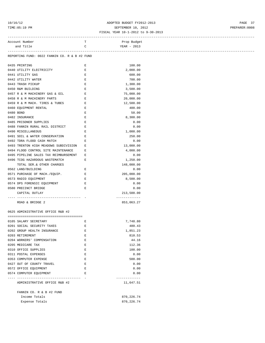# 10/16/12 ADOPTED BUDGET FY2012-2013 PAGE 37 TIME:05:19 PM SEPTEMBER 10, 2012 PREPARER:0008

### FISCAL YEAR 10-1-2012 to 9-30-2013 ------------------------------------------------------------------------------------------------------------------------------------

Account Number T Prop Budget

| and Title                                      | C                  | YEAR - 2013                 |  |
|------------------------------------------------|--------------------|-----------------------------|--|
| REPORTING FUND: 0022 FANNIN CO. R & B #2 FUND  |                    |                             |  |
|                                                |                    |                             |  |
| 0435 PRINTING                                  | Е                  | 100.00                      |  |
| 0440 UTILITY ELECTRICITY                       | Е                  | 2,000.00                    |  |
| 0441 UTILITY GAS                               | E                  | 600.00                      |  |
| 0442 UTILITY WATER                             | $\mathbf{E}% _{0}$ | 700.00                      |  |
| 0443 TRASH PICKUP                              | E                  | 1,300.00                    |  |
| 0450 R&M BUILDING                              | $\mathbf{E}% _{0}$ | 3,500.00                    |  |
| 0457 R & M MACHINERY GAS & OIL                 | E                  | 75,000.00                   |  |
| 0458 R & M MACHINERY PARTS                     | E                  | 20,000.00                   |  |
| 0459 R & M MACH. TIRES & TUBES E               |                    | 12,500.00                   |  |
| 0460 EQUIPMENT RENTAL                          | E                  | 400.00                      |  |
| 0480 BOND                                      | E                  | 50.00                       |  |
| 0482 INSURANCE                                 | $\mathbf{E}% _{0}$ | 8,300.00                    |  |
| 0485 PRISONER SUPPLIES                         | E                  | 0.00                        |  |
| 0488 FANNIN RURAL RAIL DISTRICT                | E                  | 0.00                        |  |
| 0490 MISCELLANEOUS                             | Е                  | 1,000.00                    |  |
| 0491 SOIL & WATER CONSERVATION<br>$\mathbf{E}$ |                    | 250.00                      |  |
| 0492 TDRA FLOOD CASH MATCH                     | E                  | 0.00                        |  |
| 0493 TRENTON HIGH MEADOWS SUBDIVISION          | E                  | 13,000.00                   |  |
| 0494 FLOOD CONTROL SITE MAINTENANCE            | Е                  | 4,000.00                    |  |
| 0495 PIPELINE SALES TAX REIMBURSEMENT          | E                  |                             |  |
|                                                |                    | 0.00<br>1,250.00            |  |
| 0496 TCOG HAZARDOUS WASTEMATCH                 | Е                  |                             |  |
| TOTAL SER.& OTHER CHARGES                      |                    | 148,000.00                  |  |
| 0562 LAND/BUILDING                             | Е                  | 0.00                        |  |
| 0571 PURCHASE OF MACH./EQUIP.                  | E                  | 205,000.00                  |  |
| 0573 RADIO EQUIPMENT                           | E                  | 8,500.00                    |  |
| 0574 DPS FORENSIC EQUIPMENT                    | E                  | 0.00                        |  |
| 0580 PRECINCT BRIDGE                           | E                  | 0.00                        |  |
| CAPITAL OUTLAY                                 |                    | 213,500.00<br>------------- |  |
| ROAD & BRIDGE 2                                |                    | 853,063.27                  |  |
|                                                |                    |                             |  |
| 0625 ADMINISTRATIVE OFFICE R&B #2              |                    |                             |  |
|                                                |                    |                             |  |
| 0105 SALARY SECRETARY                          | E                  | 7,748.80                    |  |
| 0201 SOCIAL SECURITY TAXES                     | E                  | 480.43                      |  |
| 0202 GROUP HEALTH INSURANCE                    | E                  | 1,851.23                    |  |
| 0203 RETIREMENT                                | E                  | 810.53                      |  |
| 0204 WORKERS' COMPENSATION                     | $\mathbf E$        | 44.16                       |  |
| 0205 MEDICARE TAX                              | E                  | 112.36                      |  |
| 0310 OFFICE SUPPLIES                           | E                  | 100.00                      |  |
| 0311 POSTAL EXPENSES                           | Ε                  | 0.00                        |  |
| 0353 COMPUTER EXPENSE                          | Е                  | 500.00                      |  |
| 0427 OUT OF COUNTY TRAVEL                      | Е                  | 0.00                        |  |
| 0572 OFFICE EQUIPMENT                          | Ε                  | 0.00                        |  |
| 0574 COMPUTER EQUIPMENT                        | Ε                  | 0.00                        |  |
| ---------------                                |                    | .                           |  |
| ADMINISTRATIVE OFFICE R&B #2                   |                    | 11,647.51                   |  |
| FANNIN CO. R & B #2 FUND                       |                    |                             |  |
| Income Totals                                  |                    | 870, 226.74                 |  |
| Expense Totals                                 |                    | 870, 226.74                 |  |
|                                                |                    |                             |  |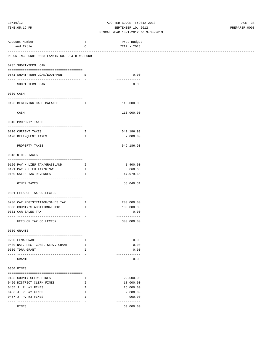### 10/16/12 ADOPTED BUDGET FY2012-2013 PAGE 38 TIME:05:19 PM SEPTEMBER 10, 2012 PREPARER:0008 FISCAL YEAR 10-1-2012 to 9-30-2013

| Account Number                                                                                 | T                            | Prop Budget                 |
|------------------------------------------------------------------------------------------------|------------------------------|-----------------------------|
| and Title                                                                                      | C                            | YEAR - 2013                 |
| ------------------------------------<br>REPORTING FUND: 0023 FANNIN CO. R & B #3 FUND          |                              | --------------              |
|                                                                                                |                              |                             |
| 0205 SHORT-TERM LOAN                                                                           |                              |                             |
| 0571 SHORT-TERM LOAN/EQUIPMENT<br><b>Experience R</b>                                          |                              | 0.00                        |
|                                                                                                |                              | -------------               |
| SHORT-TERM LOAN                                                                                |                              | 0.00                        |
| 0300 CASH                                                                                      |                              |                             |
|                                                                                                |                              |                             |
| 0123 BEGINNING CASH BALANCE<br>$\mathbf{I}$ and $\mathbf{I}$ and $\mathbf{I}$ and $\mathbf{I}$ |                              | 110,000.00                  |
| CASH                                                                                           |                              | -------------<br>110,000.00 |
|                                                                                                |                              |                             |
| 0310 PROPERTY TAXES                                                                            |                              |                             |
|                                                                                                |                              |                             |
| 0110 CURRENT TAXES<br>0120 DELINQUENT TAXES                                                    | Ι.<br>$\mathbf{I}$           | 542,186.93<br>7,000.00      |
| -----------------------                                                                        |                              | -------------               |
| PROPERTY TAXES                                                                                 |                              | 549,186.93                  |
|                                                                                                |                              |                             |
| 0318 OTHER TAXES                                                                               |                              |                             |
| 0120 PAY N LIEU TAX/GRASSLAND                                                                  | $\mathbf{I}$                 | 1,400.00                    |
| 0121 PAY N LIEU TAX/NTMWD                                                                      | $\mathbb{I}$                 | 3,660.66                    |
| 0160 SALES TAX REVENUES                                                                        | $\mathbb{I}$                 | 47,979.65                   |
| OTHER TAXES                                                                                    |                              | -------------<br>53,040.31  |
|                                                                                                |                              |                             |
| 0321 FEES OF TAX COLLECTOR                                                                     |                              |                             |
| 0200 CAR REGISTRATION/SALES TAX                                                                | $\mathbf{I}$                 | 200,000.00                  |
| 0300 COUNTY'S ADDITIONAL \$10<br>$\mathbf{I}$ and $\mathbf{I}$                                 |                              | 100,000.00                  |
| 0301 CAR SALES TAX                                                                             |                              | 0.00                        |
| -----------------------------------                                                            |                              | -------------               |
| FEES OF TAX COLLECTOR                                                                          |                              | 300,000.00                  |
| 0330 GRANTS                                                                                    |                              |                             |
|                                                                                                |                              |                             |
| 0200 FEMA GRANT<br>0400 NAT. RES. CONS. SERV. GRANT                                            | Ι.                           | 0.00                        |
| 0600 TDRA GRANT                                                                                | $\mathbf{I}$<br>$\mathbf{I}$ | 0.00<br>0.00                |
|                                                                                                |                              | -------------               |
| GRANTS                                                                                         |                              | 0.00                        |
|                                                                                                |                              |                             |
| 0350 FINES                                                                                     |                              |                             |
| 0403 COUNTY CLERK FINES                                                                        | $\mathbf{I}$                 | 22,500.00                   |
| 0450 DISTRICT CLERK FINES                                                                      | $\mathbf{I}$                 | 18,000.00                   |
| 0455 J. P. #1 FINES                                                                            | $\mathbf{I}$                 | 16,000.00                   |
| 0456 J. P. #2 FINES<br>0457 J. P. #3 FINES                                                     | $\mathbf{I}$<br>$\mathbf{I}$ | 2,600.00<br>900.00          |
|                                                                                                | $\sim$                       | -------------               |
| FINES                                                                                          |                              | 60,000.00                   |
|                                                                                                |                              |                             |
|                                                                                                |                              |                             |
|                                                                                                |                              |                             |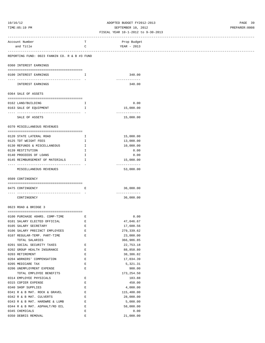# 10/16/12 ADOPTED BUDGET FY2012-2013 PAGE 39 TIME:05:19 PM SEPTEMBER 10, 2012 PREPARER:0008

| ---------------------------------             |              |               |  |
|-----------------------------------------------|--------------|---------------|--|
| Account Number                                | т            | Prop Budget   |  |
| and Title                                     | C            | YEAR - 2013   |  |
|                                               |              |               |  |
|                                               |              |               |  |
| REPORTING FUND: 0023 FANNIN CO. R & B #3 FUND |              |               |  |
| 0360 INTEREST EARNINGS                        |              |               |  |
|                                               |              |               |  |
| 0100 INTEREST EARNINGS                        | Ι.           | 340.00        |  |
| ---------------------------------- -          |              | ----------    |  |
| INTEREST EARNINGS                             |              | 340.00        |  |
|                                               |              |               |  |
| 0364 SALE OF ASSETS                           |              |               |  |
|                                               |              |               |  |
| 0162 LAND/BUILDING                            | I.           | 0.00          |  |
| 0163 SALE OF EQUIPMENT                        | $\mathbf{I}$ | 15,000.00     |  |
|                                               |              | ------------- |  |
| SALE OF ASSETS                                |              | 15,000.00     |  |
|                                               |              |               |  |
| 0370 MISCELLANEOUS REVENUES                   |              |               |  |
|                                               |              |               |  |
| 0120 STATE LATERAL ROAD                       | Ι.           | 15,000.00     |  |
| 0125 TDT WEIGHT FEES                          | I.           | 13,000.00     |  |
| 0130 REFUNDS & MISCELLANEOUS                  |              |               |  |
|                                               | $\mathbf{I}$ | 10,000.00     |  |
| 0139 RESTITUTION                              | Ι.           | 0.00          |  |
| 0140 PROCEEDS OF LOANS                        | $\mathbf{I}$ | 0.00          |  |
| 0145 REIMBURSEMENT OF MATERIALS               | $\mathbf{I}$ | 15,000.00     |  |
|                                               |              | ------------- |  |
| MISCELLANEOUS REVENUES                        |              | 53,000.00     |  |
|                                               |              |               |  |
| 0509 CONTINGENCY                              |              |               |  |
|                                               |              |               |  |
| 0475 CONTINGENCY                              | Е            | 36,000.00     |  |
|                                               |              | ------------- |  |
| CONTINGENCY                                   |              | 36,000.00     |  |
|                                               |              |               |  |
| 0623 ROAD & BRIDGE 3                          |              |               |  |
|                                               |              |               |  |
| 0100 PURCHASE 40HRS. COMP-TIME                | Е            | 0.00          |  |
| 0101 SALARY ELECTED OFFICIAL                  | Е            | 47,046.67     |  |
| 0105 SALARY SECRETARY                         | Е            | 17,600.56     |  |
| 0106 SALARY PRECINCT EMPLOYEES                | $\mathbf E$  | 279, 339.62   |  |
| 0107 REGULAR-TEMP. PART-TIME                  | Ε            | 23,000.00     |  |
| TOTAL SALARIES                                |              | 366,986.85    |  |
| 0201 SOCIAL SECURITY TAXES                    | Е            | 22,753.18     |  |
| 0202 GROUP HEALTH INSURANCE                   | Е            | 88,858.80     |  |
| 0203 RETIREMENT                               | E            | 38,386.82     |  |
| 0204 WORKERS' COMPENSATION                    | E            | 17,034.39     |  |
| 0205 MEDICARE TAX                             | E            | 5,321.31      |  |
| 0206 UNEMPLOYMENT EXPENSE                     | Е            | 900.00        |  |
| TOTAL EMPLOYEE BENEFITS                       |              | 173,254.50    |  |
| 0314 EMPLOYEE PHYSICALS                       | Е            | 183.88        |  |
| 0315 COPIER EXPENSE                           | E            | 450.00        |  |
| 0340 SHOP SUPPLIES                            | E            | 4,000.00      |  |
| 0341 R & B MAT. ROCK & GRAVEL                 | $\mathbf E$  | 115,400.00    |  |
| 0342 R & B MAT. CULVERTS                      | E            | 28,000.00     |  |
| 0343 R & B MAT. HARDWRE & LUMB                | Е            | 5,000.00      |  |
| 0344 R & B MAT. ASPHALT/RD OIL                | Е            | 58,000.00     |  |
| 0345 CHEMICALS                                | Е            | 0.00          |  |
| 0350 DEBRIS REMOVAL                           | E            | 21,000.00     |  |
|                                               |              |               |  |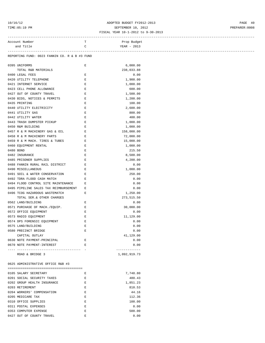# 10/16/12 ADOPTED BUDGET FY2012-2013 PAGE 40 TIME:05:19 PM SEPTEMBER 10, 2012 PREPARER:0008

#### FISCAL YEAR 10-1-2012 to 9-30-2013

| and Title<br>REPORTING FUND: 0023 FANNIN CO. R & B #3 FUND<br>0395 UNIFORMS<br>TOTAL R&B MATERIALS<br>0400 LEGAL FEES<br>0420 UTILITY TELEPHONE<br>0421 INTERNET SERVICE<br>0423 CELL PHONE ALLOWANCE<br>0427 OUT OF COUNTY TRAVEL<br>0430 BIDS, NOTICES & PERMITS<br>0435 PRINTING<br>0440 UTILITY ELECTRICITY<br>0441 UTILITY GAS<br>0442 UTILITY WATER<br>0443 TRASH DUMPSTER PICKUP<br>0450 R&M BUILDING<br>0457 R & M MACHINERY GAS & OIL<br><b>Experience E</b> | C<br>Е<br>Ε<br>Ε<br>$\mathbf{E}% _{0}$<br>$\mathbf E$<br>$\mathbf{E}% _{0}$<br>Е<br>Ε<br>Е | YEAR - 2013<br>6,000.00<br>238,033.88<br>0.00<br>1,900.00<br>1,000.00<br>600.00<br>1,500.00<br>1,200.00<br>100.00 |
|-----------------------------------------------------------------------------------------------------------------------------------------------------------------------------------------------------------------------------------------------------------------------------------------------------------------------------------------------------------------------------------------------------------------------------------------------------------------------|--------------------------------------------------------------------------------------------|-------------------------------------------------------------------------------------------------------------------|
|                                                                                                                                                                                                                                                                                                                                                                                                                                                                       |                                                                                            |                                                                                                                   |
|                                                                                                                                                                                                                                                                                                                                                                                                                                                                       |                                                                                            |                                                                                                                   |
|                                                                                                                                                                                                                                                                                                                                                                                                                                                                       |                                                                                            |                                                                                                                   |
|                                                                                                                                                                                                                                                                                                                                                                                                                                                                       |                                                                                            |                                                                                                                   |
|                                                                                                                                                                                                                                                                                                                                                                                                                                                                       |                                                                                            |                                                                                                                   |
|                                                                                                                                                                                                                                                                                                                                                                                                                                                                       |                                                                                            |                                                                                                                   |
|                                                                                                                                                                                                                                                                                                                                                                                                                                                                       |                                                                                            |                                                                                                                   |
|                                                                                                                                                                                                                                                                                                                                                                                                                                                                       |                                                                                            |                                                                                                                   |
|                                                                                                                                                                                                                                                                                                                                                                                                                                                                       |                                                                                            |                                                                                                                   |
|                                                                                                                                                                                                                                                                                                                                                                                                                                                                       |                                                                                            |                                                                                                                   |
|                                                                                                                                                                                                                                                                                                                                                                                                                                                                       |                                                                                            |                                                                                                                   |
|                                                                                                                                                                                                                                                                                                                                                                                                                                                                       |                                                                                            |                                                                                                                   |
|                                                                                                                                                                                                                                                                                                                                                                                                                                                                       |                                                                                            | 2,600.00                                                                                                          |
|                                                                                                                                                                                                                                                                                                                                                                                                                                                                       | Ε                                                                                          | 800.00                                                                                                            |
|                                                                                                                                                                                                                                                                                                                                                                                                                                                                       | $\mathbf{E}% _{0}$                                                                         | 400.00                                                                                                            |
|                                                                                                                                                                                                                                                                                                                                                                                                                                                                       | E                                                                                          | 1,000.00                                                                                                          |
|                                                                                                                                                                                                                                                                                                                                                                                                                                                                       | $\mathbf E$                                                                                | 1,000.00                                                                                                          |
|                                                                                                                                                                                                                                                                                                                                                                                                                                                                       |                                                                                            | 158,000.00                                                                                                        |
| 0458 R & M MACHINERY PARTS                                                                                                                                                                                                                                                                                                                                                                                                                                            | $\mathbf{E}$                                                                               | 72,000.00                                                                                                         |
| 0459 R & M MACH. TIRES & TUBES                                                                                                                                                                                                                                                                                                                                                                                                                                        | $\mathbf{E}$                                                                               | 15,000.00                                                                                                         |
| 0460 EQUIPMENT RENTAL                                                                                                                                                                                                                                                                                                                                                                                                                                                 | E                                                                                          | 1,000.00                                                                                                          |
| 0480 BOND                                                                                                                                                                                                                                                                                                                                                                                                                                                             | Е                                                                                          | 215.50                                                                                                            |
| 0482 INSURANCE                                                                                                                                                                                                                                                                                                                                                                                                                                                        | Ε                                                                                          | 8,500.00                                                                                                          |
| 0485 PRISONER SUPPLIES                                                                                                                                                                                                                                                                                                                                                                                                                                                | Е                                                                                          | 4,200.00                                                                                                          |
| 0488 FANNIN RURAL RAIL DISTRICT                                                                                                                                                                                                                                                                                                                                                                                                                                       | Ε                                                                                          | 0.00                                                                                                              |
| 0490 MISCELLANEOUS                                                                                                                                                                                                                                                                                                                                                                                                                                                    | E                                                                                          | 1,000.00                                                                                                          |
| 0491 SOIL & WATER CONSERVATION                                                                                                                                                                                                                                                                                                                                                                                                                                        | Е                                                                                          | 250.00                                                                                                            |
| 0492 TDRA FLOOD CASH MATCH                                                                                                                                                                                                                                                                                                                                                                                                                                            | Е                                                                                          | 0.00                                                                                                              |
| 0494 FLOOD CONTROL SITE MAINTENANCE                                                                                                                                                                                                                                                                                                                                                                                                                                   | Е                                                                                          | 0.00                                                                                                              |
| 0495 PIPELINE SALES TAX REIMBURSEMENT                                                                                                                                                                                                                                                                                                                                                                                                                                 | Е                                                                                          | 0.00                                                                                                              |
| 0496 TCOG HAZARDOUS WASTEMATCH                                                                                                                                                                                                                                                                                                                                                                                                                                        | E                                                                                          | 1,250.00                                                                                                          |
| TOTAL SER.& OTHER CHARGES                                                                                                                                                                                                                                                                                                                                                                                                                                             |                                                                                            | 273,515.50                                                                                                        |
| 0562 LAND/BUILDING                                                                                                                                                                                                                                                                                                                                                                                                                                                    | Ε                                                                                          | 0.00                                                                                                              |
| 0571 PURCHASE OF MACH./EQUIP.                                                                                                                                                                                                                                                                                                                                                                                                                                         | Е                                                                                          | 30,000.00                                                                                                         |
| 0572 OFFICE EQUIPMENT                                                                                                                                                                                                                                                                                                                                                                                                                                                 | $\mathbf{E}% _{0}$                                                                         | 0.00                                                                                                              |
| 0573 RADIO EQUIPMENT                                                                                                                                                                                                                                                                                                                                                                                                                                                  | $\mathbf{E}% _{0}$                                                                         | 11,129.00                                                                                                         |
| 0574 DPS FORENSIC EQUIPMENT                                                                                                                                                                                                                                                                                                                                                                                                                                           | $\mathbf E$                                                                                | 0.00                                                                                                              |
| 0575 LAND/BUILDING                                                                                                                                                                                                                                                                                                                                                                                                                                                    | Ε                                                                                          | 0.00                                                                                                              |
| 0580 PRECINCT BRIDGE                                                                                                                                                                                                                                                                                                                                                                                                                                                  | Е                                                                                          | 0.00                                                                                                              |
| CAPITAL OUTLAY                                                                                                                                                                                                                                                                                                                                                                                                                                                        |                                                                                            | 41,129.00                                                                                                         |
| 0630 NOTE PAYMENT-PRINCIPAL                                                                                                                                                                                                                                                                                                                                                                                                                                           | Ε                                                                                          | 0.00                                                                                                              |
| 0670 NOTE PAYMENT-INTEREST                                                                                                                                                                                                                                                                                                                                                                                                                                            | Е                                                                                          | 0.00                                                                                                              |
| - ----------------------------------                                                                                                                                                                                                                                                                                                                                                                                                                                  |                                                                                            | -------------                                                                                                     |
| ROAD & BRIDGE 3                                                                                                                                                                                                                                                                                                                                                                                                                                                       |                                                                                            | 1,092,919.73                                                                                                      |

0625 ADMINISTRATIVE OFFICE R&B #3 ========================================

| 0105 SALARY SECRETARY       | F. | 7,748.80 |
|-----------------------------|----|----------|
| 0201 SOCIAL SECURITY TAXES  | F. | 480.43   |
| 0202 GROUP HEALTH INSURANCE | F. | 1,851.23 |
| 0203 RETIREMENT             | F. | 810.53   |
| 0204 WORKERS' COMPENSATION  | F. | 44.16    |
| 0205 MEDICARE TAX           | F. | 112.36   |
| 0310 OFFICE SUPPLIES        | F. | 100.00   |
| 0311 POSTAL EXPENSES        | F. | 0.00     |
| 0353 COMPUTER EXPENSE       | F. | 500.00   |
| 0427 OUT OF COUNTY TRAVEL   | F. | 0.00     |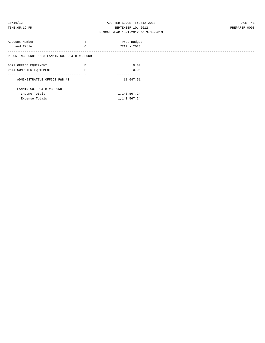### 10/16/12 ADOPTED BUDGET FY2012-2013 PAGE 41 TIME:05:19 PM SEPTEMBER 10, 2012 PREPARER:0008 FISCAL YEAR 10-1-2012 to 9-30-2013

# ------------------------------------------------------------------------------------------------------------------------------------ Account Number  $\hfill \texttt{T}$  . Prop Budget and Title C C YEAR - 2013 ------------------------------------------------------------------------------------------------------------------------------------ REPORTING FUND: 0023 FANNIN CO. R & B #3 FUND 0572 OFFICE EQUIPMENT **E E DESIGNERY E DESIGNERY E DESIGNERY E DESIGNERY DESIGNERY** 0574 COMPUTER EQUIPMENT E E COMPUTER E COMPUTER COMPUTER  $\sim 0.00$ ---- ---------------------------------- - ------------- ADMINISTRATIVE OFFICE R&B #3 11,647.51 FANNIN CO. R & B #3 FUND Income Totals 1,140,567.24 Expense Totals  $1,140,567.24$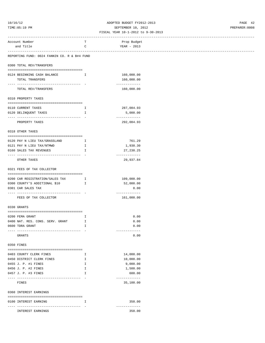# 10/16/12 ADOPTED BUDGET FY2012-2013 PAGE 42 TIME:05:19 PM SEPTEMBER 10, 2012 PREPARER:0008

#### FISCAL YEAR 10-1-2012 to 9-30-2013 ------------------------------------------------------------------------------------------------------------------------------------

| Account Number<br>and Title                           | T<br>C                   | Prop Budget<br>YEAR - 2013  |  |
|-------------------------------------------------------|--------------------------|-----------------------------|--|
| ------------------------                              |                          |                             |  |
| REPORTING FUND: 0024 FANNIN CO. R & B#4 FUND          |                          |                             |  |
| 0300 TOTAL REV/TRANSFERS                              |                          |                             |  |
| 0124 BEGINNING CASH BALANCE                           | Ι.                       | 160,000.00                  |  |
| TOTAL TRANSFERS                                       |                          | 160,000.00                  |  |
| ------------------------------<br>TOTAL REV/TRANSFERS |                          | -------------<br>160,000.00 |  |
| 0310 PROPERTY TAXES                                   |                          |                             |  |
| 0110 CURRENT TAXES                                    | I.                       | 287,084.93                  |  |
| 0120 DELINQUENT TAXES                                 | I.                       | 5,000.00                    |  |
| ----------------------------------                    |                          | -------------               |  |
| PROPERTY TAXES                                        |                          | 292,084.93                  |  |
| 0318 OTHER TAXES                                      |                          |                             |  |
| 0120 PAY N LIEU TAX/GRASSLAND                         | $\mathbf{I}$             | 761.29                      |  |
| 0121 PAY N LIEU TAX/NTMWD                             | Ι.                       | 1,938.30                    |  |
| 0160 SALES TAX REVENUES                               | Ι.                       | 27, 238.25<br>------------- |  |
| OTHER TAXES                                           |                          | 29,937.84                   |  |
| 0321 FEES OF TAX COLLECTOR                            |                          |                             |  |
| 0200 CAR REGISTRATION/SALES TAX                       | $\mathbf{I}$             | 109,000.00                  |  |
| 0300 COUNTY'S ADDITIONAL \$10                         | Ι.                       | 52,000.00                   |  |
| 0301 CAR SALES TAX                                    |                          | 0.00                        |  |
| FEES OF TAX COLLECTOR                                 |                          | -------------<br>161,000.00 |  |
| 0330 GRANTS                                           |                          |                             |  |
| 0200 FEMA GRANT                                       | Ι.                       | 0.00                        |  |
| 0400 NAT. RES. CONS. SERV. GRANT                      | <b>I</b>                 | 0.00                        |  |
| 0600 TDRA GRANT                                       | I.                       | 0.00                        |  |
| GRANTS                                                | $\overline{\phantom{a}}$ | -------------<br>0.00       |  |
| 0350 FINES                                            |                          |                             |  |
|                                                       |                          |                             |  |
| 0403 COUNTY CLERK FINES                               | Ι.                       | 14,000.00                   |  |
| 0450 DISTRICT CLERK FINES<br>0455 J. P. #1 FINES      | I.<br>Ι.                 | 10,000.00<br>9,000.00       |  |
| 0456 J. P. #2 FINES                                   | I.                       | 1,500.00                    |  |
| 0457 J. P. #3 FINES                                   | I                        | 600.00                      |  |
|                                                       |                          | -------------               |  |
| FINES                                                 |                          | 35,100.00                   |  |
| 0360 INTEREST EARNINGS                                |                          |                             |  |
| 0100 INTEREST EARNING                                 | Ι.                       | 350.00<br>-------------     |  |
| INTEREST EARNINGS                                     |                          | 350.00                      |  |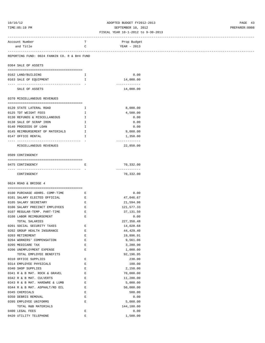# 10/16/12 ADOPTED BUDGET FY2012-2013 PAGE 43 TIME:05:19 PM SEPTEMBER 10, 2012 PREPARER:0008

| Account Number                               | т            | Prop Budget   |
|----------------------------------------------|--------------|---------------|
| and Title                                    | C            | YEAR - 2013   |
|                                              |              |               |
| REPORTING FUND: 0024 FANNIN CO. R & B#4 FUND |              |               |
|                                              |              |               |
| 0364 SALE OF ASSETS                          |              |               |
|                                              |              |               |
| 0162 LAND/BUILDING                           | Ι.           | 0.00          |
| 0163 SALE OF EQUIPMENT                       | Ι.           | 14,000.00     |
|                                              |              | ------------- |
| SALE OF ASSETS                               |              | 14,000.00     |
|                                              |              |               |
| 0370 MISCELLANEOUS REVENUES                  |              |               |
|                                              |              | 8,000.00      |
| 0120 STATE LATERAL ROAD                      | Ι.           |               |
| 0125 TDT WEIGHT FEES                         | $\mathbf{I}$ | 4,500.00      |
| 0130 REFUNDS & MISCELLANEOUS                 | $\mathbf{I}$ | 0.00          |
| 0138 SALE OF SCRAP IRON                      | Ι.           | 0.00          |
| 0140 PROCEEDS OF LOAN                        | $\mathbf{I}$ | 0.00          |
| 0145 REIMBURSEMENT OF MATERIALS I            |              | 9,000.00      |
| 0147 OFFICE RENTAL                           | I            | 1,350.00      |
|                                              |              | -----------   |
| MISCELLANEOUS REVENUES                       |              | 22,850.00     |
|                                              |              |               |
| 0509 CONTINGENCY                             |              |               |
|                                              |              |               |
|                                              |              |               |
| 0475 CONTINGENCY                             | Е            | 70,332.00     |
| ------------------------------------         |              | ------------- |
| CONTINGENCY                                  |              | 70,332.00     |
|                                              |              |               |
| 0624 ROAD & BRIDGE 4                         |              |               |
|                                              |              |               |
| 0100 PURCHASE 40HRS. COMP-TIME               | Е            | 0.00          |
| 0101 SALARY ELECTED OFFICIAL                 | Е            | 47,046.67     |
| 0105 SALARY SECRETARY                        | Е            | 21,594.98     |
| 0106 SALARY PRECINCT EMPLOYEES E             |              | 121,577.33    |
| 0107 REGULAR-TEMP. PART-TIME                 | E            | 37,131.50     |
|                                              |              |               |
| 0108 LABOR REIMBURSEMENT                     | Е            | 0.00          |
| TOTAL SALARIES                               |              | 227,350.48    |
| 0201 SOCIAL SECURITY TAXES                   | E            | 14,028.68     |
| 0202 GROUP HEALTH INSURANCE                  | Е            | 44, 429. 40   |
| 0203 RETIREMENT                              | Ε            | 19,896.91     |
| 0204 WORKERS' COMPENSATION                   | E            | 9,561.06      |
| 0205 MEDICARE TAX                            | $\mathbf E$  | 3,280.90      |
| 0206 UNEMPLOYMENT EXPENSE                    | Ε            | 1,000.00      |
|                                              |              |               |
| TOTAL EMPLOYEE BENEFITS                      |              | 92,196.95     |
| 0310 OFFICE SUPPLIES                         | Ε            | 230.00        |
| 0314 EMPLOYEE PHYSICALS                      | Ε            | 100.00        |
| 0340 SHOP SUPPLIES                           | E            | 2,150.00      |
| 0341 R & B MAT. ROCK & GRAVEL                | E            | 70,000.00     |
| 0342 R & B MAT. CULVERTS                     | Ε            | 11,200.00     |
| 0343 R & B MAT. HARDWRE & LUMB               | Ε            | 5,000.00      |
| 0344 R & B MAT. ASPHALT/RD OIL               | Ε            | 50,000.00     |
| 0345 CHEMICALS                               | Ε            | 500.00        |
|                                              |              |               |
| 0350 DEBRIS REMOVAL                          | $\mathbf E$  | 0.00          |
| 0395 EMPLOYEE UNIFORMS                       | E            | 5,000.00      |
| TOTAL R&B MATERIALS                          |              | 144,180.00    |
| 0400 LEGAL FEES                              | Ε            | 0.00          |
| 0420 UTILITY TELEPHONE                       | E            | 1,500.00      |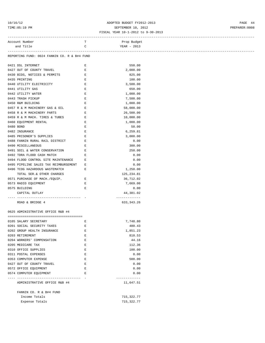# 10/16/12 ADOPTED BUDGET FY2012-2013 PAGE 44 TIME:05:19 PM SEPTEMBER 10, 2012 PREPARER:0008

### FISCAL YEAR 10-1-2012 to 9-30-2013 ------------------------------------------------------------------------------------------------------------------------------------

| Account Number                                      | т           | Prop Budget                |
|-----------------------------------------------------|-------------|----------------------------|
| and Title                                           | C           | YEAR - 2013                |
|                                                     |             |                            |
| REPORTING FUND: 0024 FANNIN CO. R & B#4 FUND        |             |                            |
|                                                     |             |                            |
| 0421 DSL INTERNET                                   | Е           | 550.00                     |
| 0427 OUT OF COUNTY TRAVEL                           | Е           | 2,000.00                   |
| 0430 BIDS, NOTICES & PERMITS                        | E           | 825.00                     |
| 0435 PRINTING                                       | Е           | 100.00                     |
| 0440 UTILITY ELECTRICITY                            | Е           | 3,500.00                   |
| 0441 UTILITY GAS                                    | Е           | 650.00                     |
| 0442 UTILITY WATER                                  | $\mathbf E$ | 1,000.00                   |
| 0443 TRASH PICKUP                                   | $\mathbf E$ | 7,500.00                   |
| 0450 R&M BUILDING                                   | Е           | 1,000.00                   |
| 0457 R & M MACHINERY GAS & OIL                      | $\,$ E      | 58,000.00                  |
| 0458 R & M MACHINERY PARTS                          | E           | 26,500.00                  |
| 0459 R & M MACH. TIRES & TUBES E                    |             | 10,000.00                  |
| 0460 EQUIPMENT RENTAL                               | $\mathbf E$ | 1,000.00                   |
| 0480 BOND                                           | $\mathbf E$ | 50.00                      |
| 0482 INSURANCE                                      | E           | 6, 259.81                  |
| 0485 PRISONER'S SUPPLIES                            | Е           |                            |
|                                                     |             | 3,000.00                   |
| 0488 FANNIN RURAL RAIL DISTRICT                     | Е           | 0.00                       |
| 0490 MISCELLANEOUS                                  | $\mathbf E$ | 300.00                     |
| 0491 SOIL & WATER CONSERVATION                      | $\mathbf E$ | 250.00                     |
| 0492 TDRA FLOOD CASH MATCH                          | Е           | 0.00                       |
| 0494 FLOOD CONTROL SITE MAINTENANCE                 | Е           | 0.00                       |
| 0495 PIPELINE SALES TAX REIMBURSEMENT               | Е           | 0.00                       |
| 0496 TCOG HAZARDOUS WASTEMATCH                      | Е           | 1,250.00                   |
| TOTAL SER.& OTHER CHARGES                           |             | 125,234.81                 |
| 0571 PURCHASE OF MACH./EQUIP.                       | Е           | 36,712.02                  |
| 0573 RADIO EQUIPMENT                                | Е           | 7,669.00                   |
| 0575 BUILDING                                       | $\mathbf E$ | 0.00                       |
| CAPITAL OUTLAY                                      |             | 44,381.02                  |
|                                                     |             | -------------              |
| ROAD & BRIDGE 4                                     |             | 633, 343. 26               |
| 0625 ADMINISTRATIVE OFFICE R&B #4                   |             |                            |
|                                                     |             |                            |
|                                                     |             |                            |
| 0105 SALARY SECRETARY                               | Е           | 7,748.80                   |
| 0201 SOCIAL SECURITY TAXES                          | $\mathbf E$ | 480.43                     |
| 0202 GROUP HEALTH INSURANCE                         | Е           | 1,851.23                   |
| 0203 RETIREMENT                                     | Ε           | 810.53                     |
| 0204 WORKERS' COMPENSATION                          | E           | 44.16                      |
| 0205 MEDICARE TAX                                   | E           | 112.36                     |
| 0310 OFFICE SUPPLIES                                | E           | 100.00                     |
| 0311 POSTAL EXPENSES                                | E           | 0.00                       |
| 0353 COMPUTER EXPENSE                               | Ε           | 500.00                     |
| 0427 OUT OF COUNTY TRAVEL                           | Ε           | 0.00                       |
| 0572 OFFICE EQUIPMENT                               | $\mathbf E$ | 0.00                       |
| 0574 COMPUTER EQUIPMENT                             | Е           | 0.00                       |
| ----------------- -<br>ADMINISTRATIVE OFFICE R&B #4 |             | -------------<br>11,647.51 |
| FANNIN CO. R & B#4 FUND                             |             |                            |
| Income Totals                                       |             |                            |
|                                                     |             | 715,322.77                 |
| Expense Totals                                      |             | 715, 322.77                |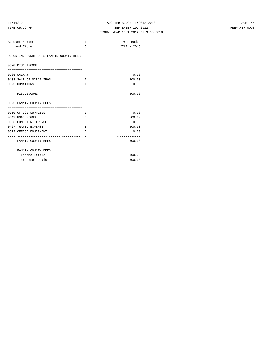## 10/16/12 ADOPTED BUDGET FY2012-2013 PAGE 45 TIME:05:19 PM SEPTEMBER 10, 2012 PREPARER:0008

| エエ四出・リフ・エフ エ四                           |    | OBFIBMDBR IV, 2014<br>FISCAL YEAR 10-1-2012 to 9-30-2013 | FREFARER . 0000 |
|-----------------------------------------|----|----------------------------------------------------------|-----------------|
| Account Number                          | т  | Prop Budget                                              |                 |
| and Title                               | C  | YEAR - 2013                                              |                 |
| REPORTING FUND: 0025 FANNIN COUNTY BEES |    |                                                          |                 |
| 0370 MISC. INCOME                       |    |                                                          |                 |
|                                         |    |                                                          |                 |
| 0105 SALARY                             |    | 0.00                                                     |                 |
| 0138 SALE OF SCRAP IRON                 | Ι. | 800.00                                                   |                 |
| 0625 DONATIONS                          | T. | 0.00<br>-------------                                    |                 |
| MISC. INCOME                            |    | 800.00                                                   |                 |
| 0625 FANNIN COUNTY BEES                 |    |                                                          |                 |
|                                         |    |                                                          |                 |
| 0310 OFFICE SUPPLIES                    | Е  | 0.00                                                     |                 |
| 0343 ROAD SIGNS                         | Е  | 500.00                                                   |                 |
| 0353 COMPUTER EXPENSE                   | Е  | 0.00<br>300.00                                           |                 |
| 0427 TRAVEL EXPENSE                     | Е  | 0.00                                                     |                 |
| 0572 OFFICE EQUIPMENT                   | Е  |                                                          |                 |
| FANNIN COUNTY BEES                      |    | 800.00                                                   |                 |
| FANNIN COUNTY BEES                      |    |                                                          |                 |
| Income Totals                           |    | 800.00                                                   |                 |
| Expense Totals                          |    | 800.00                                                   |                 |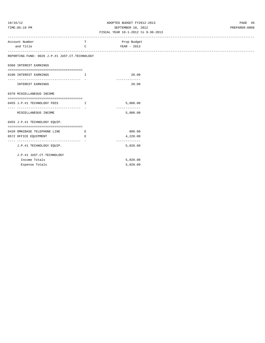## 10/16/12 ADOPTED BUDGET FY2012-2013 PAGE 46 TIME:05:19 PM SEPTEMBER 10, 2012 PREPARER:0008

| Account Number                                 | т                                                        | Prop Budget   |
|------------------------------------------------|----------------------------------------------------------|---------------|
| and Title                                      | $\mathsf{C}$                                             | YEAR - 2013   |
|                                                |                                                          |               |
| REPORTING FUND: 0026 J.P.#1 JUST.CT.TECHNOLOGY |                                                          |               |
|                                                |                                                          |               |
| 0360 INTEREST EARNINGS                         |                                                          |               |
|                                                |                                                          |               |
| 0100 INTEREST EARNINGS                         | . The contract of the contract $\mathbf{I}_{\mathbf{r}}$ | 20.00         |
|                                                |                                                          | ------------- |
| INTEREST EARNINGS                              |                                                          | 20.00         |
|                                                |                                                          |               |
| 0370 MISCELLANEOUS INCOME                      |                                                          |               |
| ==================================             |                                                          |               |
| 0455 J.P.#1 TECHNOLOGY FEES I                  |                                                          | 5,000.00      |
| -------------------------------------          |                                                          | ------------- |
| MISCELLANEOUS INCOME                           |                                                          | 5,000.00      |
|                                                |                                                          |               |
| 0455 J.P.#1 TECHNOLOGY EOUIP.                  |                                                          |               |
| ===================================            |                                                          |               |
| 0420 OMNIBASE TELEPHONE LINE                   | <b>Experience B</b>                                      | 800.00        |
| 0572 OFFICE EQUIPMENT                          | E                                                        | 4,220.00      |
|                                                |                                                          | ------------- |
| J.P.#1 TECHNOLOGY EQUIP.                       |                                                          | 5,020.00      |
|                                                |                                                          |               |
| J.P.#1 JUST.CT.TECHNOLOGY                      |                                                          |               |
| Income Totals                                  |                                                          | 5,020.00      |
| Expense Totals                                 |                                                          | 5,020.00      |
|                                                |                                                          |               |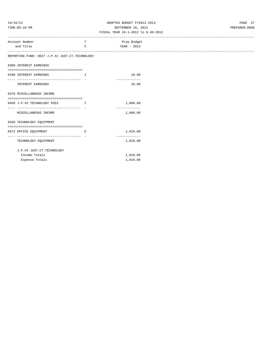# 10/16/12 ADOPTED BUDGET FY2012-2013 PAGE 47 TIME:05:19 PM SEPTEMBER 10, 2012 PREPARER:0008

| Account Number                                 | т            | Prop Budget   |
|------------------------------------------------|--------------|---------------|
| and Title                                      | $\mathsf{C}$ | YEAR - 2013   |
|                                                |              |               |
| REPORTING FUND: 0027 J.P.#2 JUST.CT.TECHNOLOGY |              |               |
| 0360 INTEREST EARNINGS                         |              |               |
|                                                |              |               |
| 0100 INTEREST EARNINGS                         | I            | 10.00         |
| ------------------------------                 |              | ------------- |
| INTEREST EARNINGS                              |              | 10.00         |
|                                                |              |               |
| 0370 MISCELLANEOUS INCOME                      |              |               |
|                                                |              |               |
| 0456 J.P.#2 TECHNOLOGY FEES I                  |              | 1,000.00      |
|                                                |              | ------------- |
| MISCELLANEOUS INCOME                           |              | 1,000.00      |
|                                                |              |               |
| 0456 TECHNOLOGY EQUIPMENT                      |              |               |
|                                                |              |               |
| 0572 OFFICE EQUIPMENT                          | E            | 1,010.00      |
| ______________________                         |              | ------------- |
| TECHNOLOGY EQUIPMENT                           |              | 1,010.00      |
|                                                |              |               |
| J.P.#2 JUST.CT.TECHNOLOGY                      |              |               |
| Income Totals                                  |              | 1,010.00      |
| Expense Totals                                 |              | 1,010.00      |
|                                                |              |               |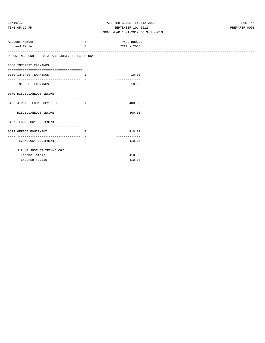# 10/16/12 ADOPTED BUDGET FY2012-2013 PAGE 48 TIME:05:19 PM SEPTEMBER 10, 2012 PREPARER:0008

| Account Number                                                                  | т            | Prop Budget             |
|---------------------------------------------------------------------------------|--------------|-------------------------|
| and Title                                                                       | $\mathsf{C}$ | YEAR - 2013             |
| -----------------------------<br>REPORTING FUND: 0028 J.P.#3 JUST.CT.TECHNOLOGY |              |                         |
|                                                                                 |              |                         |
| 0360 INTEREST EARNINGS                                                          |              |                         |
| 0100 INTEREST EARNINGS                                                          | $\mathbf I$  | 10.00                   |
| ____________________________________                                            |              | -------------           |
| <b>INTEREST EARNINGS</b>                                                        |              | 10.00                   |
| 0370 MISCELLANEOUS INCOME                                                       |              |                         |
|                                                                                 |              |                         |
| 0456 J.P.#3 TECHNOLOGY FEES I<br>----------------------------------             |              | 400.00<br>------------- |
| MISCELLANEOUS INCOME                                                            |              | 400.00                  |
| 0457 TECHNOLOGY EQUIPMENT                                                       |              |                         |
| 0572 OFFICE EQUIPMENT<br>the contract of the contract of the Richard            |              | 410.00                  |
|                                                                                 |              | -------------           |
| TECHNOLOGY EQUIPMENT                                                            |              | 410.00                  |
| J.P.#3 JUST.CT.TECHNOLOGY                                                       |              |                         |
| Income Totals                                                                   |              | 410.00                  |
| Expense Totals                                                                  |              | 410.00                  |
|                                                                                 |              |                         |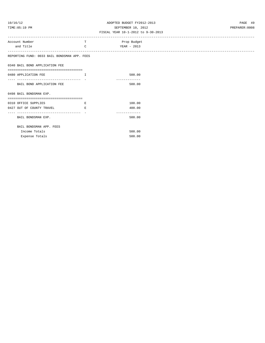# 10/16/12 ADOPTED BUDGET FY2012-2013 PAGE 49 TIME:05:19 PM SEPTEMBER 10, 2012 PREPARER:0008

| Account Number                                                    | т             | Prop Budget |
|-------------------------------------------------------------------|---------------|-------------|
| and Title                                                         | $\mathcal{C}$ | YEAR - 2013 |
|                                                                   |               |             |
| REPORTING FUND: 0033 BAIL BONDSMAN APP. FEES                      |               |             |
|                                                                   |               |             |
| 0340 BAIL BOND APPLICATION FEE                                    |               |             |
| ====================================                              |               |             |
| 0480 APPLICATION FEE                                              | $\top$        | 500.00      |
|                                                                   |               |             |
| BAIL BOND APPLICATION FEE                                         |               | 500.00      |
|                                                                   |               |             |
| 0498 BAIL BONDSMAN EXP.<br>-------------------------------------- |               |             |
| 0310 OFFICE SUPPLIES                                              | Е             | 100.00      |
| 0427 OUT OF COUNTY TRAVEL                                         | E.            | 400.00      |
| ------------------------------                                    |               |             |
| BAIL BONDSMAN EXP.                                                |               | 500.00      |
|                                                                   |               |             |
| BAIL BONDSMAN APP. FEES                                           |               |             |
| Income Totals                                                     |               | 500.00      |
| Expense Totals                                                    |               | 500.00      |
|                                                                   |               |             |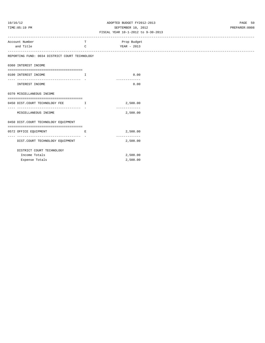## 10/16/12 ADOPTED BUDGET FY2012-2013 PAGE 50 TIME:05:19 PM SEPTEMBER 10, 2012 PREPARER:0008

| Account Number                                 | T            | Prop Budget   |
|------------------------------------------------|--------------|---------------|
| and Title                                      | $\mathsf{C}$ | YEAR - 2013   |
| ----------------------                         |              |               |
| REPORTING FUND: 0034 DISTRICT COURT TECHNOLOGY |              |               |
|                                                |              |               |
| 0360 INTEREST INCOME                           |              |               |
| 0100 INTEREST INCOME                           | I            | 0.00          |
|                                                |              | ------------- |
| INTEREST INCOME                                |              | 0.00          |
|                                                |              |               |
| 0370 MISCELLANEOUS INCOME                      |              |               |
|                                                |              |               |
| 0450 DIST.COURT TECHNOLOGY FEE T               |              | 2,500.00      |
|                                                |              | ------------- |
| MISCELLANEOUS INCOME                           |              | 2,500.00      |
| 0450 DIST.COURT TECHNOLOGY EQUIPMENT           |              |               |
|                                                |              |               |
| 0572 OFFICE EQUIPMENT                          | E            | 2,500.00      |
| ----------------------------- -                |              | ------------- |
| DIST.COURT TECHNOLOGY EQUIPMENT                |              | 2,500.00      |
|                                                |              |               |
| DISTRICT COURT TECHNOLOGY                      |              |               |
| Income Totals                                  |              | 2,500.00      |
| Expense Totals                                 |              | 2,500.00      |
|                                                |              |               |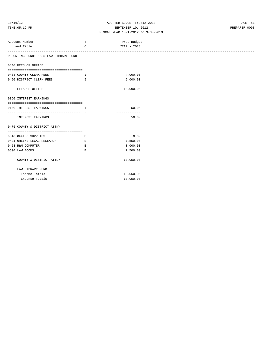# 10/16/12 ADOPTED BUDGET FY2012-2013 PAGE 51 TIME:05:19 PM SEPTEMBER 10, 2012 PREPARER:0008

| Account Number                                              | т                             | Prop Budget                |
|-------------------------------------------------------------|-------------------------------|----------------------------|
| and Title                                                   | $\mathbf C$                   | YEAR - 2013                |
| REPORTING FUND: 0035 LAW LIBRARY FUND                       |                               |                            |
| 0340 FEES OF OFFICE                                         |                               |                            |
| 0403 COUNTY CLERK FEES                                      | $\mathbf{I}$ and $\mathbf{I}$ | 4,000.00                   |
| 0450 DISTRICT CLERK FEES                                    | $\mathbf{I}$ and $\mathbf{I}$ | 9,000.00                   |
| FEES OF OFFICE                                              |                               | -------------<br>13,000.00 |
| 0360 INTEREST EARNINGS                                      |                               |                            |
| 0100 INTEREST EARNINGS                                      | $\mathbf{T}$                  | 50.00                      |
| INTEREST EARNINGS                                           |                               | -------------<br>50.00     |
| 0475 COUNTY & DISTRICT ATTNY.                               |                               |                            |
| 0310 OFFICE SUPPLIES                                        | E                             | 0.00                       |
| 0421 ONLINE LEGAL RESEARCH                                  | Ε                             | 7,550.00                   |
| 0453 R&M COMPUTER                                           | Ε                             | 3,000.00                   |
| 0590 LAW BOOKS                                              | E.                            | 2,500.00                   |
| -------------------------------<br>COUNTY & DISTRICT ATTNY. |                               | -------------<br>13,050.00 |
| LAW LIBRARY FUND                                            |                               |                            |
| Income Totals                                               |                               | 13,050.00                  |
| Expense Totals                                              |                               | 13,050.00                  |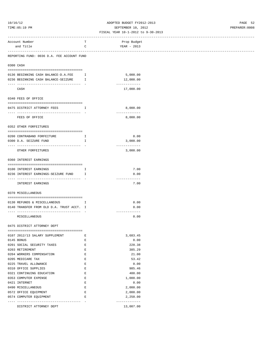# 10/16/12 ADOPTED BUDGET FY2012-2013 PAGE 52 TIME:05:19 PM SEPTEMBER 10, 2012 PREPARER:0008

|           | -------------------------                                                  |                                                                                                | ------------------------ |
|-----------|----------------------------------------------------------------------------|------------------------------------------------------------------------------------------------|--------------------------|
|           | Account Number                                                             | т                                                                                              | Prop Budget              |
|           | and Title                                                                  | C                                                                                              | YEAR - 2013              |
|           |                                                                            |                                                                                                |                          |
|           | REPORTING FUND: 0036 D.A. FEE ACCOUNT FUND                                 |                                                                                                |                          |
|           |                                                                            |                                                                                                |                          |
| 0300 CASH |                                                                            |                                                                                                |                          |
|           |                                                                            |                                                                                                |                          |
|           | 0136 BEGINNING CASH BALANCE-D.A.FEE<br>0236 BEGINNING CASH BALANCE-SEIZURE | $\mathbf{I}$<br>Ι.                                                                             | 5,000.00<br>12,000.00    |
|           |                                                                            |                                                                                                | -------------            |
|           | CASH                                                                       |                                                                                                | 17,000.00                |
|           |                                                                            |                                                                                                |                          |
|           | 0340 FEES OF OFFICE                                                        |                                                                                                |                          |
|           |                                                                            |                                                                                                |                          |
|           | 0475 DISTRICT ATTORNEY FEES                                                | $\mathbf{I}$                                                                                   | 8,000.00                 |
|           |                                                                            |                                                                                                | -------------            |
|           | FEES OF OFFICE                                                             |                                                                                                | 8,000.00                 |
|           |                                                                            |                                                                                                |                          |
|           | 0352 OTHER FORFEITURES                                                     |                                                                                                |                          |
|           |                                                                            |                                                                                                |                          |
|           | 0200 CONTRABAND FORFEITURE                                                 | Ι.                                                                                             | 0.00                     |
|           | 0300 D.A. SEIZURE FUND                                                     | I                                                                                              | 3,000.00                 |
|           | ------------------------------------                                       |                                                                                                | -------------            |
|           | OTHER FORFEITURES                                                          |                                                                                                | 3,000.00                 |
|           |                                                                            |                                                                                                |                          |
|           | 0360 INTEREST EARNINGS                                                     |                                                                                                |                          |
|           |                                                                            |                                                                                                |                          |
|           | 0100 INTEREST EARNINGS                                                     | Ι.                                                                                             | 7.00                     |
|           | 0236 INTEREST EARNINGS-SEIZURE FUND I                                      |                                                                                                | 0.00                     |
|           | --------------------------------                                           |                                                                                                | -------------            |
|           | INTEREST EARNINGS                                                          |                                                                                                | 7.00                     |
|           |                                                                            |                                                                                                |                          |
|           | 0370 MISCELLANEOUS                                                         |                                                                                                |                          |
|           |                                                                            |                                                                                                |                          |
|           | 0130 REFUNDS & MISCELLANEOUS I                                             |                                                                                                | 0.00                     |
|           | 0140 TRANSFER FROM OLD D.A. TRUST ACCT. I                                  |                                                                                                | 0.00                     |
|           | -------------------------------------                                      |                                                                                                | -------------            |
|           | MISCELLANEOUS                                                              |                                                                                                | 0.00                     |
|           | 0475 DISTRICT ATTORNEY DEPT                                                |                                                                                                |                          |
|           |                                                                            |                                                                                                |                          |
|           | 0107 2012/13 SALARY SUPPLEMENT                                             | Е                                                                                              | 3,683.45                 |
|           | 0145 BONUS                                                                 | Е                                                                                              | 0.00                     |
|           | 0201 SOCIAL SECURITY TAXES                                                 | Е                                                                                              | 228.38                   |
|           | 0203 RETIREMENT                                                            | Е                                                                                              | 385.29                   |
|           | 0204 WORKERS COMPENSATION                                                  | E                                                                                              | 21.00                    |
|           |                                                                            |                                                                                                |                          |
|           | 0205 MEDICARE TAX                                                          | $\mathbf{E}% _{0}$                                                                             | 53.42                    |
|           | 0225 TRAVEL ALLOWANCE                                                      | $\mathbf{E}% _{0}$                                                                             | 0.00                     |
|           | 0310 OFFICE SUPPLIES                                                       | E                                                                                              | 985.46                   |
|           | 0321 CONTINUING EDUCATION                                                  | Е                                                                                              | 400.00                   |
|           | 0353 COMPUTER EXPENSE                                                      | $\mathbf{E}% _{t}\left  \mathbf{1}\right\rangle =\mathbf{1}_{t}\left  \mathbf{1}\right\rangle$ | 1,000.00                 |
|           | 0421 INTERNET                                                              | $\mathbf E$                                                                                    | 0.00                     |
|           | 0490 MISCELLANEOUS                                                         | E                                                                                              | 2,000.00                 |
|           | 0572 OFFICE EQUIPMENT                                                      | E                                                                                              | 2,000.00                 |
|           | 0574 COMPUTER EQUIPMENT                                                    | Е                                                                                              | 2,250.00                 |
|           | ---- ---------------                                                       |                                                                                                | -------------            |
|           | DISTRICT ATTORNEY DEPT                                                     |                                                                                                | 13,007.00                |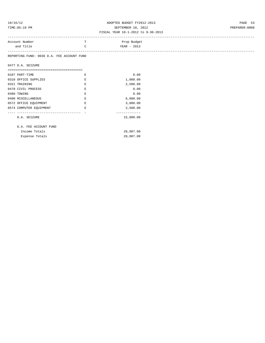# 10/16/12 ADOPTED BUDGET FY2012-2013 PAGE 53 TIME:05:19 PM SEPTEMBER 10, 2012 PREPARER:0008

### FISCAL YEAR 10-1-2012 to 9-30-2013

| Account Number | Prop Budget |
|----------------|-------------|
| and Title      | YEAR - 2013 |
|                |             |

REPORTING FUND: 0036 D.A. FEE ACCOUNT FUND

|  |  | 0477 D.A. SEIZURE |
|--|--|-------------------|
|--|--|-------------------|

| 0107 PART-TIME          | F. | 0.00      |
|-------------------------|----|-----------|
| 0310 OFFICE SUPPLIES    | F. | 1,000.00  |
| 0321 TRAINING           | F. | 2,500.00  |
| 0470 CIVIL PROCESS      | F. | 0.00      |
| 0480 TOWING             | F. | 0.00      |
| 0490 MISCELLANEOUS      | F. | 6,000.00  |
| 0572 OFFICE EQUIPMENT   | F. | 3,000.00  |
| 0574 COMPUTER EQUIPMENT | F. | 2,500.00  |
|                         |    |           |
| D.A. SEIZURE            |    | 15,000.00 |
|                         |    |           |
| D.A. FEE ACCOUNT FUND   |    |           |

| Income Totals  | 28,007.00 |
|----------------|-----------|
| Expense Totals | 28,007.00 |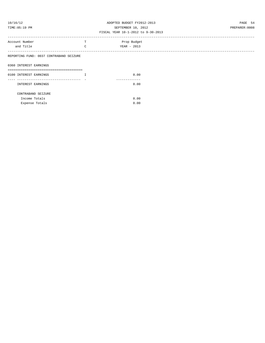| 10/16/1 |  |  |
|---------|--|--|
|         |  |  |

### ADOPTED BUDGET FY2012-2013 **PAGE 54** TIME:05:19 PM SEPTEMBER 10, 2012 PREPARER:0008 FISCAL YEAR 10-1-2012 to 9-30-2013

| Account Number                          | <b>TP</b><br><b>T</b> | Prop Budget |  |
|-----------------------------------------|-----------------------|-------------|--|
| and Title                               | $\mathcal{C}$         | YEAR - 2013 |  |
|                                         |                       |             |  |
| REPORTING FUND: 0037 CONTRABAND SEIZURE |                       |             |  |
|                                         |                       |             |  |
|                                         |                       |             |  |
| 0360 INTEREST EARNINGS                  |                       |             |  |
|                                         |                       |             |  |

| 0100 INTEREST EARNINGS | 0.00 |
|------------------------|------|
|                        |      |
| INTEREST EARNINGS      | 0.00 |
| CONTRABAND SEIZURE     |      |
| Income Totals          | 0.00 |
| Expense Totals         | 0.00 |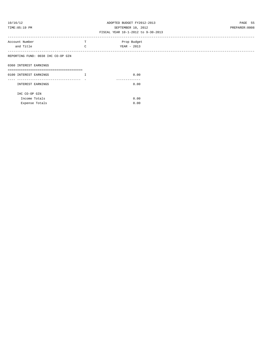| 10/16/1 | ٠, |  |  |
|---------|----|--|--|
|         |    |  |  |

# ADOPTED BUDGET FY2012-2013 PAGE 55 TIME:05:19 PM SEPTEMBER 10, 2012 PREPARER:0008

| Account Number                     | m.<br>- 11 | Prop Budget |
|------------------------------------|------------|-------------|
| and Title                          | C          | YEAR - 2013 |
|                                    |            |             |
| REPORTING FUND: 0038 IHC CO-OP GIN |            |             |
|                                    |            |             |
| 0360 INTEREST EARNINGS             |            |             |
|                                    |            |             |

| 0100 INTEREST EARNINGS |                | 0.00 |  |
|------------------------|----------------|------|--|
|                        |                |      |  |
| INTEREST EARNINGS      |                | 0.00 |  |
| IHC CO-OP GIN          |                |      |  |
| Income Totals          |                | 0.00 |  |
|                        | Expense Totals | 0.00 |  |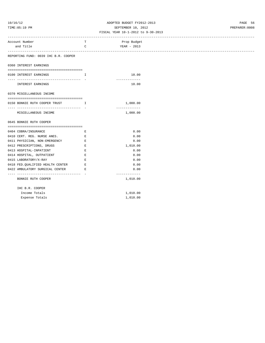## 10/16/12 ADOPTED BUDGET FY2012-2013 PAGE 56 TIME:05:19 PM SEPTEMBER 10, 2012 PREPARER:0008

| -----------------------------                                          |                                                                                                                       | -------------------------------- |  |
|------------------------------------------------------------------------|-----------------------------------------------------------------------------------------------------------------------|----------------------------------|--|
| Account Number                                                         | T                                                                                                                     | Prop Budget                      |  |
| and Title                                                              | C                                                                                                                     | YEAR - 2013                      |  |
|                                                                        |                                                                                                                       |                                  |  |
| REPORTING FUND: 0039 IHC B.R. COOPER                                   |                                                                                                                       |                                  |  |
| 0360 INTEREST EARNINGS                                                 |                                                                                                                       |                                  |  |
| 0100 INTEREST EARNINGS                                                 | $\mathbf{I}$                                                                                                          | 10.00                            |  |
| INTEREST EARNINGS                                                      |                                                                                                                       | -------------<br>10.00           |  |
| 0370 MISCELLANEOUS INCOME                                              |                                                                                                                       |                                  |  |
|                                                                        |                                                                                                                       |                                  |  |
| 0150 BONNIE RUTH COOPER TRUST T<br>----------------------------------- |                                                                                                                       | 1,000.00<br>-------------        |  |
| MISCELLANEOUS INCOME                                                   |                                                                                                                       | 1,000.00                         |  |
| 0645 BONNIE RUTH COOPER                                                |                                                                                                                       |                                  |  |
| 0404 COBRA/INSURANCE                                                   | Е                                                                                                                     | 0.00                             |  |
| 0410 CERT. REG. NURSE ANES. E                                          |                                                                                                                       | 0.00                             |  |
| 0411 PHYSICIAN, NON-EMERGENCY                                          | E                                                                                                                     | 0.00                             |  |
| 0412 PRESCRIPTIONS, DRUGS                                              | E                                                                                                                     | 1,010.00                         |  |
| 0413 HOSPITAL-INPATIENT                                                | Е                                                                                                                     | 0.00                             |  |
| 0414 HOSPITAL, OUTPATIENT                                              | $\mathbf{E}% _{0}$                                                                                                    | 0.00                             |  |
| 0415 LABORATORY/X-RAY                                                  | Е                                                                                                                     | 0.00                             |  |
| 0418 FED. QUALIFIED HEALTH CENTER E                                    |                                                                                                                       | 0.00                             |  |
| 0422 AMBULATORY SURGICAL CENTER                                        | <b>Expanding Expanding Expanding Expanding Expanding Expanding Expanding Expanding Expanding Expanding Expanding </b> | 0.00                             |  |
| ---------------------------------<br>BONNIE RUTH COOPER                |                                                                                                                       | -------------<br>1,010.00        |  |
| IHC B.R. COOPER                                                        |                                                                                                                       |                                  |  |
| Income Totals                                                          |                                                                                                                       | 1,010.00                         |  |
| Expense Totals                                                         |                                                                                                                       | 1,010.00                         |  |
|                                                                        |                                                                                                                       |                                  |  |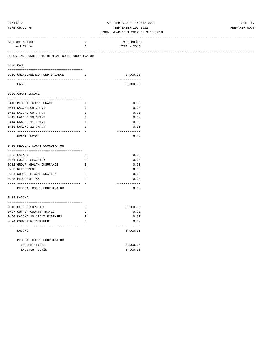# 10/16/12 ADOPTED BUDGET FY2012-2013 PAGE 57 TIME:05:19 PM SEPTEMBER 10, 2012 PREPARER:0008

|                                                |                                                                                                | ----------------------- |
|------------------------------------------------|------------------------------------------------------------------------------------------------|-------------------------|
| Account Number                                 | т                                                                                              | Prop Budget             |
| and Title                                      | $\mathsf C$                                                                                    | YEAR - 2013             |
|                                                |                                                                                                |                         |
| REPORTING FUND: 0040 MEDICAL CORPS COORDINATOR |                                                                                                |                         |
|                                                |                                                                                                |                         |
| 0300 CASH                                      |                                                                                                |                         |
| 0110 UNENCUMBERED FUND BALANCE                 | $\mathbf{I}$                                                                                   | 8,000.00                |
|                                                |                                                                                                | -------------           |
| CASH                                           |                                                                                                | 8,000.00                |
|                                                |                                                                                                |                         |
| 0330 GRANT INCOME                              |                                                                                                |                         |
|                                                |                                                                                                |                         |
| 0410 MEDICAL CORPS.GRANT                       | Ι.                                                                                             | 0.00                    |
| 0411 NACCHO 08 GRANT                           | $\mathbf{I}$                                                                                   | 0.00                    |
| 0412 NACCHO 09 GRANT                           | $\mathbbm{I}$                                                                                  | 0.00                    |
| 0413 NAACHO 10 GRANT                           | I                                                                                              | 0.00                    |
| 0414 NAACHO 11 GRANT                           | $\mathbf{I}$                                                                                   | 0.00                    |
| 0415 NAACHO 12 GRANT                           | I                                                                                              | 0.00                    |
| -------------<br>--------------------          |                                                                                                | ------------            |
| GRANT INCOME                                   |                                                                                                | 0.00                    |
| 0410 MEDICAL CORPS COORDINATOR                 |                                                                                                |                         |
|                                                |                                                                                                |                         |
| 0103 SALARY                                    | $\mathbf{E}% _{t}\left  \mathbf{1}\right\rangle =\mathbf{1}_{t}\left  \mathbf{1}\right\rangle$ | 0.00                    |
| 0201 SOCIAL SECURITY                           | E                                                                                              | 0.00                    |
| 0202 GROUP HEALTH INSURANCE                    | $\mathbf E$                                                                                    | 0.00                    |
| 0203 RETIREMENT                                | $\mathbf E$                                                                                    | 0.00                    |
| 0204 WORKER'S COMPENSATION                     | $\mathbf E$                                                                                    | 0.00                    |
| 0205 MEDICARE TAX                              | $\mathbf E$                                                                                    | 0.00                    |
|                                                | - 11                                                                                           | -------------           |
| MEDICAL CORPS COORDINATOR                      |                                                                                                | 0.00                    |
|                                                |                                                                                                |                         |
| 0411 NACCHO                                    |                                                                                                |                         |
|                                                |                                                                                                |                         |
| 0310 OFFICE SUPPLIES                           | $\mathbf{E}% _{t}\left  \mathbf{1}\right\rangle =\mathbf{1}_{t}\left  \mathbf{1}\right\rangle$ | 8,000.00                |
| 0427 OUT OF COUNTY TRAVEL                      | E                                                                                              | 0.00                    |
| 0490 NACCHO 10 GRANT EXPENSES                  | $\,$ E                                                                                         | 0.00                    |
| 0574 COMPUTER EQUIPMENT                        | $\mathbf E$                                                                                    | 0.00                    |
|                                                |                                                                                                | -------------           |
| NACCHO                                         |                                                                                                | 8,000.00                |
|                                                |                                                                                                |                         |
| MEDICAL CORPS COORDINATOR                      |                                                                                                |                         |
| Income Totals                                  |                                                                                                | 8,000.00                |
| Expense Totals                                 |                                                                                                | 8,000.00                |
|                                                |                                                                                                |                         |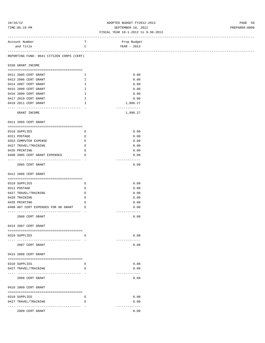### 10/16/12 ADOPTED BUDGET FY2012-2013 PAGE 58 TIME:05:19 PM SEPTEMBER 10, 2012 PREPARER:0008 FISCAL YEAR 10-1-2012 to 9-30-2013

| Account Number                            | т            | Prop Budget   |
|-------------------------------------------|--------------|---------------|
| and Title                                 | C            | YEAR - 2013   |
| ------------------------------            |              |               |
| REPORTING FUND: 0041 CITIZEN CORPS (CERT) |              |               |
|                                           |              |               |
| 0330 GRANT INCOME                         |              |               |
|                                           |              |               |
| 0411 2005-CERT GRANT                      | $\mathbb{I}$ | 0.00          |
| 0413 2006 CERT GRANT                      | $\mathbf{I}$ | 0.00          |
| 0414 2007 CERT GRANT                      | Ι.           | 0.00          |
| 0415 2008 CERT GRANT                      | I.           | 0.00          |
| 0416 2009 CERT GRANT                      | I.           | 0.00          |
| 0417 2010 CERT GRANT                      | Ι.           | 0.00          |
| 0418 2011 CERT GRANT                      | I.           | 1,896.27      |
|                                           |              | ------------- |
| GRANT INCOME                              |              | 1,896.27      |
|                                           |              |               |
| 0411 2005 CERT GRANT                      |              |               |
|                                           |              |               |
| 0310 SUPPLIES                             | Е            | 0.00          |
| 0311 POSTAGE                              | Е            | 0.00          |
| 0353 COMPUTER EXPENSE                     | Е            | 0.00          |
| 0427 TRAVEL/TRAINING                      | Е            | 0.00          |
| 0435 PRINTING                             | Е            | 0.00          |
| 0490 2005 CERT GRANT EXPENSES             | E            | 0.00          |
|                                           |              | ------------- |
| 2005 CERT GRANT                           |              | 0.00          |
|                                           |              |               |
| 0412 2006 CERT GRANT                      |              |               |
|                                           |              |               |
| 0310 SUPPLIES                             | E            | 0.00          |
| 0311 POSTAGE                              | Е            | 0.00          |
| 0427 TRAVEL/TRAINING                      | Е            | 0.00          |
| 0428 TRAINING                             | Е            | 0.00          |
| 0435 PRINTING                             | Е            | 0.00          |
| 0490 A07 CERT EXPENSES FOR 06 GRANT E     |              | 0.00          |
|                                           |              | ------------- |
| 2006 CERT GRANT                           |              | 0.00          |
|                                           |              |               |
| 0414 2007 CERT GRANT                      |              |               |
|                                           |              |               |
| 0310 SUPPLIES                             | Е            | 0.00          |
|                                           |              | ------------- |
| 2007 CERT GRANT                           |              | 0.00          |
|                                           |              |               |
|                                           |              |               |
| 0415 2008 CERT GRANT                      |              |               |
|                                           |              |               |
| 0310 SUPPLIES                             | Е            | 0.00          |
| 0427 TRAVEL/TRAINING                      | Е            | 0.00          |
|                                           |              | ------------- |
| 2008 CERT GRANT                           |              | 0.00          |
|                                           |              |               |
| 0416 2009 CERT GRANT                      |              |               |
|                                           |              |               |
| 0310 SUPPLIES                             | Е            | 0.00          |
| 0427 TRAVEL/TRAINING                      | Е            | 0.00          |
|                                           |              | ------------- |
| 2009 CERT GRANT                           |              | 0.00          |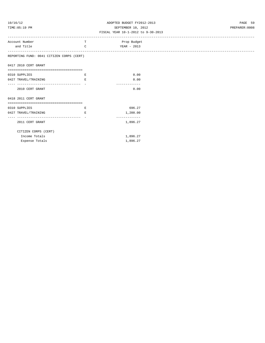| 10/16/12 |  |
|----------|--|
|          |  |

## ADOPTED BUDGET FY2012-2013 PAGE 59 TIME:05:19 PM SEPTEMBER 10, 2012 PREPARER:0008

| Account Number                            | T            | Prop Budget   |
|-------------------------------------------|--------------|---------------|
| and Title                                 | $\mathsf{C}$ | YEAR - 2013   |
|                                           |              |               |
| REPORTING FUND: 0041 CITIZEN CORPS (CERT) |              |               |
|                                           |              |               |
| 0417 2010 CERT GRANT                      |              |               |
| -----------------------------------       |              |               |
| 0310 SUPPLIES                             | Е            | 0.00          |
| 0427 TRAVEL/TRAINING                      | E.           | 0.00          |
| ---------------------------------         |              |               |
| 2010 CERT GRANT                           |              | 0.00          |
|                                           |              |               |
| 0418 2011 CERT GRANT                      |              |               |
| --------------------------------------    |              |               |
| 0310 SUPPLIES                             | Е            | 696.27        |
| 0427 TRAVEL/TRAINING                      | Ε            | 1,200.00      |
|                                           |              | ------------- |
| 2011 CERT GRANT                           |              | 1,896.27      |
|                                           |              |               |
| CITIZEN CORPS (CERT)                      |              |               |
|                                           |              |               |
| Income Totals                             |              | 1,896.27      |
| Expense Totals                            |              | 1,896.27      |
|                                           |              |               |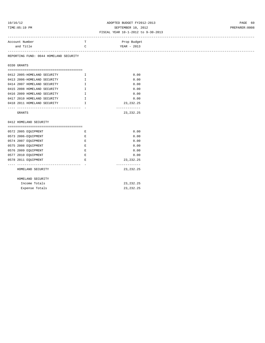# 10/16/12 ADOPTED BUDGET FY2012-2013 PAGE 60 TIME:05:19 PM SEPTEMBER 10, 2012 PREPARER:0008

#### FISCAL YEAR 10-1-2012 to 9-30-2013

| Account Number | $\mathbf{m}$ | Prop Budget   |  |
|----------------|--------------|---------------|--|
| and Title      |              | $YEAR - 2013$ |  |
|                |              |               |  |

REPORTING FUND: 0044 HOMELAND SECURITY

0330 GRANTS

| 0412 2005-HOMELAND SECURITY | т | 0.00        |
|-----------------------------|---|-------------|
| 0413 2006-HOMELAND SECURITY | T | 0.00        |
| 0414 2007 HOMELAND SECURITY | T | 0.00        |
| 0415 2008 HOMELAND SECURITY | T | 0.00        |
| 0416 2009 HOMELAND SECURITY | T | 0.00        |
| 0417 2010 HOMELAND SECURITY | T | 0.00        |
| 0418 2011 HOMELAND SECURITY | т | 23, 232, 25 |
|                             |   |             |
| GRANTS                      |   | 23, 232, 25 |

0412 HOMELAND SECURITY

| 0572 2005 EOUIPMENT | F. | 0.00        |
|---------------------|----|-------------|
| 0573 2006-EOUIPMENT | E. | 0.00        |
| 0574 2007 EOUIPMENT | F. | 0.00        |
| 0575 2008 EOUIPMENT | E. | 0.00        |
| 0576 2009 EOUIPMENT | F. | 0.00        |
| 0577 2010 EOUIPMENT | F. | 0.00        |
| 0578 2011 EOUIPMENT | F. | 23, 232. 25 |
|                     |    |             |
| HOMELAND SECURITY   |    | 23, 232. 25 |
|                     |    |             |
| HOMELAND SECURITY   |    |             |
| Income Totals       |    | 23, 232. 25 |

Expense Totals 23,232.25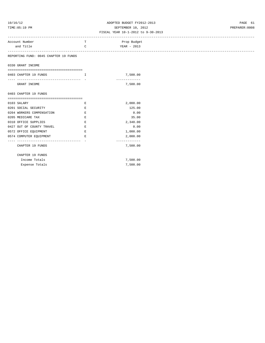# 10/16/12 ADOPTED BUDGET FY2012-2013 PAGE 61 TIME:05:19 PM SEPTEMBER 10, 2012 PREPARER:0008

|                  | т                                                                                                                                                                                                                                                                                                                                                           | Prop Budget                                                                                                        |
|------------------|-------------------------------------------------------------------------------------------------------------------------------------------------------------------------------------------------------------------------------------------------------------------------------------------------------------------------------------------------------------|--------------------------------------------------------------------------------------------------------------------|
|                  | $\mathsf{C}$                                                                                                                                                                                                                                                                                                                                                | YEAR - 2013                                                                                                        |
|                  |                                                                                                                                                                                                                                                                                                                                                             |                                                                                                                    |
|                  |                                                                                                                                                                                                                                                                                                                                                             |                                                                                                                    |
|                  |                                                                                                                                                                                                                                                                                                                                                             |                                                                                                                    |
|                  |                                                                                                                                                                                                                                                                                                                                                             |                                                                                                                    |
|                  |                                                                                                                                                                                                                                                                                                                                                             | 7,500.00                                                                                                           |
|                  |                                                                                                                                                                                                                                                                                                                                                             | -------------                                                                                                      |
| GRANT INCOME     |                                                                                                                                                                                                                                                                                                                                                             | 7,500.00                                                                                                           |
|                  |                                                                                                                                                                                                                                                                                                                                                             |                                                                                                                    |
|                  |                                                                                                                                                                                                                                                                                                                                                             |                                                                                                                    |
|                  |                                                                                                                                                                                                                                                                                                                                                             |                                                                                                                    |
|                  | Е                                                                                                                                                                                                                                                                                                                                                           | 2,000.00                                                                                                           |
|                  | E                                                                                                                                                                                                                                                                                                                                                           | 125.00                                                                                                             |
|                  | E                                                                                                                                                                                                                                                                                                                                                           | 0.00                                                                                                               |
|                  | Ε                                                                                                                                                                                                                                                                                                                                                           | 35.00                                                                                                              |
|                  | E                                                                                                                                                                                                                                                                                                                                                           | 2,340.00                                                                                                           |
|                  | E                                                                                                                                                                                                                                                                                                                                                           | 0.00                                                                                                               |
|                  | $\mathbf{E}$                                                                                                                                                                                                                                                                                                                                                | 1,000.00                                                                                                           |
|                  | E                                                                                                                                                                                                                                                                                                                                                           | 2,000.00                                                                                                           |
|                  |                                                                                                                                                                                                                                                                                                                                                             | -------------                                                                                                      |
| CHAPTER 19 FUNDS |                                                                                                                                                                                                                                                                                                                                                             | 7,500.00                                                                                                           |
|                  |                                                                                                                                                                                                                                                                                                                                                             |                                                                                                                    |
|                  |                                                                                                                                                                                                                                                                                                                                                             |                                                                                                                    |
|                  |                                                                                                                                                                                                                                                                                                                                                             | 7,500.00                                                                                                           |
|                  |                                                                                                                                                                                                                                                                                                                                                             | 7,500.00                                                                                                           |
|                  |                                                                                                                                                                                                                                                                                                                                                             |                                                                                                                    |
|                  | Account Number<br>and Title<br>0330 GRANT INCOME<br>0403 CHAPTER 19 FUNDS<br>0403 CHAPTER 19 FUNDS<br>0103 SALARY<br>0201 SOCIAL SECURITY<br>0204 WORKERS COMPENSATION<br>0205 MEDICARE TAX<br>0310 OFFICE SUPPLIES<br>0427 OUT OF COUNTY TRAVEL<br>0572 OFFICE EQUIPMENT<br>0574 COMPUTER EQUIPMENT<br>CHAPTER 19 FUNDS<br>Income Totals<br>Expense Totals | REPORTING FUND: 0045 CHAPTER 19 FUNDS<br><br>$\mathbf{I}$ and $\mathbf{I}$<br>------------------------------------ |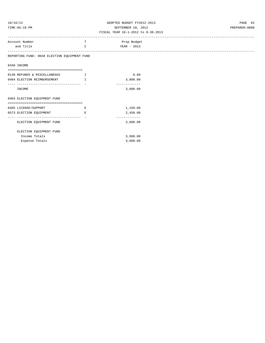# 10/16/12 ADOPTED BUDGET FY2012-2013 PAGE 62 TIME:05:19 PM SEPTEMBER 10, 2012 PREPARER:0008

|                                                               |               | FISCAL IEAR IU-I-ZUIZ LO 9-30-ZUIS |
|---------------------------------------------------------------|---------------|------------------------------------|
| Account Number                                                | T.            | Prop Budget                        |
| and Title                                                     | $\mathcal{C}$ | YEAR - 2013                        |
| REPORTING FUND: 0048 ELECTION EQUIPMENT FUND                  |               |                                    |
| 0340 INCOME                                                   |               |                                    |
| ======================================                        |               |                                    |
| 0130 REFUNDS & MISCELLANEOUS                                  | I             | 0.00                               |
| 0484 ELECTION REIMBURSEMENT                                   | $\mathbf{T}$  | 3,600.00<br>-------------          |
| INCOME                                                        |               | 3,600.00                           |
| 0403 ELECTION EQUIPMENT FUND                                  |               |                                    |
| =====================================                         |               |                                    |
| 0485 LICENSE/SUPPORT                                          | Е             | 1,150.00                           |
| 0573 ELECTION EQUIPMENT<br>---------------------------------- | Е             | 2,450.00<br>-------------          |
| ELECTION EQUIPMENT FUND                                       |               | 3,600.00                           |
| ELECTION EQUIPMENT FUND                                       |               |                                    |
| Income Totals                                                 |               | 3,600.00                           |
| Expense Totals                                                |               | 3,600.00                           |
|                                                               |               |                                    |
|                                                               |               |                                    |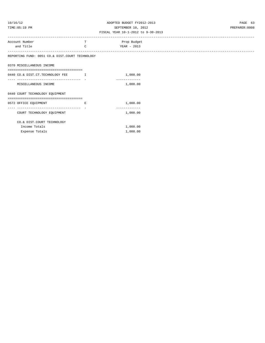# 10/16/12 ADOPTED BUDGET FY2012-2013 PAGE 63 TIME:05:19 PM SEPTEMBER 10, 2012 PREPARER:0008

| Account Number<br>and Title                                           | Т<br>C                        | Prop Budget<br>YEAR - 2013 |
|-----------------------------------------------------------------------|-------------------------------|----------------------------|
| REPORTING FUND: 0051 CO.& DIST.COURT TECHNOLOGY                       |                               |                            |
| 0370 MISCELLANEOUS INCOME                                             |                               |                            |
| ====================================                                  |                               |                            |
| 0440 CO.& DIST.CT.TECHNOLOGY FEE                                      | $\mathbf{I}$ and $\mathbf{I}$ | 1,000.00                   |
| MISCELLANEOUS INCOME                                                  |                               | -------------<br>1,000.00  |
|                                                                       |                               |                            |
| 0440 COURT TECHNOLOGY EQUIPMENT<br>================================== |                               |                            |
| 0572 OFFICE EQUIPMENT                                                 | E                             | 1,000.00                   |
| ------------------------------- -<br>COURT TECHNOLOGY EQUIPMENT       |                               | 1,000.00                   |
|                                                                       |                               |                            |
| CO.& DIST.COURT TECHNOLOGY<br>Income Totals                           |                               | 1,000.00                   |
| Expense Totals                                                        |                               | 1,000.00                   |
|                                                                       |                               |                            |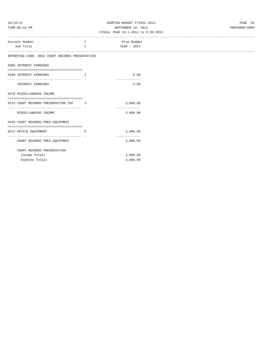# 10/16/12 ADOPTED BUDGET FY2012-2013 PAGE 64 TIME:05:19 PM SEPTEMBER 10, 2012 PREPARER:0008

| Account Number                                  | T. | Prop Budget   |
|-------------------------------------------------|----|---------------|
| and Title                                       | C  | YEAR - 2013   |
|                                                 |    |               |
| REPORTING FUND: 0052 COURT RECORDS PRESERVATION |    |               |
| 0360 INTEREST EARNINGS                          |    |               |
| -------------------------------------           |    |               |
| 0100 INTEREST EARNINGS                          | Ι. | 0.00          |
|                                                 |    |               |
| INTEREST EARNINGS                               |    | 0.00          |
|                                                 |    |               |
| 0370 MISCELLANEOUS INCOME                       |    |               |
|                                                 |    |               |
| 0133 COURT RECORDS PRESERVATION FEE I           |    | 3,000.00      |
| MISCELLANEOUS INCOME                            |    | 3,000.00      |
|                                                 |    |               |
| 0449 COURT RECORDS PRES. EQUIPMENT              |    |               |
|                                                 |    |               |
| 0572 OFFICE EQUIPMENT                           | Е  | 3,000.00      |
| ----------------------------- -                 |    | ------------- |
| COURT RECORDS PRES. EQUIPMENT                   |    | 3,000.00      |
| COURT RECORDS PRESERVATION                      |    |               |
| Income Totals                                   |    | 3,000.00      |
| Expense Totals                                  |    | 3,000.00      |
|                                                 |    |               |
|                                                 |    |               |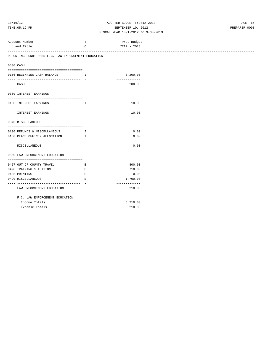# 10/16/12 ADOPTED BUDGET FY2012-2013 PAGE 65 TIME:05:19 PM SEPTEMBER 10, 2012 PREPARER:0008

| Account Number                                      | т                               | Prop Budget   |  |
|-----------------------------------------------------|---------------------------------|---------------|--|
| and Title                                           | C                               | YEAR - 2013   |  |
|                                                     |                                 |               |  |
| REPORTING FUND: 0055 F.C. LAW ENFORCEMENT EDUCATION |                                 |               |  |
| 0300 CASH                                           |                                 |               |  |
| 0156 BEGINNING CASH BALANCE                         | $\mathbf{I}$ and $\mathbf{I}$ . | 3,200.00      |  |
| --------------------------- -                       |                                 | . <u>.</u>    |  |
| CASH                                                |                                 | 3,200.00      |  |
| 0360 INTEREST EARNINGS                              |                                 |               |  |
|                                                     |                                 |               |  |
| 0100 INTEREST EARNINGS                              | $\mathbf I$                     | 10.00         |  |
| -------------------------------                     |                                 | ------------- |  |
| INTEREST EARNINGS                                   |                                 | 10.00         |  |
| 0370 MISCELLANEOUS                                  |                                 |               |  |
|                                                     |                                 |               |  |
| 0130 REFUNDS & MISCELLANEOUS                        | $\mathbf{I}$                    | 0.00          |  |
| 0160 PEACE OFFICER ALLOCATION I                     |                                 | 0.00          |  |
|                                                     |                                 | ------------- |  |
| MISCELLANEOUS                                       |                                 | 0.00          |  |
| 0560 LAW ENFORCEMENT EDUCATION                      |                                 |               |  |
| 0427 OUT OF COUNTY TRAVEL                           | $\mathbf{E}$                    | 800.00        |  |
| 0428 TRAINING & TUITION                             | Е                               | 710.00        |  |
| 0435 PRINTING                                       | $\mathbf E$                     | 0.00          |  |
| 0490 MISCELLANEOUS                                  | E                               | 1,700.00      |  |
|                                                     |                                 | ------------- |  |
| LAW ENFORCEMENT EDUCATION                           |                                 | 3,210.00      |  |
| F.C. LAW ENFORCEMENT EDUCATION                      |                                 |               |  |
| Income Totals                                       |                                 | 3,210.00      |  |
| Expense Totals                                      |                                 | 3,210.00      |  |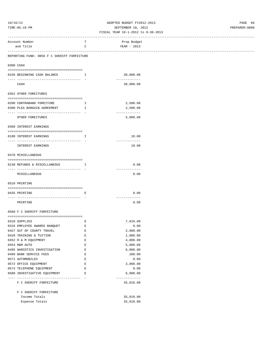## 10/16/12 ADOPTED BUDGET FY2012-2013 PAGE 66 SEPTEMBER 10, 2012 PREPARER:0008

|                                                                                                                                                                                                                                                                                                                                                                                                                      |                                                | OFLIFWDEK TA' RATS<br>FISCAL YEAR 10-1-2012 to 9-30-2013 |  |
|----------------------------------------------------------------------------------------------------------------------------------------------------------------------------------------------------------------------------------------------------------------------------------------------------------------------------------------------------------------------------------------------------------------------|------------------------------------------------|----------------------------------------------------------|--|
| Account Number                                                                                                                                                                                                                                                                                                                                                                                                       | т                                              | Prop Budget                                              |  |
| and Title                                                                                                                                                                                                                                                                                                                                                                                                            | C                                              | YEAR - 2013                                              |  |
| -------------------------------------<br>REPORTING FUND: 0056 F C SHERIFF FORFEITURE                                                                                                                                                                                                                                                                                                                                 |                                                |                                                          |  |
| 0300 CASH                                                                                                                                                                                                                                                                                                                                                                                                            |                                                |                                                          |  |
| 0156 BEGINNING CASH BALANCE                                                                                                                                                                                                                                                                                                                                                                                          | $\mathbf{I}$ and $\mathbf{I}$ and $\mathbf{I}$ | 30,000.00                                                |  |
| CASH                                                                                                                                                                                                                                                                                                                                                                                                                 |                                                | -------------<br>30,000.00                               |  |
| 0352 OTHER FOREITURES                                                                                                                                                                                                                                                                                                                                                                                                |                                                |                                                          |  |
|                                                                                                                                                                                                                                                                                                                                                                                                                      |                                                |                                                          |  |
| 0200 CONTRABAND FOREITURE<br>0300 PLEA BARGAIN AGREEMENT                                                                                                                                                                                                                                                                                                                                                             | $\mathbb{I}$<br>I.                             | 2,500.00<br>2,500.00                                     |  |
| --------------------------------------                                                                                                                                                                                                                                                                                                                                                                               |                                                | -------------                                            |  |
| OTHER FOREITURES                                                                                                                                                                                                                                                                                                                                                                                                     |                                                | 5,000.00                                                 |  |
| 0360 INTEREST EARNINGS                                                                                                                                                                                                                                                                                                                                                                                               |                                                |                                                          |  |
| 0100 INTEREST EARNINGS                                                                                                                                                                                                                                                                                                                                                                                               | Ι.                                             | 10.00                                                    |  |
| INTEREST EARNINGS                                                                                                                                                                                                                                                                                                                                                                                                    |                                                | -------------<br>10.00                                   |  |
| 0370 MISCELLANEOUS                                                                                                                                                                                                                                                                                                                                                                                                   |                                                |                                                          |  |
|                                                                                                                                                                                                                                                                                                                                                                                                                      |                                                |                                                          |  |
| 0130 REFUNDS & MISCELLANEOUS                                                                                                                                                                                                                                                                                                                                                                                         | Ι.                                             | 0.00<br>-------------                                    |  |
| MISCELLANEOUS                                                                                                                                                                                                                                                                                                                                                                                                        |                                                | 0.00                                                     |  |
| 0510 PRINTING                                                                                                                                                                                                                                                                                                                                                                                                        |                                                |                                                          |  |
| $\hskip-10.08cm \begin{array}{ l } \hskip-10.08cm & \multicolumn{1}{ l }{} \hskip-10.08cm & \multicolumn{1}{ l }{} \hskip-10.08cm & \multicolumn{1}{ l }{} \hskip-10.08cm & \multicolumn{1}{ l }{} \hskip-10.08cm & \multicolumn{1}{ l }{} \hskip-10.08cm & \multicolumn{1}{ l }{} \hskip-10.08cm & \multicolumn{1}{ l }{} \hskip-10.08cm & \multicolumn{1}{ l }{} \hskip-10.08cm & \multicolumn{1$<br>0435 PRINTING | Е                                              | 0.00                                                     |  |
|                                                                                                                                                                                                                                                                                                                                                                                                                      |                                                |                                                          |  |
| PRINTING                                                                                                                                                                                                                                                                                                                                                                                                             |                                                | -------------<br>0.00                                    |  |
| 0560 F C SHERIFF FORFEITURE                                                                                                                                                                                                                                                                                                                                                                                          |                                                |                                                          |  |
|                                                                                                                                                                                                                                                                                                                                                                                                                      |                                                |                                                          |  |
| 0310 SUPPLIES                                                                                                                                                                                                                                                                                                                                                                                                        | Е                                              | 7,810.00                                                 |  |
| 0316 EMPLOYEE AWARDS BANQUET                                                                                                                                                                                                                                                                                                                                                                                         | Е                                              | 0.00                                                     |  |
| 0427 OUT OF COUNTY TRAVEL                                                                                                                                                                                                                                                                                                                                                                                            | E                                              | 2,000.00                                                 |  |
| 0428 TRAINING & TUITION                                                                                                                                                                                                                                                                                                                                                                                              | $\mathbf E$<br>$\mathbf E$                     | 1,000.00<br>4,000.00                                     |  |
| 0452 R & M EQUIPMENT<br>0454 R&M AUTO                                                                                                                                                                                                                                                                                                                                                                                | E                                              | 5,000.00                                                 |  |
| 0495 NARCOTICS INVESTIGATION                                                                                                                                                                                                                                                                                                                                                                                         | E                                              | 6,000.00                                                 |  |
| 0499 BANK SERVICE FEES                                                                                                                                                                                                                                                                                                                                                                                               | Е                                              | 200.00                                                   |  |
| 0571 AUTOMOBILES                                                                                                                                                                                                                                                                                                                                                                                                     | Е                                              | 0.00                                                     |  |
| 0572 OFFICE EQUIPMENT                                                                                                                                                                                                                                                                                                                                                                                                | $\mathbf E$                                    | 3,000.00                                                 |  |
| 0573 TELEPHONE EQUIPMENT                                                                                                                                                                                                                                                                                                                                                                                             | E                                              | 0.00                                                     |  |
| 0580 INVESTIGATIVE EQUIPMENT                                                                                                                                                                                                                                                                                                                                                                                         | E                                              | 6,000.00                                                 |  |
| F C SHERIFF FORFEITURE                                                                                                                                                                                                                                                                                                                                                                                               |                                                | -------------<br>35,010.00                               |  |
| F C SHERIFF FORFEITURE                                                                                                                                                                                                                                                                                                                                                                                               |                                                |                                                          |  |
| Income Totals                                                                                                                                                                                                                                                                                                                                                                                                        |                                                | 35,010.00                                                |  |
| Expense Totals                                                                                                                                                                                                                                                                                                                                                                                                       |                                                | 35,010.00                                                |  |
|                                                                                                                                                                                                                                                                                                                                                                                                                      |                                                |                                                          |  |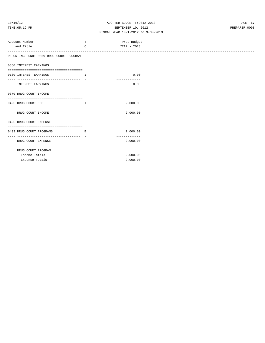## 10/16/12 ADOPTED BUDGET FY2012-2013 PAGE 67 TIME:05:19 PM SEPTEMBER 10, 2012 PREPARER:0008

| Account Number                          | т                          | Prop Budget   |
|-----------------------------------------|----------------------------|---------------|
| and Title                               | $\mathsf{C}$               | YEAR - 2013   |
| ----------------------------------      |                            |               |
| REPORTING FUND: 0059 DRUG COURT PROGRAM |                            |               |
| 0360 INTEREST EARNINGS                  |                            |               |
|                                         |                            |               |
| 0100 INTEREST EARNINGS                  | $\mathbf{I}$               | 0.00          |
| ------------------------------------    |                            | ------------- |
| <b>INTEREST EARNINGS</b>                |                            | 0.00          |
|                                         |                            |               |
| 0370 DRUG COURT INCOME                  |                            |               |
|                                         |                            |               |
| 0425 DRUG COURT FEE                     | Ι.                         | 2,000.00      |
| ------------------------------------ -  |                            | ------------- |
| DRUG COURT INCOME                       |                            | 2,000.00      |
| 0425 DRUG COURT EXPENSE                 |                            |               |
|                                         |                            |               |
| 0433 DRUG COURT PROGRAMS                | Е                          | 2,000.00      |
|                                         | ----------------- <b>-</b> | ------------- |
| DRUG COURT EXPENSE                      |                            | 2,000.00      |
|                                         |                            |               |
| DRUG COURT PROGRAM                      |                            |               |
| Income Totals                           |                            | 2,000.00      |
| Expense Totals                          |                            | 2,000.00      |
|                                         |                            |               |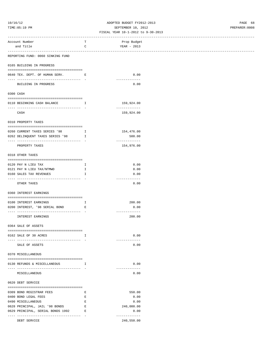### 10/16/12 ADOPTED BUDGET FY2012-2013 PAGE 68 TIME:05:19 PM SEPTEMBER 10, 2012 PREPARER:0008

| Account Number                                             | т                             | Prop Budget           |
|------------------------------------------------------------|-------------------------------|-----------------------|
| and Title                                                  | C                             | YEAR - 2013           |
| ----------------------<br>-------------------------------- |                               |                       |
| REPORTING FUND: 0060 SINKING FUND                          |                               |                       |
|                                                            |                               |                       |
| 0165 BUILDING IN PROGRESS                                  |                               |                       |
|                                                            |                               |                       |
| 0640 TEX. DEPT. OF HUMAN SERV. E                           |                               | 0.00<br>------------  |
| BUILDING IN PROGRESS                                       |                               | 0.00                  |
|                                                            |                               |                       |
| 0300 CASH                                                  |                               |                       |
|                                                            |                               |                       |
| 0110 BEGINNING CASH BALANCE                                | $\mathbf{I}$ and $\mathbf{I}$ | 159,924.00            |
|                                                            |                               | -------------         |
| CASH                                                       |                               | 159,924.00            |
| 0310 PROPERTY TAXES                                        |                               |                       |
|                                                            |                               |                       |
| 0260 CURRENT TAXES SERIES '98                              | $\mathbf{I}$ and $\mathbf{I}$ | 154,476.00            |
| 0262 DELINQUENT TAXES SERIES '98                           | $\mathbb{I}$                  | 500.00                |
|                                                            |                               | -------------         |
| PROPERTY TAXES                                             |                               | 154,976.00            |
|                                                            |                               |                       |
| 0318 OTHER TAXES                                           |                               |                       |
|                                                            |                               |                       |
| 0120 PAY N LIEU TAX                                        | I.                            | 0.00                  |
| 0121 PAY N LIEU TAX/NTMWD                                  | Ι.                            | 0.00                  |
| 0160 SALES TAX REVENUES                                    | Ι.                            | 0.00<br>------------- |
| OTHER TAXES                                                |                               | 0.00                  |
|                                                            |                               |                       |
| 0360 INTEREST EARNINGS                                     |                               |                       |
|                                                            |                               |                       |
| 0100 INTEREST EARNINGS                                     | $\mathbb{I}$                  | 200.00                |
| 0200 INTEREST, '98 SERIAL BOND<br><b>Experience E</b>      |                               | 0.00                  |
|                                                            |                               | -------------         |
| INTEREST EARNINGS                                          |                               | 200.00                |
|                                                            |                               |                       |
| 0364 SALE OF ASSETS                                        |                               |                       |
|                                                            |                               |                       |
| 0162 SALE OF 30 ACRES                                      | Ι.                            | 0.00                  |
|                                                            |                               | -------------         |
| SALE OF ASSETS                                             |                               | 0.00                  |
|                                                            |                               |                       |
| 0370 MISCELLANEOUS                                         |                               |                       |
| 0130 REFUNDS & MISCELLANEOUS                               | $\mathbf{I}$                  | 0.00                  |
|                                                            |                               | -------------         |
| MISCELLANEOUS                                              |                               | 0.00                  |
|                                                            |                               |                       |
| 0620 DEBT SERVICE                                          |                               |                       |
|                                                            |                               |                       |
| 0309 BOND REGISTRAR FEES                                   | Е                             | 550.00                |
| 0400 BOND LEGAL FEES                                       | Е                             | 0.00                  |
| 0490 MISCELLANEOUS                                         | Е                             | 0.00                  |
| 0628 PRINCIPAL, JAIL '98 BONDS                             | $\mathbf E$                   | 240,000.00            |
| 0629 PRINCIPAL, SERIAL BONDS 1992                          | Ε                             | 0.00                  |
|                                                            |                               | -------------         |
| DEBT SERVICE                                               |                               | 240,550.00            |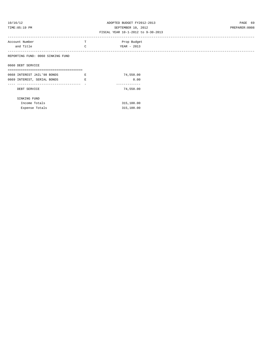# 10/16/12 ADOPTED BUDGET FY2012-2013 PAGE 69 TIME:05:19 PM SEPTEMBER 10, 2012 PREPARER:0008

### FISCAL YEAR 10-1-2012 to 9-30-2013

| Prop Budget<br>Account Number<br>and Title<br>YEAR - 2013<br>$\sim$ |                                   |  |  |
|---------------------------------------------------------------------|-----------------------------------|--|--|
|                                                                     |                                   |  |  |
|                                                                     |                                   |  |  |
|                                                                     | REPORTING FUND: 0060 SINKING FUND |  |  |

0660 DEBT SERVICE

| 0668 INTEREST JAIL'98 BONDS | F. | 74,550.00  |
|-----------------------------|----|------------|
| 0669 INTEREST, SERIAL BONDS | F. | 0.00       |
|                             |    |            |
| DEBT SERVICE                |    | 74,550.00  |
| SINKING FUND                |    |            |
| Income Totals               |    | 315,100.00 |
| Expense Totals              |    | 315,100.00 |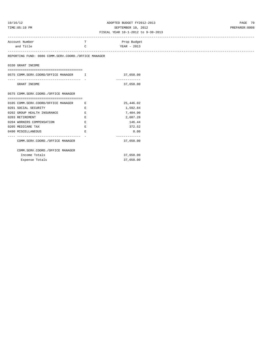# 10/16/12 ADOPTED BUDGET FY2012-2013 PAGE 70 TIME:05:19 PM SEPTEMBER 10, 2012 PREPARER:0008

|                                                      |             | FISCAL YEAR 10-1-2012 to 9-30-2013 |
|------------------------------------------------------|-------------|------------------------------------|
| Account Number                                       | T.          | Prop Budget                        |
| and Title                                            | C           | YEAR - 2013                        |
| REPORTING FUND: 0086 COMM.SERV.COORD./OFFICE MANAGER |             |                                    |
| 0330 GRANT INCOME                                    |             |                                    |
| -------------------------------------                |             |                                    |
| 0575 COMM.SERV.COORD/OFFICE MANAGER I                |             | 37,650.00                          |
| GRANT INCOME                                         |             | -------------<br>37,650.00         |
| 0575 COMM.SERV.COORD./OFFICE MANAGER                 |             |                                    |
|                                                      |             |                                    |
| 0105 COMM.SERV.COORD/OFFICE MANAGER                  | E           | 25,446.02                          |
| 0201 SOCIAL SECURITY                                 | Е           | 1,592.84                           |
| 0202 GROUP HEALTH INSURANCE                          | E           | 7,404.90                           |
| 0203 RETIREMENT                                      | E           | 2,687.28                           |
| 0204 WORKERS COMPENSATION                            | $\mathbf E$ | 146.44                             |
| 0205 MEDICARE TAX                                    | E.          | 372.52                             |
| 0490 MISCELLANEOUS                                   | Е           | 0.00                               |
| COMM.SERV.COORD./OFFICE MANAGER                      |             | -------------<br>37,650.00         |
| COMM.SERV.COORD./OFFICE MANAGER                      |             |                                    |
| Income Totals                                        |             | 37,650.00                          |
| Expense Totals                                       |             | 37,650.00                          |
|                                                      |             |                                    |
|                                                      |             |                                    |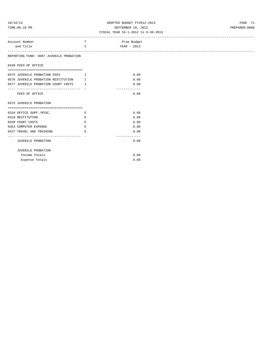## 10/16/12 ADOPTED BUDGET FY2012-2013 PAGE 71 TIME:05:19 PM SEPTEMBER 10, 2012 PREPARER:0008

| Account Number                          | T            | Prop Budget            |  |
|-----------------------------------------|--------------|------------------------|--|
| and Title                               | $\mathsf{C}$ | YEAR - 2013            |  |
| REPORTING FUND: 0087 JUVENILE PROBATION |              |                        |  |
| 0340 FEES OF OFFICE                     |              |                        |  |
|                                         |              |                        |  |
| 0575 JUVENILE PROBATION FEES I          |              | 0.00                   |  |
| 0576 JUVENILE PROBATION RESTITUTION I   |              | 0.00                   |  |
| 0577 JUVENILE PROBATION COURT COSTS I   |              | 0.00                   |  |
| FEES OF OFFICE                          |              | -------------<br>0.00  |  |
| 0575 JUVENILE PROBATION                 |              |                        |  |
| 0310 OFFICE SUPP./MISC.                 | E            | 0.00                   |  |
| 0319 RESTITUTION                        | E            | 0.00                   |  |
| 0320 COURT COSTS                        | Е            | 0.00                   |  |
| 0353 COMPUTER EXPENSE                   | Е            | 0.00                   |  |
| 0427 TRAVEL AND TRAINING                | E.           | 0.00                   |  |
| JUVENILE PROBATION                      |              | --------------<br>0.00 |  |
| JUVENILE PROBATION                      |              |                        |  |
| Income Totals                           |              | 0.00                   |  |
| Expense Totals                          |              | 0.00                   |  |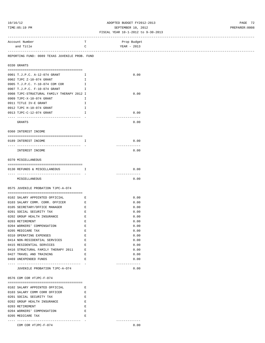## 10/16/12 ADOPTED BUDGET FY2012-2013 PAGE 72 TIME:05:19 PM SEPTEMBER 10, 2012 PREPARER:0008

#### FISCAL YEAR 10-1-2012 to 9-30-2013

| ------------------------------                 |              |               |             |
|------------------------------------------------|--------------|---------------|-------------|
| Account Number                                 | T            |               | Prop Budget |
| and Title                                      | $\mathtt{C}$ |               | YEAR - 2013 |
| ------------------------------------           |              |               |             |
| REPORTING FUND: 0089 TEXAS JUVENILE PROB. FUND |              |               |             |
|                                                |              |               |             |
| 0330 GRANTS                                    |              |               |             |
|                                                |              |               |             |
| 0901 T.J.P.C. A-12-074 GRANT                   | $\mathbb{I}$ |               | 0.00        |
| 0902 TJPC Z-10-074 GRANT                       | $\mathbb{I}$ |               |             |
| 0905 T.J.P.C. Y-10-074 COM COR                 | Ι.           |               |             |
| 0907 T.J.P.C. F-10-074 GRANT<br>$\mathbf{I}$   |              |               |             |
| 0908 TJPC-STRUCTURAL FAMILY THERAPY 2012 I     |              |               | 0.00        |
| 0909 TJPC-X-10-074 GRANT                       | Ι.           |               |             |
| 0911 TITLE IV-E GRANT                          | $\mathbf{I}$ |               |             |
| 0912 TJPC H-10-074 GRANT                       | Ι.           |               |             |
| 0913 TJPC-C-12-074 GRANT                       | Ι.           |               | 0.00        |
|                                                |              | ------------- |             |
| GRANTS                                         |              |               | 0.00        |
|                                                |              |               |             |
| 0360 INTEREST INCOME                           |              |               |             |
|                                                |              |               |             |
| 0189 INTEREST INCOME                           | <b>I</b>     |               | 0.00        |
|                                                |              | ------------- |             |
| INTEREST INCOME                                |              |               | 0.00        |
| 0370 MISCELLANEOUS                             |              |               |             |
|                                                |              |               |             |
| 0130 REFUNDS & MISCELLANEOUS I                 |              |               | 0.00        |
|                                                |              | ------------- |             |
| MISCELLANEOUS                                  |              |               | 0.00        |
|                                                |              |               |             |
| 0575 JUVENILE PROBATION TJPC-A-074             |              |               |             |
|                                                |              |               |             |
| 0102 SALARY APPOINTED OFFICIAL<br>$\mathbf{E}$ |              |               | 0.00        |
| 0103 SALARY COMM. CORR. OFFICER                | $\mathbf{E}$ |               | 0.00        |
| 0105 SECRETARY/OFFICE MANAGER                  | E            |               | 0.00        |
| 0201 SOCIAL SECURITY TAX                       | E            |               | 0.00        |
| 0202 GROUP HEALTH INSURANCE                    | E            |               | 0.00        |
| 0203 RETIREMENT                                | E            |               | 0.00        |
| 0204 WORKERS' COMPENSATION                     | $\mathbf E$  |               | 0.00        |
| 0205 MEDICARE TAX                              | Ε            |               | 0.00        |
| 0310 OPERATING EXPENSES                        | Ε            |               | 0.00        |
| 0414 NON-RESIDENTIAL SERVICES                  | E            |               | 0.00        |
| 0415 RESIDENTIAL SERVICES                      | Е            |               | 0.00        |
| 0416 STRUCTURAL FAMILY THERAPY 2011            | $\mathbf{E}$ |               | 0.00        |
| 0427 TRAVEL AND TRAINING                       | $\mathbf{E}$ |               | 0.00        |
| 0469 UNEXPENDED FUNDS                          | E            |               | 0.00        |
|                                                |              | ------------- |             |
| JUVENILE PROBATION TJPC-A-074                  |              |               | 0.00        |
|                                                |              |               |             |
| 0576 COM COR #TJPC-F-074                       |              |               |             |
|                                                |              |               |             |
| 0102 SALARY APPOINTED OFFICIAL                 | Е            |               |             |
| 0103 SALARY COMM CORR OFFICER                  | Е            |               |             |

| 0103 SALARY COMM CORR OFFICER | F. |
|-------------------------------|----|
| 0201 SOCIAL SECURITY TAX      | F. |
| 0202 GROUP HEALTH INSURANCE   | F. |
| 0203 RETIREMENT               | F. |
| 0204 WORKERS' COMPENSATION    | F. |
| 0205 MEDICARE TAX             | F. |
|                               |    |

COM COR #TJPC-F-074 0.00

---- ---------------------------------- - -------------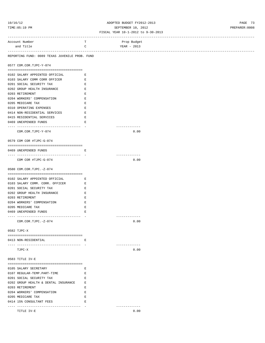### 10/16/12 ADOPTED BUDGET FY2012-2013 PAGE 73 TIME:05:19 PM SEPTEMBER 10, 2012 PREPARER:0008 FISCAL YEAR 10-1-2012 to 9-30-2013

|                                                      |                       | ---------------------------------- |  |
|------------------------------------------------------|-----------------------|------------------------------------|--|
| Account Number                                       | T                     | Prop Budget                        |  |
| and Title                                            | $\mathbf C$           | YEAR - 2013                        |  |
|                                                      |                       |                                    |  |
| REPORTING FUND: 0089 TEXAS JUVENILE PROB. FUND       |                       |                                    |  |
|                                                      |                       |                                    |  |
| 0577 COM.COR.TJPC-Y-074                              |                       |                                    |  |
|                                                      |                       |                                    |  |
| 0102 SALARY APPOINTED OFFICIAL E                     |                       |                                    |  |
| 0103 SALARY COMM CORR OFFICER E                      |                       |                                    |  |
| 0201 SOCIAL SECURITY TAX                             | E                     |                                    |  |
| 0202 GROUP HEALTH INSURANCE                          | $\hfill \blacksquare$ |                                    |  |
| 0203 RETIREMENT                                      | E                     |                                    |  |
| 0204 WORKERS' COMPENSATION                           | E                     |                                    |  |
| 0205 MEDICARE TAX                                    | E                     |                                    |  |
| 0310 OPERATING EXPENSES                              | E                     |                                    |  |
| 0414 NON-RESIDENTIAL SERVICES                        | E                     |                                    |  |
| 0415 RESIDENTIAL SERVICES                            | E                     |                                    |  |
| 0469 UNEXPENDED FUNDS                                | Е                     |                                    |  |
|                                                      |                       | -------------                      |  |
| COM.COR.TJPC-Y-074                                   |                       | 0.00                               |  |
|                                                      |                       |                                    |  |
| 0579 COM COR #TJPC-G-074                             |                       |                                    |  |
|                                                      |                       |                                    |  |
| 0469 UNEXPENDED FUNDS                                | Е                     |                                    |  |
|                                                      |                       | -------------                      |  |
| COM COR #TJPC-G-074                                  |                       | 0.00                               |  |
|                                                      |                       |                                    |  |
| 0580 COM.COR.TJPC.-Z-074                             |                       |                                    |  |
|                                                      |                       |                                    |  |
| 0102 SALARY APPOINTED OFFICIAL E                     |                       |                                    |  |
| 0103 SALARY COMM. CORR. OFFICER E                    |                       |                                    |  |
| 0201 SOCIAL SECURITY TAX                             | Е                     |                                    |  |
| 0202 GROUP HEALTH INSURANCE                          | $\hfill \blacksquare$ |                                    |  |
| 0203 RETIREMENT                                      | E                     |                                    |  |
| 0204 WORKERS' COMPENSATION                           | E                     |                                    |  |
| 0205 MEDICARE TAX                                    | Е                     |                                    |  |
|                                                      | E                     |                                    |  |
| 0469 UNEXPENDED FUNDS                                |                       | -------------                      |  |
| COM.COR.TJPC.-Z-074                                  |                       |                                    |  |
|                                                      |                       | 0.00                               |  |
|                                                      |                       |                                    |  |
| 0582 TJPC-X                                          |                       |                                    |  |
|                                                      |                       |                                    |  |
| 0413 NON-RESIDENTIAL                                 | Е                     |                                    |  |
|                                                      |                       | -------------                      |  |
| TJPC-X                                               |                       | 0.00                               |  |
| 0583 TITLE IV-E                                      |                       |                                    |  |
|                                                      |                       |                                    |  |
|                                                      |                       |                                    |  |
| 0105 SALARY SECRETARY<br>0107 REGULAR-TEMP.PART-TIME | Е<br>E                |                                    |  |
| 0201 SOCIAL SECURITY TAX                             |                       |                                    |  |
|                                                      | E                     |                                    |  |
| 0202 GROUP HEALTH & DENTAL INSURANCE E               |                       |                                    |  |
| 0203 RETIREMENT                                      | E                     |                                    |  |
| 0204 WORKERS' COMPENSATION                           | E                     |                                    |  |
| 0205 MEDICARE TAX                                    | E                     |                                    |  |
| 0414 15% CONSULTANT FEES                             | E                     | -------------                      |  |
|                                                      |                       |                                    |  |

TITLE IV-E 0.00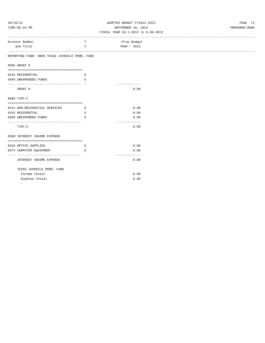## 10/16/12 ADOPTED BUDGET FY2012-2013 PAGE 74 TIME:05:19 PM SEPTEMBER 10, 2012 PREPARER:0008

| Account Number                                                   | T                                   | Prop Budget   |
|------------------------------------------------------------------|-------------------------------------|---------------|
| and Title                                                        | $\mathsf{C}$                        | YEAR - 2013   |
|                                                                  |                                     |               |
| REPORTING FUND: 0089 TEXAS JUVENILE PROB. FUND                   |                                     |               |
|                                                                  |                                     |               |
| 0585 GRANT H                                                     |                                     |               |
|                                                                  |                                     |               |
| 0415 RESIDENTIAL                                                 | E                                   |               |
| 0469 UNEXPENDED FUNDS                                            | E.                                  |               |
| GRANT H                                                          |                                     | 0.00          |
|                                                                  |                                     |               |
| 0586 TJPC-C                                                      |                                     |               |
|                                                                  |                                     |               |
| 0414 NON-RESIDENTIAL SERVICES                                    | <b>Experience of the Experience</b> | 0.00          |
| 0415 RESIDENTIAL                                                 | $\mathbf{E}$ and $\mathbf{E}$       | 0.00          |
| 0469 UNEXPENDED FUNDS                                            | $\mathbf{E}$                        | 0.00          |
|                                                                  |                                     | ------------- |
| TJPC-C                                                           |                                     | 0.00          |
|                                                                  |                                     |               |
| 0588 INTEREST INCOME EXPENSE                                     |                                     |               |
| 0310 OFFICE SUPPLIES                                             | E                                   | 0.00          |
| 0574 COMPUTER EQUIPMENT<br>the contract of the contract of the R |                                     | 0.00          |
|                                                                  |                                     | ------------- |
| INTEREST INCOME EXPENSE                                          |                                     | 0.00          |
|                                                                  |                                     |               |
| TEXAS JUVENILE PROB. FUND                                        |                                     |               |
| Income Totals                                                    |                                     | 0.00          |
| Expense Totals                                                   |                                     | 0.00          |
|                                                                  |                                     |               |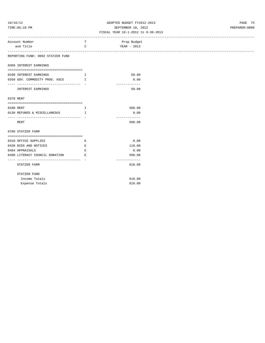## 10/16/12 ADOPTED BUDGET FY2012-2013 PAGE 75 TIME:05:19 PM SEPTEMBER 10, 2012 PREPARER:0008

| Account Number                      | т            | Prop Budget             |
|-------------------------------------|--------------|-------------------------|
| and Title                           | $\mathsf{C}$ | YEAR - 2013             |
|                                     |              |                         |
| REPORTING FUND: 0092 STATZER FUND   |              |                         |
| 0360 INTEREST EARNINGS              |              |                         |
| 0100 INTEREST EARNINGS              | $\mathbf{I}$ | 50.00                   |
| 0350 GOV. COMMODITY PROG. ASCS I    |              | 0.00                    |
|                                     |              | ----------              |
| INTEREST EARNINGS                   |              | 50.00                   |
| 0370 RENT                           |              |                         |
|                                     |              |                         |
| 0100 RENT                           | Ι.           | 560.00                  |
| 0130 REFUNDS & MISCELLANEOUS I      |              | 0.00                    |
| RENT                                |              | -------------<br>560.00 |
| 0700 STATZER FARM                   |              |                         |
| 0310 OFFICE SUPPLIES                | E            | 0.00                    |
| 0430 BIDS AND NOTICES               | Е            | 110.00                  |
| 0484 APPRAISALS                     | $\mathbf E$  | 0.00                    |
| 0490 LITERACY COUNCIL DONATION E    |              | 500.00                  |
| ----------------------------------- |              | -------------           |
| STATZER FARM                        |              | 610.00                  |
| STATZER FUND                        |              |                         |
| Income Totals                       |              | 610.00                  |
| Expense Totals                      |              | 610.00                  |